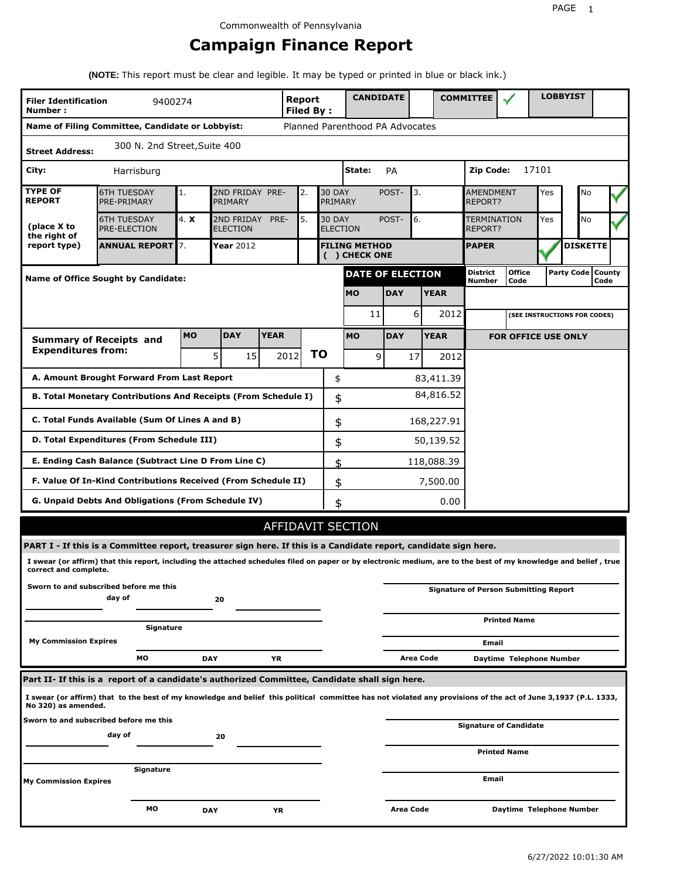# **Campaign Finance Report**

**(NOTE:** This report must be clear and legible. It may be typed or printed in blue or black ink.)

| <b>Filer Identification</b><br>Number: | 9400274                                                                                                                                                         |           |                               |             | Report<br>Filed By: |    |                          | <b>CANDIDATE</b>                      |            |                  |             | <b>COMMITTEE</b>                             |                            |       | <b>LOBBYIST</b>              |                             |
|----------------------------------------|-----------------------------------------------------------------------------------------------------------------------------------------------------------------|-----------|-------------------------------|-------------|---------------------|----|--------------------------|---------------------------------------|------------|------------------|-------------|----------------------------------------------|----------------------------|-------|------------------------------|-----------------------------|
|                                        | Name of Filing Committee, Candidate or Lobbyist:                                                                                                                |           |                               |             |                     |    |                          | Planned Parenthood PA Advocates       |            |                  |             |                                              |                            |       |                              |                             |
| <b>Street Address:</b>                 | 300 N. 2nd Street, Suite 400                                                                                                                                    |           |                               |             |                     |    |                          |                                       |            |                  |             |                                              |                            |       |                              |                             |
| City:                                  | Harrisburg                                                                                                                                                      |           |                               |             |                     |    |                          | State:                                | PA         |                  |             | Zip Code:                                    |                            | 17101 |                              |                             |
| <b>TYPE OF</b><br><b>REPORT</b>        | <b>6TH TUESDAY</b><br>PRE-PRIMARY                                                                                                                               | 1.        | 2ND FRIDAY PRE-<br>PRIMARY    |             | 2.                  |    | <b>30 DAY</b><br>PRIMARY |                                       | POST-      | 3.               |             | <b>AMENDMENT</b><br>REPORT?                  |                            | Yes   | No                           |                             |
| (place X to<br>the right of            | <b>6TH TUESDAY</b><br><b>PRE-ELECTION</b>                                                                                                                       | 4. X      | 2ND FRIDAY<br><b>ELECTION</b> | PRE-        | 5.                  |    | <b>30 DAY</b>            | <b>ELECTION</b>                       | POST-      | 6.               |             | <b>TERMINATION</b><br>REPORT?                |                            | Yes   | No                           |                             |
| report type)                           | <b>ANNUAL REPORT 7.</b>                                                                                                                                         |           | <b>Year</b> 2012              |             |                     |    |                          | <b>FILING METHOD</b><br>( ) CHECK ONE |            |                  |             | <b>PAPER</b>                                 |                            |       | <b>DISKETTE</b>              |                             |
|                                        | <b>Name of Office Sought by Candidate:</b>                                                                                                                      |           |                               |             |                     |    |                          | <b>DATE OF ELECTION</b>               |            |                  |             | <b>District</b><br>Number                    | <b>Office</b><br>Code      |       |                              | Party Code   County<br>Code |
|                                        |                                                                                                                                                                 |           |                               |             |                     |    |                          | <b>MO</b>                             | <b>DAY</b> |                  | <b>YEAR</b> |                                              |                            |       |                              |                             |
|                                        |                                                                                                                                                                 |           |                               |             |                     |    |                          | 11                                    |            | 6                | 2012        |                                              |                            |       | (SEE INSTRUCTIONS FOR CODES) |                             |
|                                        | <b>Summary of Receipts and</b>                                                                                                                                  | <b>MO</b> | <b>DAY</b>                    | <b>YEAR</b> |                     |    |                          | <b>MO</b>                             | <b>DAY</b> |                  | <b>YEAR</b> |                                              | <b>FOR OFFICE USE ONLY</b> |       |                              |                             |
| <b>Expenditures from:</b>              |                                                                                                                                                                 |           | 5 <sup>1</sup><br>15          |             | 2012                | ΤO |                          | 9                                     |            | 17               | 2012        |                                              |                            |       |                              |                             |
|                                        | A. Amount Brought Forward From Last Report                                                                                                                      |           |                               |             |                     |    | \$                       |                                       |            |                  | 83,411.39   |                                              |                            |       |                              |                             |
|                                        | B. Total Monetary Contributions And Receipts (From Schedule I)                                                                                                  |           |                               |             |                     |    | \$                       |                                       |            |                  | 84,816.52   |                                              |                            |       |                              |                             |
|                                        | C. Total Funds Available (Sum Of Lines A and B)                                                                                                                 |           |                               |             |                     |    | \$                       |                                       |            |                  | 168,227.91  |                                              |                            |       |                              |                             |
|                                        | D. Total Expenditures (From Schedule III)                                                                                                                       |           |                               |             |                     |    | \$                       |                                       |            |                  | 50,139.52   |                                              |                            |       |                              |                             |
|                                        | E. Ending Cash Balance (Subtract Line D From Line C)                                                                                                            |           |                               |             |                     |    | \$                       |                                       |            |                  | 118,088.39  |                                              |                            |       |                              |                             |
|                                        | F. Value Of In-Kind Contributions Received (From Schedule II)                                                                                                   |           |                               |             |                     |    | \$                       |                                       |            |                  | 7,500.00    |                                              |                            |       |                              |                             |
|                                        | G. Unpaid Debts And Obligations (From Schedule IV)                                                                                                              |           |                               |             |                     |    | \$                       |                                       |            |                  | 0.00        |                                              |                            |       |                              |                             |
|                                        |                                                                                                                                                                 |           |                               |             |                     |    |                          | AFFIDAVIT SECTION                     |            |                  |             |                                              |                            |       |                              |                             |
|                                        | PART I - If this is a Committee report, treasurer sign here. If this is a Candidate report, candidate sign here.                                                |           |                               |             |                     |    |                          |                                       |            |                  |             |                                              |                            |       |                              |                             |
| correct and complete.                  | I swear (or affirm) that this report, including the attached schedules filed on paper or by electronic medium, are to the best of my knowledge and belief, true |           |                               |             |                     |    |                          |                                       |            |                  |             |                                              |                            |       |                              |                             |
|                                        | Sworn to and subscribed before me this<br>day of                                                                                                                |           | 20                            |             |                     |    |                          |                                       |            |                  |             | <b>Signature of Person Submitting Report</b> |                            |       |                              |                             |
|                                        | Signature                                                                                                                                                       |           |                               |             |                     |    |                          |                                       |            |                  |             |                                              | <b>Printed Name</b>        |       |                              |                             |
| <b>My Commission Expires</b>           |                                                                                                                                                                 |           |                               |             |                     |    |                          |                                       |            |                  |             | Email                                        |                            |       |                              |                             |
|                                        | мo                                                                                                                                                              |           | <b>DAY</b>                    | YR          |                     |    |                          |                                       |            | <b>Area Code</b> |             |                                              | Daytime Telephone Number   |       |                              |                             |
|                                        | Part II- If this is a report of a candidate's authorized Committee, Candidate shall sign here.                                                                  |           |                               |             |                     |    |                          |                                       |            |                  |             |                                              |                            |       |                              |                             |
| No 320) as amended.                    | I swear (or affirm) that to the best of my knowledge and belief this political committee has not violated any provisions of the act of June 3,1937 (P.L. 1333,  |           |                               |             |                     |    |                          |                                       |            |                  |             |                                              |                            |       |                              |                             |
|                                        | Sworn to and subscribed before me this                                                                                                                          |           |                               |             |                     |    |                          |                                       |            |                  |             | <b>Signature of Candidate</b>                |                            |       |                              |                             |
|                                        | day of                                                                                                                                                          |           | 20                            |             |                     |    |                          |                                       |            |                  |             |                                              | <b>Printed Name</b>        |       |                              |                             |
|                                        | Signature                                                                                                                                                       |           |                               |             |                     |    |                          |                                       |            |                  |             |                                              |                            |       |                              |                             |
| <b>My Commission Expires</b>           |                                                                                                                                                                 |           |                               |             |                     |    |                          |                                       |            |                  |             | Email                                        |                            |       |                              |                             |
|                                        | МO                                                                                                                                                              |           | <b>DAY</b>                    | ΥR          |                     |    |                          |                                       | Area Code  |                  |             |                                              | Daytime Telephone Number   |       |                              |                             |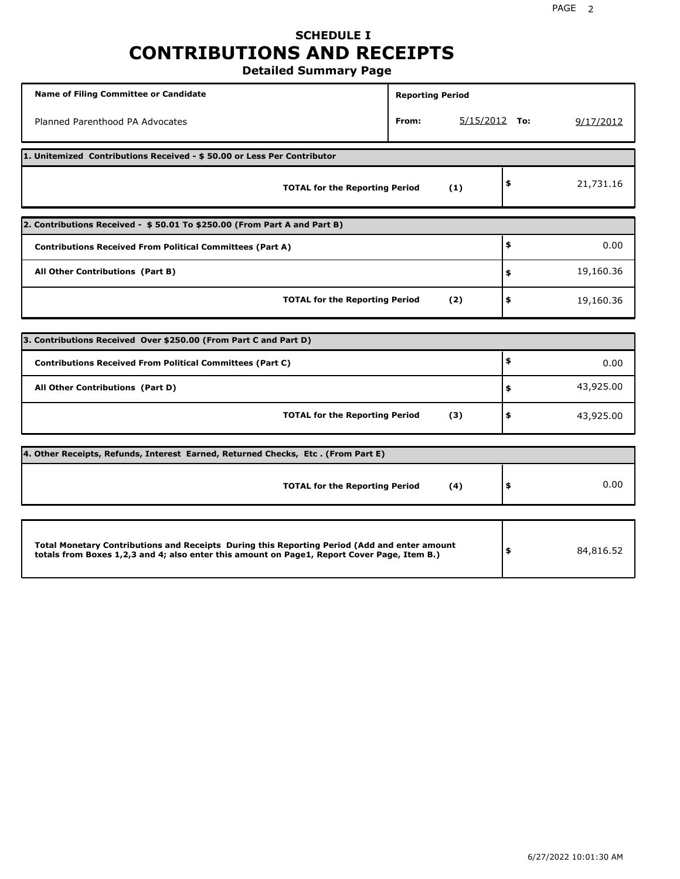# **SCHEDULE I CONTRIBUTIONS AND RECEIPTS**

**Detailed Summary Page**

| <b>Name of Filing Committee or Candidate</b>                                                                                                                                                | <b>Reporting Period</b>  |                 |
|---------------------------------------------------------------------------------------------------------------------------------------------------------------------------------------------|--------------------------|-----------------|
| Planned Parenthood PA Advocates                                                                                                                                                             | $5/15/2012$ To:<br>From: | 9/17/2012       |
| 1. Unitemized Contributions Received - \$50.00 or Less Per Contributor                                                                                                                      |                          |                 |
| <b>TOTAL for the Reporting Period</b>                                                                                                                                                       | (1)                      | \$<br>21,731.16 |
| 2. Contributions Received - \$50.01 To \$250.00 (From Part A and Part B)                                                                                                                    |                          |                 |
| <b>Contributions Received From Political Committees (Part A)</b>                                                                                                                            |                          | \$<br>0.00      |
| All Other Contributions (Part B)                                                                                                                                                            |                          | \$<br>19,160.36 |
| <b>TOTAL for the Reporting Period</b>                                                                                                                                                       | (2)                      | \$<br>19,160.36 |
|                                                                                                                                                                                             |                          |                 |
| 3. Contributions Received Over \$250.00 (From Part C and Part D)                                                                                                                            |                          |                 |
| <b>Contributions Received From Political Committees (Part C)</b>                                                                                                                            |                          | \$<br>0.00      |
| All Other Contributions (Part D)                                                                                                                                                            |                          | \$<br>43,925.00 |
| <b>TOTAL for the Reporting Period</b>                                                                                                                                                       | (3)                      | \$<br>43,925.00 |
| 4. Other Receipts, Refunds, Interest Earned, Returned Checks, Etc. (From Part E)                                                                                                            |                          |                 |
| <b>TOTAL for the Reporting Period</b>                                                                                                                                                       | (4)                      | \$<br>0.00      |
|                                                                                                                                                                                             |                          |                 |
| Total Monetary Contributions and Receipts During this Reporting Period (Add and enter amount<br>totals from Boxes 1,2,3 and 4; also enter this amount on Page1, Report Cover Page, Item B.) |                          | \$<br>84,816.52 |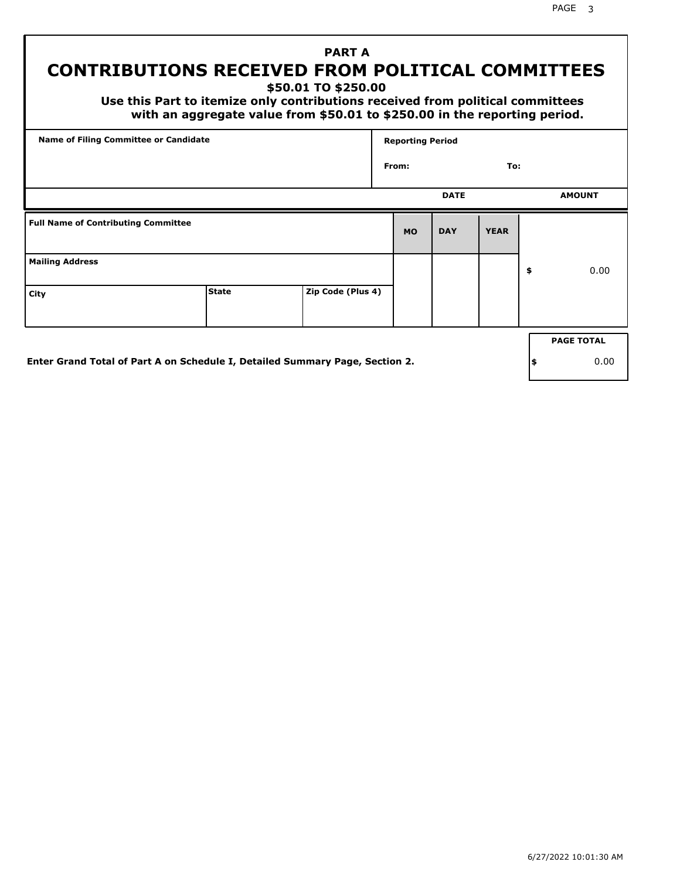# **PART A CONTRIBUTIONS RECEIVED FROM POLITICAL COMMITTEES**

**\$50.01 TO \$250.00**

 **Use this Part to itemize only contributions received from political committees with an aggregate value from \$50.01 to \$250.00 in the reporting period.**

| Name of Filing Committee or Candidate      |              |                   | <b>Reporting Period</b> |             |             |                   |
|--------------------------------------------|--------------|-------------------|-------------------------|-------------|-------------|-------------------|
|                                            |              |                   | From:                   |             | To:         |                   |
|                                            |              |                   |                         | <b>DATE</b> |             | <b>AMOUNT</b>     |
| <b>Full Name of Contributing Committee</b> |              |                   | <b>MO</b>               | <b>DAY</b>  | <b>YEAR</b> |                   |
| <b>Mailing Address</b>                     |              |                   |                         |             |             | \$<br>0.00        |
| City                                       | <b>State</b> | Zip Code (Plus 4) |                         |             |             |                   |
|                                            |              |                   |                         |             |             | <b>PAGE TOTAL</b> |

**Enter Grand Total of Part A on Schedule I, Detailed Summary Page, Section 2.**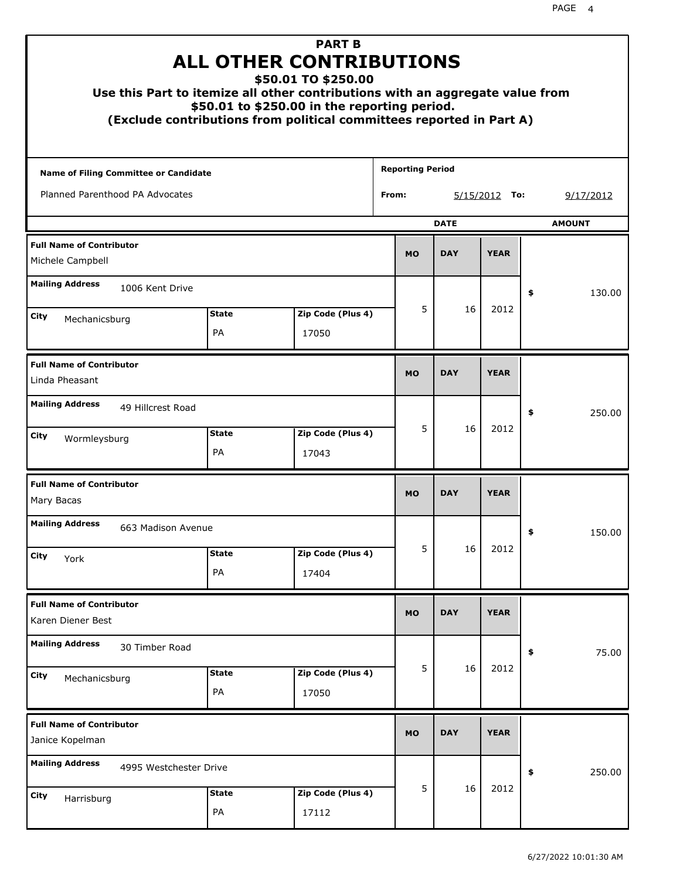| Use this Part to itemize all other contributions with an aggregate value from |                    | <b>PART B</b><br><b>ALL OTHER CONTRIBUTIONS</b><br>\$50.01 TO \$250.00<br>\$50.01 to \$250.00 in the reporting period.<br>(Exclude contributions from political committees reported in Part A) |                         |             |               |    |               |
|-------------------------------------------------------------------------------|--------------------|------------------------------------------------------------------------------------------------------------------------------------------------------------------------------------------------|-------------------------|-------------|---------------|----|---------------|
| <b>Name of Filing Committee or Candidate</b>                                  |                    |                                                                                                                                                                                                | <b>Reporting Period</b> |             |               |    |               |
| Planned Parenthood PA Advocates                                               |                    |                                                                                                                                                                                                | From:                   |             | 5/15/2012 To: |    | 9/17/2012     |
|                                                                               |                    |                                                                                                                                                                                                |                         | <b>DATE</b> |               |    | <b>AMOUNT</b> |
| <b>Full Name of Contributor</b><br>Michele Campbell                           |                    |                                                                                                                                                                                                | <b>MO</b>               | <b>DAY</b>  | <b>YEAR</b>   |    |               |
| <b>Mailing Address</b><br>1006 Kent Drive                                     |                    |                                                                                                                                                                                                |                         |             |               | \$ | 130.00        |
| City                                                                          | <b>State</b>       | Zip Code (Plus 4)                                                                                                                                                                              | 5                       | 16          | 2012          |    |               |
| Mechanicsburg                                                                 | PA                 | 17050                                                                                                                                                                                          |                         |             |               |    |               |
| <b>Full Name of Contributor</b><br>Linda Pheasant                             |                    |                                                                                                                                                                                                | <b>MO</b>               | <b>DAY</b>  | <b>YEAR</b>   |    |               |
| <b>Mailing Address</b><br>49 Hillcrest Road                                   |                    |                                                                                                                                                                                                |                         |             |               | \$ | 250.00        |
| City<br>Wormleysburg                                                          | <b>State</b><br>PA | Zip Code (Plus 4)<br>17043                                                                                                                                                                     | 5                       | 16          | 2012          |    |               |
| <b>Full Name of Contributor</b><br>Mary Bacas                                 |                    |                                                                                                                                                                                                | <b>MO</b>               | <b>DAY</b>  | <b>YEAR</b>   |    |               |
| <b>Mailing Address</b><br>663 Madison Avenue                                  |                    |                                                                                                                                                                                                |                         |             |               | ÷, | 150.00        |
| <b>City</b><br>York                                                           | <b>State</b>       | Zip Code (Plus 4)                                                                                                                                                                              | 5                       | 16          | 2012          |    |               |
|                                                                               | PA                 | 17404                                                                                                                                                                                          |                         |             |               |    |               |
| <b>Full Name of Contributor</b><br>Karen Diener Best                          |                    |                                                                                                                                                                                                | <b>MO</b>               | <b>DAY</b>  | <b>YEAR</b>   |    |               |
| <b>Mailing Address</b><br>30 Timber Road                                      |                    |                                                                                                                                                                                                |                         |             |               | \$ | 75.00         |
| City<br>Mechanicsburg                                                         | <b>State</b><br>PA | Zip Code (Plus 4)<br>17050                                                                                                                                                                     | 5                       | 16          | 2012          |    |               |
| <b>Full Name of Contributor</b><br>Janice Kopelman                            |                    |                                                                                                                                                                                                | <b>MO</b>               | <b>DAY</b>  | <b>YEAR</b>   |    |               |
| <b>Mailing Address</b><br>4995 Westchester Drive                              |                    |                                                                                                                                                                                                |                         |             |               | \$ | 250.00        |
| City<br>Harrisburg                                                            | <b>State</b><br>PA | Zip Code (Plus 4)<br>17112                                                                                                                                                                     | 5                       | 16          | 2012          |    |               |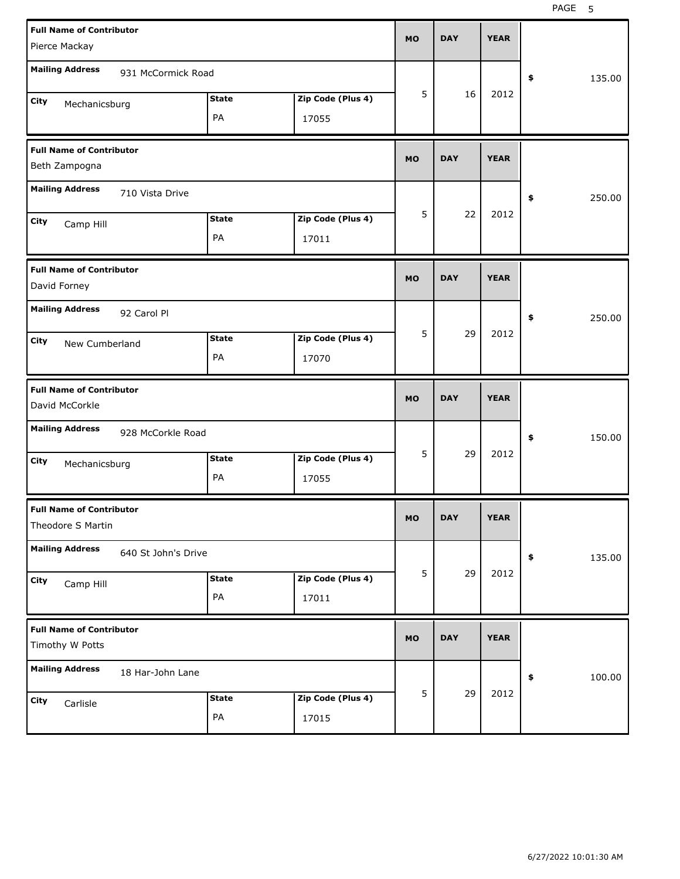| <b>Full Name of Contributor</b><br>Pierce Mackay |              |                   | <b>MO</b> | <b>DAY</b> | <b>YEAR</b> |            |        |
|--------------------------------------------------|--------------|-------------------|-----------|------------|-------------|------------|--------|
| <b>Mailing Address</b><br>931 McCormick Road     |              |                   |           |            |             |            |        |
|                                                  |              |                   | 5         | 16         | 2012        | \$         | 135.00 |
| City<br>Mechanicsburg                            | <b>State</b> | Zip Code (Plus 4) |           |            |             |            |        |
|                                                  | PA           | 17055             |           |            |             |            |        |
| <b>Full Name of Contributor</b>                  |              |                   | <b>MO</b> | <b>DAY</b> | <b>YEAR</b> |            |        |
| Beth Zampogna                                    |              |                   |           |            |             |            |        |
| <b>Mailing Address</b><br>710 Vista Drive        |              |                   |           |            |             | \$         | 250.00 |
| City<br>Camp Hill                                | <b>State</b> | Zip Code (Plus 4) | 5         | 22         | 2012        |            |        |
|                                                  | PA           | 17011             |           |            |             |            |        |
| <b>Full Name of Contributor</b>                  |              |                   | <b>MO</b> | <b>DAY</b> | <b>YEAR</b> |            |        |
| David Forney                                     |              |                   |           |            |             |            |        |
| <b>Mailing Address</b><br>92 Carol Pl            |              |                   |           |            |             | \$         | 250.00 |
| City<br>New Cumberland                           | <b>State</b> | Zip Code (Plus 4) | 5         | 29         | 2012        |            |        |
|                                                  | PA           | 17070             |           |            |             |            |        |
|                                                  |              |                   |           |            |             |            |        |
| <b>Full Name of Contributor</b>                  |              |                   | <b>MO</b> | <b>DAY</b> | <b>YEAR</b> |            |        |
| David McCorkle                                   |              |                   |           |            |             |            |        |
| <b>Mailing Address</b><br>928 McCorkle Road      |              |                   |           |            |             | \$         | 150.00 |
| City<br>Mechanicsburg                            | <b>State</b> | Zip Code (Plus 4) | 5         | 29         | 2012        |            |        |
|                                                  | PA           | 17055             |           |            |             |            |        |
| <b>Full Name of Contributor</b>                  |              |                   |           |            |             |            |        |
| Theodore S Martin                                |              |                   | MO.       | <b>DAY</b> | YEAK        |            |        |
| <b>Mailing Address</b><br>640 St John's Drive    |              |                   |           |            |             | $\pmb{\$}$ | 135.00 |
| City<br>Camp Hill                                | <b>State</b> | Zip Code (Plus 4) | 5         | 29         | 2012        |            |        |
|                                                  | PA           | 17011             |           |            |             |            |        |
| <b>Full Name of Contributor</b>                  |              |                   |           |            |             |            |        |
| Timothy W Potts                                  |              |                   | <b>MO</b> | <b>DAY</b> | <b>YEAR</b> |            |        |
| <b>Mailing Address</b><br>18 Har-John Lane       |              |                   |           |            |             | \$         | 100.00 |
| City<br>Carlisle                                 | <b>State</b> | Zip Code (Plus 4) | 5         | 29         | 2012        |            |        |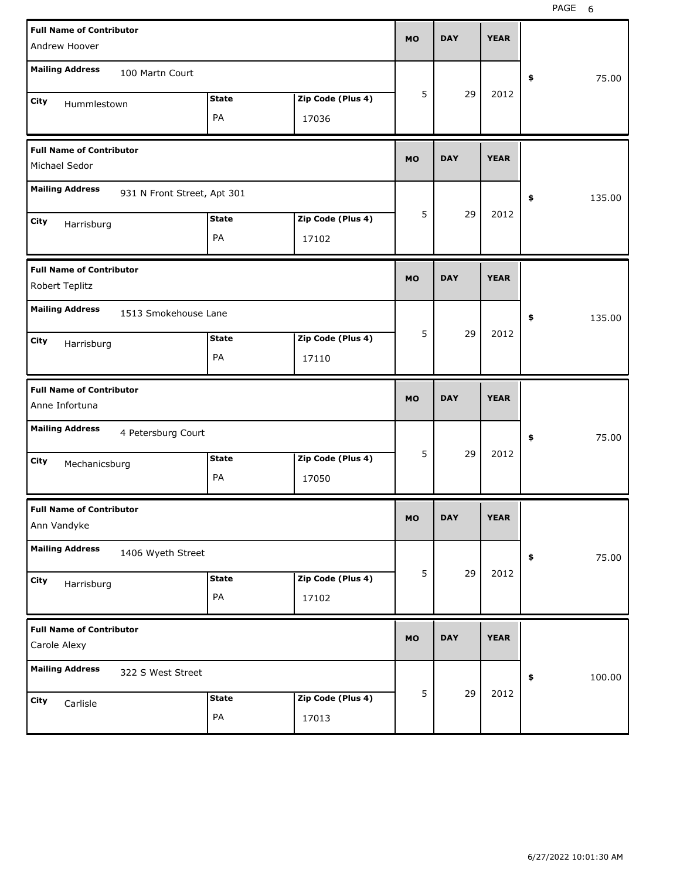| <b>Full Name of Contributor</b><br>Andrew Hoover      |                    |                            | <b>MO</b> | <b>DAY</b> | <b>YEAR</b> |              |
|-------------------------------------------------------|--------------------|----------------------------|-----------|------------|-------------|--------------|
| <b>Mailing Address</b><br>100 Martn Court             |                    |                            |           |            |             | 75.00<br>\$  |
| City<br>Hummlestown                                   | <b>State</b><br>PA | Zip Code (Plus 4)<br>17036 | 5         | 29         | 2012        |              |
| <b>Full Name of Contributor</b><br>Michael Sedor      |                    |                            | <b>MO</b> | <b>DAY</b> | <b>YEAR</b> |              |
| <b>Mailing Address</b><br>931 N Front Street, Apt 301 |                    |                            |           |            |             | 135.00<br>\$ |
| City<br>Harrisburg                                    | <b>State</b><br>PA | Zip Code (Plus 4)<br>17102 | 5         | 29         | 2012        |              |
| <b>Full Name of Contributor</b><br>Robert Teplitz     |                    |                            | <b>MO</b> | <b>DAY</b> | <b>YEAR</b> |              |
| <b>Mailing Address</b><br>1513 Smokehouse Lane        |                    |                            |           |            |             | 135.00<br>\$ |
| City<br>Harrisburg                                    | <b>State</b><br>PA | Zip Code (Plus 4)<br>17110 | 5         | 29         | 2012        |              |
|                                                       |                    |                            |           |            |             |              |
| <b>Full Name of Contributor</b><br>Anne Infortuna     |                    |                            | <b>MO</b> | <b>DAY</b> | <b>YEAR</b> |              |
| <b>Mailing Address</b><br>4 Petersburg Court          |                    |                            |           |            |             | 75.00<br>\$  |
| City<br>Mechanicsburg                                 | <b>State</b><br>PA | Zip Code (Plus 4)<br>17050 | 5         | 29         | 2012        |              |
| <b>Full Name of Contributor</b><br>Ann Vandyke        |                    |                            | <b>MO</b> | <b>DAY</b> | <b>YEAR</b> |              |
| <b>Mailing Address</b><br>1406 Wyeth Street           |                    |                            |           |            |             | 75.00<br>\$  |
| City<br>Harrisburg                                    | <b>State</b><br>PA | Zip Code (Plus 4)<br>17102 | 5         | 29         | 2012        |              |
| <b>Full Name of Contributor</b><br>Carole Alexy       |                    |                            | <b>MO</b> | <b>DAY</b> | <b>YEAR</b> |              |
| <b>Mailing Address</b><br>322 S West Street           |                    |                            |           | 29         | 2012        | \$<br>100.00 |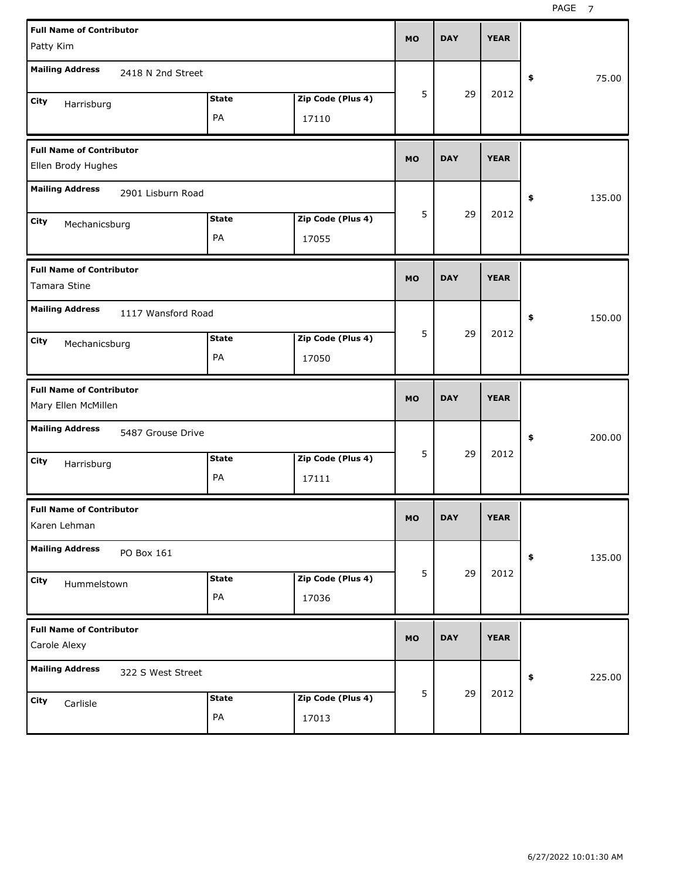| <b>Full Name of Contributor</b><br>Patty Kim           |                    |                    |                            | <b>MO</b> | <b>DAY</b> | <b>YEAR</b> |              |
|--------------------------------------------------------|--------------------|--------------------|----------------------------|-----------|------------|-------------|--------------|
| <b>Mailing Address</b>                                 | 2418 N 2nd Street  |                    |                            |           |            |             | 75.00<br>\$  |
| City<br>Harrisburg                                     |                    | <b>State</b><br>PA | Zip Code (Plus 4)<br>17110 | 5         | 29         | 2012        |              |
| <b>Full Name of Contributor</b><br>Ellen Brody Hughes  |                    |                    |                            | <b>MO</b> | <b>DAY</b> | <b>YEAR</b> |              |
| <b>Mailing Address</b>                                 | 2901 Lisburn Road  |                    |                            |           |            |             | 135.00<br>\$ |
| City<br>Mechanicsburg                                  |                    | <b>State</b><br>PA | Zip Code (Plus 4)<br>17055 | 5         | 29         | 2012        |              |
| <b>Full Name of Contributor</b><br>Tamara Stine        |                    |                    |                            | <b>MO</b> | <b>DAY</b> | <b>YEAR</b> |              |
| <b>Mailing Address</b><br>City<br>Mechanicsburg        | 1117 Wansford Road | <b>State</b><br>PA | Zip Code (Plus 4)<br>17050 | 5         | 29         | 2012        | 150.00<br>\$ |
|                                                        |                    |                    |                            |           |            |             |              |
| <b>Full Name of Contributor</b><br>Mary Ellen McMillen |                    |                    |                            | <b>MO</b> | <b>DAY</b> | <b>YEAR</b> |              |
| <b>Mailing Address</b>                                 | 5487 Grouse Drive  |                    |                            |           |            |             | 200.00<br>\$ |
| City<br>Harrisburg                                     |                    | <b>State</b><br>PA | Zip Code (Plus 4)<br>17111 | 5         | 29         | 2012        |              |
| <b>Full Name of Contributor</b><br>Karen Lehman        |                    |                    |                            | MO        | <b>DAY</b> | <b>YEAR</b> |              |
| <b>Mailing Address</b><br>PO Box 161                   |                    |                    |                            |           |            |             | 135.00<br>\$ |
| City<br>Hummelstown                                    |                    | <b>State</b><br>PA | Zip Code (Plus 4)<br>17036 | 5         | 29         | 2012        |              |
| <b>Full Name of Contributor</b><br>Carole Alexy        |                    |                    |                            | <b>MO</b> | <b>DAY</b> | <b>YEAR</b> |              |
| <b>Mailing Address</b>                                 | 322 S West Street  |                    |                            | 5         | 29         | 2012        | 225.00<br>\$ |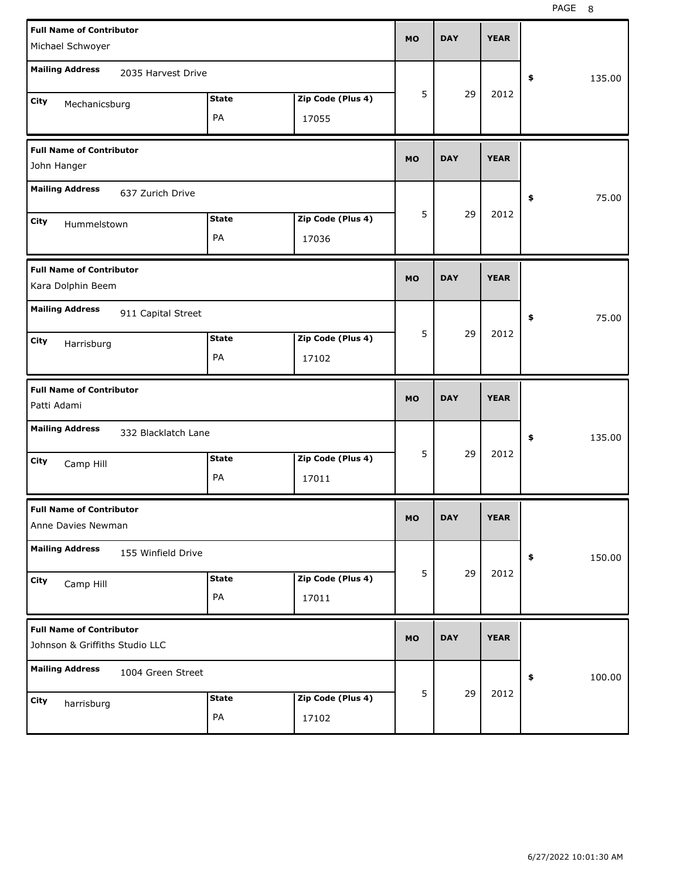| <b>Full Name of Contributor</b><br>Michael Schwoyer               |                            | <b>MO</b> | <b>DAY</b> | <b>YEAR</b> |              |
|-------------------------------------------------------------------|----------------------------|-----------|------------|-------------|--------------|
| <b>Mailing Address</b><br>2035 Harvest Drive                      |                            |           |            |             | \$<br>135.00 |
| <b>State</b><br>City<br>Mechanicsburg<br>PA                       | Zip Code (Plus 4)<br>17055 | 5         | 29         | 2012        |              |
| <b>Full Name of Contributor</b><br>John Hanger                    |                            | <b>MO</b> | <b>DAY</b> | <b>YEAR</b> |              |
| <b>Mailing Address</b><br>637 Zurich Drive                        |                            |           |            |             | \$<br>75.00  |
| <b>State</b><br>City<br>Hummelstown<br>PA                         | Zip Code (Plus 4)<br>17036 | 5         | 29         | 2012        |              |
| <b>Full Name of Contributor</b><br>Kara Dolphin Beem              |                            | <b>MO</b> | <b>DAY</b> | <b>YEAR</b> |              |
| <b>Mailing Address</b><br>911 Capital Street                      |                            |           |            |             | \$<br>75.00  |
| <b>State</b><br>City<br>Harrisburg<br>PA                          | Zip Code (Plus 4)<br>17102 | 5         | 29         | 2012        |              |
|                                                                   |                            |           |            |             |              |
| <b>Full Name of Contributor</b><br>Patti Adami                    |                            | <b>MO</b> | <b>DAY</b> | <b>YEAR</b> |              |
| <b>Mailing Address</b><br>332 Blacklatch Lane                     |                            |           |            |             | \$<br>135.00 |
| <b>State</b><br>City<br>Camp Hill<br>PA                           | Zip Code (Plus 4)<br>17011 | 5         | 29         | 2012        |              |
| <b>Full Name of Contributor</b><br>Anne Davies Newman             |                            | <b>MO</b> | <b>DAY</b> | <b>YEAR</b> |              |
| <b>Mailing Address</b><br>155 Winfield Drive                      |                            |           |            |             | \$<br>150.00 |
| <b>State</b><br>City<br>Camp Hill<br>PA                           | Zip Code (Plus 4)<br>17011 | 5         | 29         | 2012        |              |
| <b>Full Name of Contributor</b><br>Johnson & Griffiths Studio LLC |                            | <b>MO</b> | <b>DAY</b> | <b>YEAR</b> |              |
| <b>Mailing Address</b><br>1004 Green Street                       |                            | 5         | 29         | 2012        | \$<br>100.00 |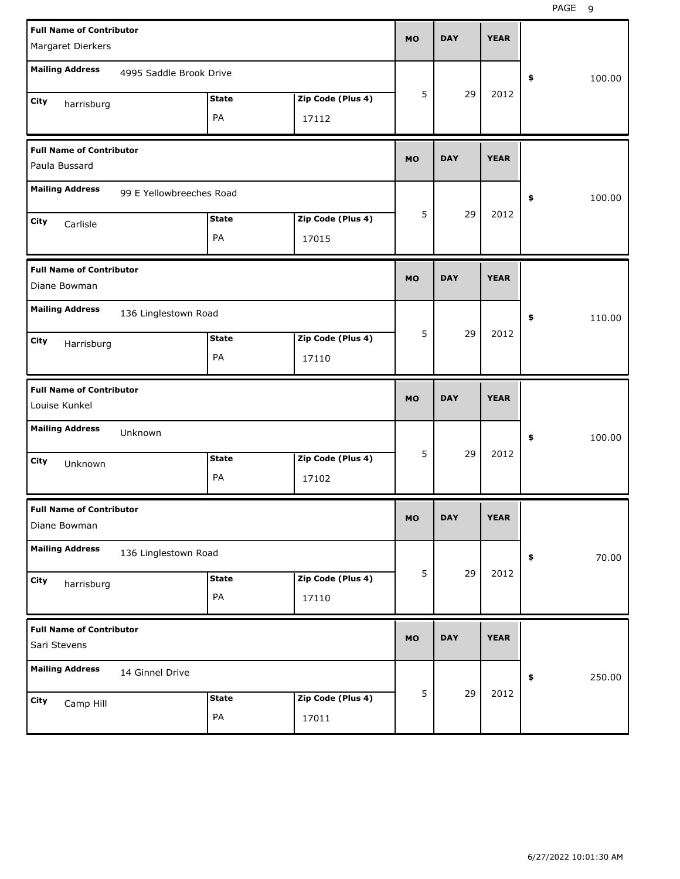| <b>Full Name of Contributor</b><br>Margaret Dierkers |                          |              |                   | <b>MO</b> | <b>DAY</b> | <b>YEAR</b> |              |
|------------------------------------------------------|--------------------------|--------------|-------------------|-----------|------------|-------------|--------------|
| <b>Mailing Address</b>                               | 4995 Saddle Brook Drive  |              |                   |           |            |             | \$<br>100.00 |
| City                                                 |                          | <b>State</b> | Zip Code (Plus 4) | 5         | 29         | 2012        |              |
| harrisburg                                           |                          | PA           | 17112             |           |            |             |              |
| <b>Full Name of Contributor</b><br>Paula Bussard     |                          |              |                   | <b>MO</b> | <b>DAY</b> | <b>YEAR</b> |              |
| <b>Mailing Address</b>                               | 99 E Yellowbreeches Road |              |                   |           |            |             | \$<br>100.00 |
| City<br>Carlisle                                     |                          | <b>State</b> | Zip Code (Plus 4) | 5         | 29         | 2012        |              |
|                                                      |                          | PA           | 17015             |           |            |             |              |
| <b>Full Name of Contributor</b><br>Diane Bowman      |                          |              |                   | <b>MO</b> | <b>DAY</b> | <b>YEAR</b> |              |
| <b>Mailing Address</b>                               | 136 Linglestown Road     |              |                   |           |            |             | \$<br>110.00 |
| City<br>Harrisburg                                   |                          | <b>State</b> | Zip Code (Plus 4) | 5         | 29         | 2012        |              |
|                                                      |                          | PA           | 17110             |           |            |             |              |
|                                                      |                          |              |                   |           |            |             |              |
| <b>Full Name of Contributor</b><br>Louise Kunkel     |                          |              |                   | <b>MO</b> | <b>DAY</b> | <b>YEAR</b> |              |
| <b>Mailing Address</b>                               | Unknown                  |              |                   |           |            |             | \$<br>100.00 |
| City                                                 |                          | <b>State</b> | Zip Code (Plus 4) | 5         | 29         | 2012        |              |
| Unknown                                              |                          | PA           | 17102             |           |            |             |              |
| <b>Full Name of Contributor</b><br>Diane Bowman      |                          |              |                   | МO        | DAY        | <b>YEAR</b> |              |
| <b>Mailing Address</b>                               | 136 Linglestown Road     |              |                   |           |            |             | 70.00<br>\$  |
| City                                                 |                          | <b>State</b> | Zip Code (Plus 4) | 5         | 29         | 2012        |              |
| harrisburg                                           |                          | PA           | 17110             |           |            |             |              |
| <b>Full Name of Contributor</b><br>Sari Stevens      |                          |              |                   | <b>MO</b> | <b>DAY</b> | <b>YEAR</b> |              |
| <b>Mailing Address</b>                               | 14 Ginnel Drive          |              |                   |           |            |             | 250.00<br>\$ |
| City<br>Camp Hill                                    |                          | <b>State</b> | Zip Code (Plus 4) | 5         | 29         | 2012        |              |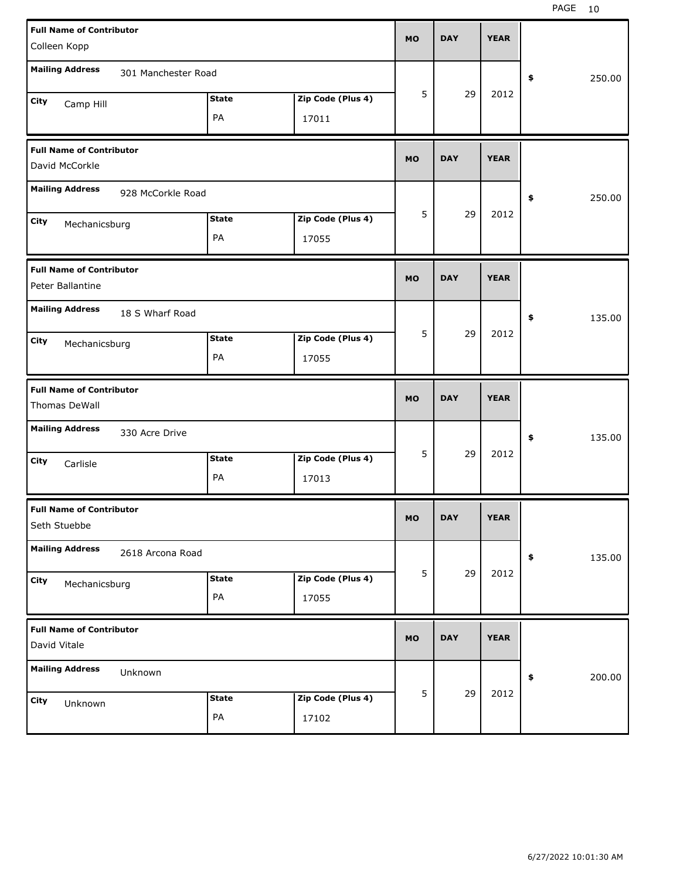| <b>Full Name of Contributor</b>               |              |                   |           |            |             |              |
|-----------------------------------------------|--------------|-------------------|-----------|------------|-------------|--------------|
| Colleen Kopp                                  |              |                   | <b>MO</b> | <b>DAY</b> | <b>YEAR</b> |              |
| <b>Mailing Address</b><br>301 Manchester Road |              |                   |           |            |             |              |
|                                               |              |                   | 5         | 29         | 2012        | \$<br>250.00 |
| City<br>Camp Hill                             | <b>State</b> | Zip Code (Plus 4) |           |            |             |              |
|                                               | PA           | 17011             |           |            |             |              |
| <b>Full Name of Contributor</b>               |              |                   |           |            |             |              |
| David McCorkle                                |              |                   | <b>MO</b> | <b>DAY</b> | <b>YEAR</b> |              |
| <b>Mailing Address</b><br>928 McCorkle Road   |              |                   |           |            |             | \$<br>250.00 |
| City<br>Mechanicsburg                         | <b>State</b> | Zip Code (Plus 4) | 5         | 29         | 2012        |              |
|                                               | PA           | 17055             |           |            |             |              |
| <b>Full Name of Contributor</b>               |              |                   |           |            |             |              |
| Peter Ballantine                              |              |                   | <b>MO</b> | <b>DAY</b> | <b>YEAR</b> |              |
| <b>Mailing Address</b><br>18 S Wharf Road     |              |                   |           |            |             | \$<br>135.00 |
| City<br>Mechanicsburg                         | <b>State</b> | Zip Code (Plus 4) | 5         | 29         | 2012        |              |
|                                               | PA           | 17055             |           |            |             |              |
|                                               |              |                   |           |            |             |              |
| <b>Full Name of Contributor</b>               |              |                   |           |            |             |              |
| Thomas DeWall                                 |              |                   | <b>MO</b> | <b>DAY</b> | <b>YEAR</b> |              |
| <b>Mailing Address</b><br>330 Acre Drive      |              |                   |           |            |             | \$<br>135.00 |
| City<br>Carlisle                              | <b>State</b> | Zip Code (Plus 4) | 5         | 29         | 2012        |              |
|                                               | PA           | 17013             |           |            |             |              |
| <b>Full Name of Contributor</b>               |              |                   |           |            |             |              |
| Seth Stuebbe                                  |              |                   | <b>MO</b> | <b>DAY</b> | <b>YEAR</b> |              |
| <b>Mailing Address</b><br>2618 Arcona Road    |              |                   |           |            |             | \$<br>135.00 |
| City                                          | <b>State</b> | Zip Code (Plus 4) | 5         | 29         | 2012        |              |
| Mechanicsburg                                 | PA           | 17055             |           |            |             |              |
| <b>Full Name of Contributor</b>               |              |                   |           |            |             |              |
| David Vitale                                  |              |                   | <b>MO</b> | <b>DAY</b> | <b>YEAR</b> |              |
| <b>Mailing Address</b><br>Unknown             |              |                   |           |            |             | \$<br>200.00 |
| City<br>Unknown                               | <b>State</b> | Zip Code (Plus 4) | 5         | 29         | 2012        |              |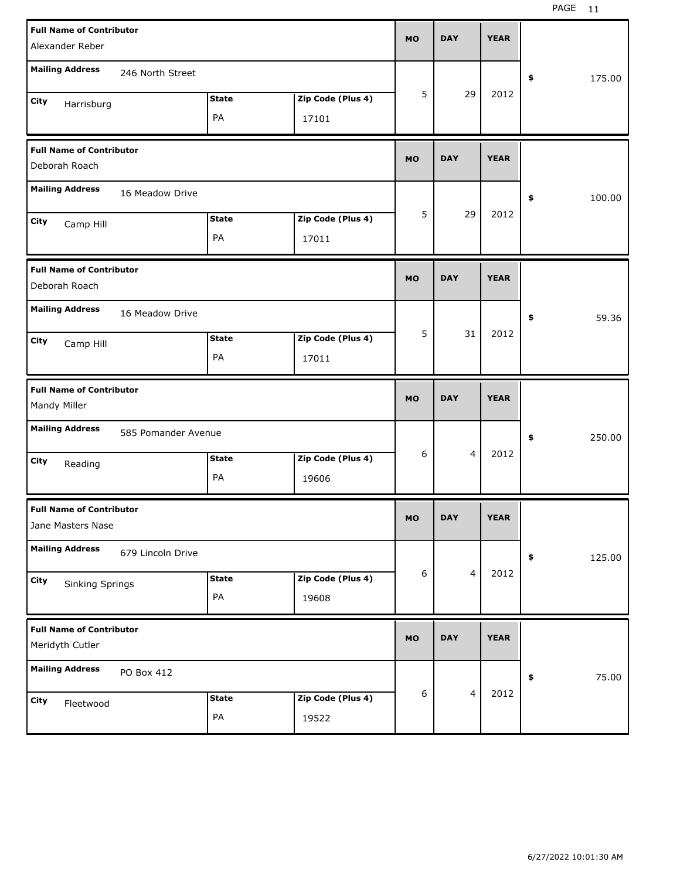| <b>Full Name of Contributor</b><br>Alexander Reber                                 | <b>MO</b> | <b>DAY</b>     | <b>YEAR</b> |              |
|------------------------------------------------------------------------------------|-----------|----------------|-------------|--------------|
| <b>Mailing Address</b><br>246 North Street                                         |           |                |             | 175.00<br>\$ |
| Zip Code (Plus 4)<br><b>State</b><br>City<br>Harrisburg<br>PA<br>17101             | 5         | 29             | 2012        |              |
| <b>Full Name of Contributor</b><br>Deborah Roach                                   | <b>MO</b> | <b>DAY</b>     | <b>YEAR</b> |              |
| <b>Mailing Address</b><br>16 Meadow Drive                                          |           |                |             | 100.00<br>\$ |
| Zip Code (Plus 4)<br><b>State</b><br>City<br>Camp Hill<br>PA<br>17011              | 5         | 29             | 2012        |              |
| <b>Full Name of Contributor</b><br>Deborah Roach                                   | <b>MO</b> | <b>DAY</b>     | <b>YEAR</b> |              |
| <b>Mailing Address</b><br>16 Meadow Drive                                          |           |                |             | 59.36<br>\$  |
| Zip Code (Plus 4)<br><b>State</b><br>City<br>Camp Hill<br>PA<br>17011              | 5         | 31             | 2012        |              |
|                                                                                    |           |                |             |              |
| <b>Full Name of Contributor</b><br>Mandy Miller                                    | <b>MO</b> | <b>DAY</b>     | <b>YEAR</b> |              |
| <b>Mailing Address</b><br>585 Pomander Avenue                                      |           |                |             | 250.00<br>\$ |
| Zip Code (Plus 4)<br><b>State</b><br>City<br>Reading<br>PA<br>19606                | 6         | 4              | 2012        |              |
| <b>Full Name of Contributor</b><br>Jane Masters Nase                               | <b>MO</b> | <b>DAY</b>     | <b>YEAR</b> |              |
| <b>Mailing Address</b><br>679 Lincoln Drive                                        |           |                |             | 125.00<br>\$ |
| Zip Code (Plus 4)<br><b>State</b><br>City<br><b>Sinking Springs</b><br>PA<br>19608 | 6         | 4              | 2012        |              |
| <b>Full Name of Contributor</b><br>Meridyth Cutler                                 | <b>MO</b> | <b>DAY</b>     | <b>YEAR</b> |              |
| <b>Mailing Address</b><br>PO Box 412                                               |           | $\overline{4}$ | 2012        | 75.00<br>\$  |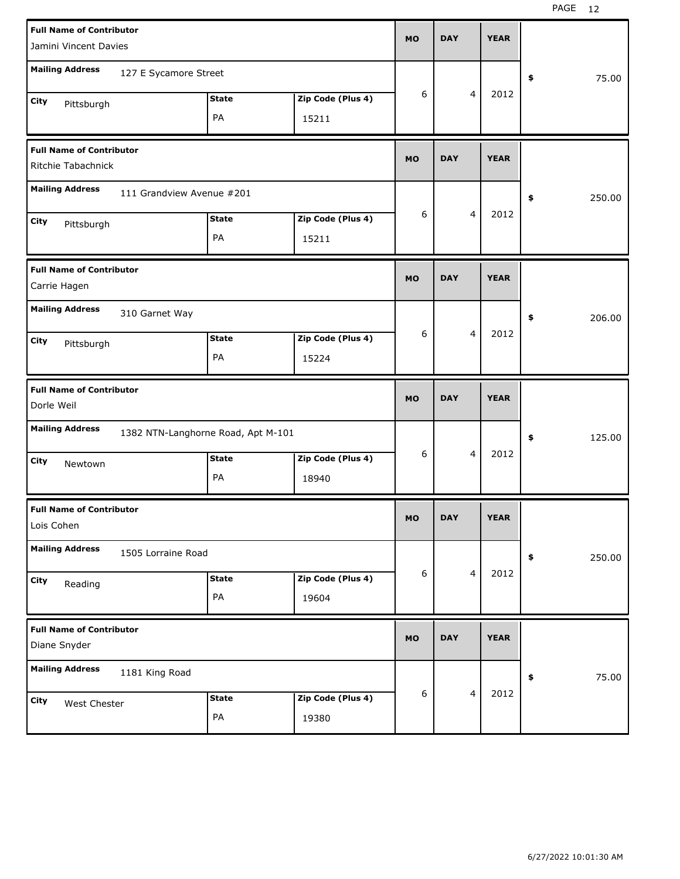| <b>Full Name of Contributor</b><br>Jamini Vincent Davies               | <b>MO</b> | <b>DAY</b> |                         | <b>YEAR</b> |              |
|------------------------------------------------------------------------|-----------|------------|-------------------------|-------------|--------------|
| <b>Mailing Address</b><br>127 E Sycamore Street                        |           |            |                         |             | \$<br>75.00  |
| Zip Code (Plus 4)<br><b>State</b><br>City<br>Pittsburgh<br>PA<br>15211 | 6         |            | 4                       | 2012        |              |
| <b>Full Name of Contributor</b><br>Ritchie Tabachnick                  | <b>MO</b> | <b>DAY</b> |                         | <b>YEAR</b> |              |
| <b>Mailing Address</b><br>111 Grandview Avenue #201                    |           |            |                         |             | \$<br>250.00 |
| Zip Code (Plus 4)<br><b>State</b><br>City<br>Pittsburgh<br>PA<br>15211 | 6         |            | 4                       | 2012        |              |
| <b>Full Name of Contributor</b><br>Carrie Hagen                        | <b>MO</b> | <b>DAY</b> |                         | <b>YEAR</b> |              |
| <b>Mailing Address</b><br>310 Garnet Way                               |           |            |                         |             | \$<br>206.00 |
| Zip Code (Plus 4)<br><b>State</b><br>City<br>Pittsburgh<br>PA<br>15224 | 6         |            | 4                       | 2012        |              |
|                                                                        |           |            |                         |             |              |
| <b>Full Name of Contributor</b><br>Dorle Weil                          | <b>MO</b> | <b>DAY</b> |                         | <b>YEAR</b> |              |
| <b>Mailing Address</b><br>1382 NTN-Langhorne Road, Apt M-101           |           |            |                         |             | \$<br>125.00 |
| <b>State</b><br>Zip Code (Plus 4)<br>City<br>Newtown<br>PA<br>18940    | 6         |            | 4                       | 2012        |              |
| <b>Full Name of Contributor</b><br>Lois Cohen                          | <b>MO</b> | <b>DAY</b> |                         | <b>YEAR</b> |              |
| <b>Mailing Address</b><br>1505 Lorraine Road                           |           |            |                         |             | 250.00<br>\$ |
| Zip Code (Plus 4)<br><b>State</b><br>City<br>Reading<br>PA<br>19604    | 6         |            | $\overline{\mathbf{4}}$ | 2012        |              |
| <b>Full Name of Contributor</b><br>Diane Snyder                        | <b>MO</b> | <b>DAY</b> |                         | <b>YEAR</b> |              |
| <b>Mailing Address</b><br>1181 King Road                               | 6         |            | $\overline{\mathbf{4}}$ | 2012        | 75.00<br>\$  |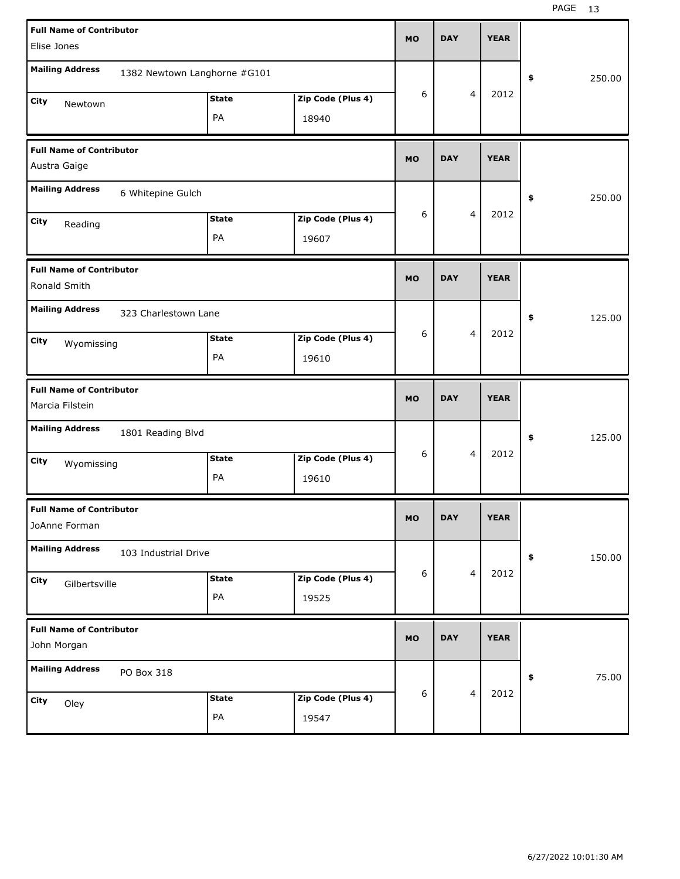| <b>Full Name of Contributor</b>                        |              |                   |           |            |   | <b>YEAR</b> |            |        |
|--------------------------------------------------------|--------------|-------------------|-----------|------------|---|-------------|------------|--------|
| Elise Jones                                            |              |                   | <b>MO</b> | <b>DAY</b> |   |             |            |        |
| <b>Mailing Address</b><br>1382 Newtown Langhorne #G101 |              |                   |           |            |   |             | \$         | 250.00 |
| City<br>Newtown                                        | <b>State</b> | Zip Code (Plus 4) | 6         |            | 4 | 2012        |            |        |
|                                                        | PA           | 18940             |           |            |   |             |            |        |
| <b>Full Name of Contributor</b><br>Austra Gaige        |              |                   | <b>MO</b> | <b>DAY</b> |   | <b>YEAR</b> |            |        |
| <b>Mailing Address</b><br>6 Whitepine Gulch            |              |                   |           |            |   |             | \$         | 250.00 |
| City<br>Reading                                        | <b>State</b> | Zip Code (Plus 4) | 6         |            | 4 | 2012        |            |        |
|                                                        | PA           | 19607             |           |            |   |             |            |        |
| <b>Full Name of Contributor</b><br>Ronald Smith        |              |                   | <b>MO</b> | <b>DAY</b> |   | <b>YEAR</b> |            |        |
| <b>Mailing Address</b><br>323 Charlestown Lane         |              |                   |           |            |   |             | \$         | 125.00 |
| City<br>Wyomissing                                     | <b>State</b> | Zip Code (Plus 4) | 6         | 4          |   | 2012        |            |        |
|                                                        | PA           | 19610             |           |            |   |             |            |        |
|                                                        |              |                   |           |            |   |             |            |        |
| <b>Full Name of Contributor</b><br>Marcia Filstein     |              |                   | <b>MO</b> | <b>DAY</b> |   | <b>YEAR</b> |            |        |
| <b>Mailing Address</b><br>1801 Reading Blvd            |              |                   |           |            |   |             | \$         | 125.00 |
| City                                                   | <b>State</b> | Zip Code (Plus 4) | 6         |            | 4 | 2012        |            |        |
| Wyomissing                                             | PA           | 19610             |           |            |   |             |            |        |
| <b>Full Name of Contributor</b><br>JoAnne Forman       |              |                   | MO.       | DAY        |   | YEAK        |            |        |
| <b>Mailing Address</b><br>103 Industrial Drive         |              |                   |           |            |   |             | $\pmb{\$}$ | 150.00 |
| City                                                   | <b>State</b> | Zip Code (Plus 4) | 6         |            | 4 | 2012        |            |        |
| Gilbertsville                                          | PA           | 19525             |           |            |   |             |            |        |
| <b>Full Name of Contributor</b><br>John Morgan         |              |                   | <b>MO</b> | <b>DAY</b> |   | <b>YEAR</b> |            |        |
| <b>Mailing Address</b><br>PO Box 318                   |              |                   |           |            |   |             | \$         | 75.00  |
| City<br>Oley                                           | <b>State</b> | Zip Code (Plus 4) | 6         |            | 4 | 2012        |            |        |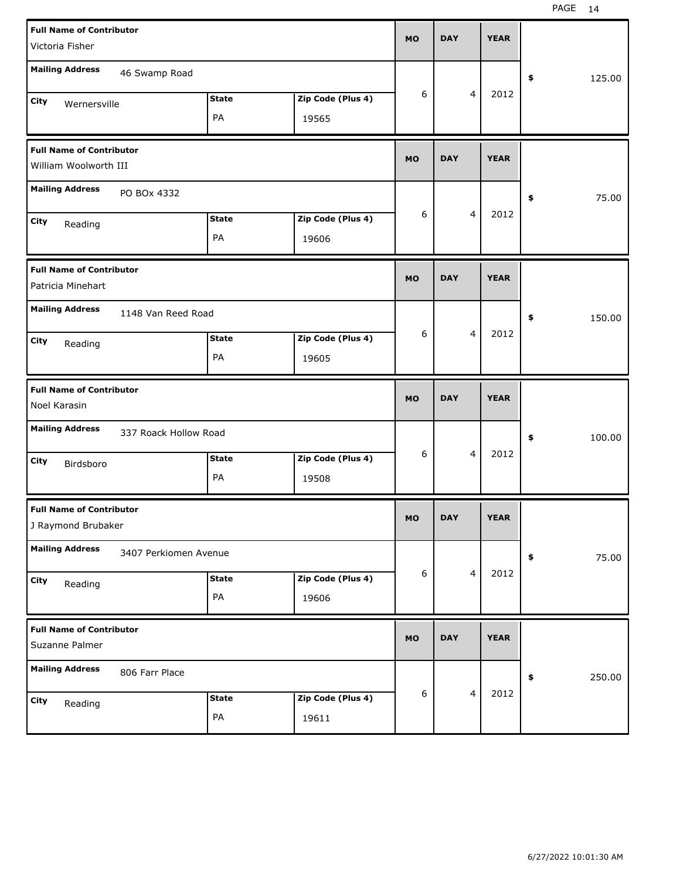| <b>Full Name of Contributor</b> |                       |                    |                            | <b>MO</b> | <b>DAY</b> |                | <b>YEAR</b> |              |
|---------------------------------|-----------------------|--------------------|----------------------------|-----------|------------|----------------|-------------|--------------|
| Victoria Fisher                 |                       |                    |                            |           |            |                |             |              |
| <b>Mailing Address</b>          | 46 Swamp Road         |                    |                            |           |            |                |             | \$<br>125.00 |
| City<br>Wernersville            |                       | <b>State</b>       | Zip Code (Plus 4)          | 6         |            | $\overline{4}$ | 2012        |              |
|                                 |                       | PA                 | 19565                      |           |            |                |             |              |
|                                 |                       |                    |                            |           |            |                |             |              |
| <b>Full Name of Contributor</b> |                       |                    |                            |           |            |                |             |              |
| William Woolworth III           |                       |                    |                            | <b>MO</b> | <b>DAY</b> |                | <b>YEAR</b> |              |
| <b>Mailing Address</b>          | PO BOx 4332           |                    |                            |           |            |                |             | \$<br>75.00  |
|                                 |                       | <b>State</b>       | Zip Code (Plus 4)          | 6         |            | $\overline{4}$ | 2012        |              |
| City<br>Reading                 |                       |                    |                            |           |            |                |             |              |
|                                 |                       | PA                 | 19606                      |           |            |                |             |              |
| <b>Full Name of Contributor</b> |                       |                    |                            |           |            |                |             |              |
| Patricia Minehart               |                       |                    |                            | <b>MO</b> | <b>DAY</b> |                | <b>YEAR</b> |              |
| <b>Mailing Address</b>          |                       |                    |                            |           |            |                |             |              |
|                                 | 1148 Van Reed Road    |                    |                            |           |            |                |             | \$<br>150.00 |
| City<br>Reading                 |                       | <b>State</b>       | Zip Code (Plus 4)          | 6         |            | $\overline{4}$ | 2012        |              |
|                                 |                       | PA                 | 19605                      |           |            |                |             |              |
|                                 |                       |                    |                            |           |            |                |             |              |
|                                 |                       |                    |                            |           |            |                |             |              |
| <b>Full Name of Contributor</b> |                       |                    |                            |           |            |                |             |              |
| Noel Karasin                    |                       |                    |                            | <b>MO</b> | <b>DAY</b> |                | <b>YEAR</b> |              |
| <b>Mailing Address</b>          | 337 Roack Hollow Road |                    |                            |           |            |                |             | \$<br>100.00 |
|                                 |                       |                    |                            | 6         |            | $\overline{4}$ | 2012        |              |
| City<br>Birdsboro               |                       | <b>State</b>       | Zip Code (Plus 4)          |           |            |                |             |              |
|                                 |                       | PA                 | 19508                      |           |            |                |             |              |
| <b>Full Name of Contributor</b> |                       |                    |                            |           |            |                |             |              |
| J Raymond Brubaker              |                       |                    |                            | <b>MO</b> | <b>DAY</b> |                | <b>YEAR</b> |              |
|                                 |                       |                    |                            |           |            |                |             |              |
| <b>Mailing Address</b>          | 3407 Perkiomen Avenue |                    |                            |           |            |                |             | \$<br>75.00  |
| City                            |                       | State              | Zip Code (Plus 4)          | 6         |            | $\overline{4}$ | 2012        |              |
| Reading                         |                       | PA                 | 19606                      |           |            |                |             |              |
|                                 |                       |                    |                            |           |            |                |             |              |
| <b>Full Name of Contributor</b> |                       |                    |                            | <b>MO</b> | <b>DAY</b> |                | <b>YEAR</b> |              |
| Suzanne Palmer                  |                       |                    |                            |           |            |                |             |              |
| <b>Mailing Address</b>          | 806 Farr Place        |                    |                            |           |            |                |             |              |
|                                 |                       |                    |                            |           |            | $\overline{4}$ |             | \$<br>250.00 |
| City<br>Reading                 |                       | <b>State</b><br>PA | Zip Code (Plus 4)<br>19611 | 6         |            |                | 2012        |              |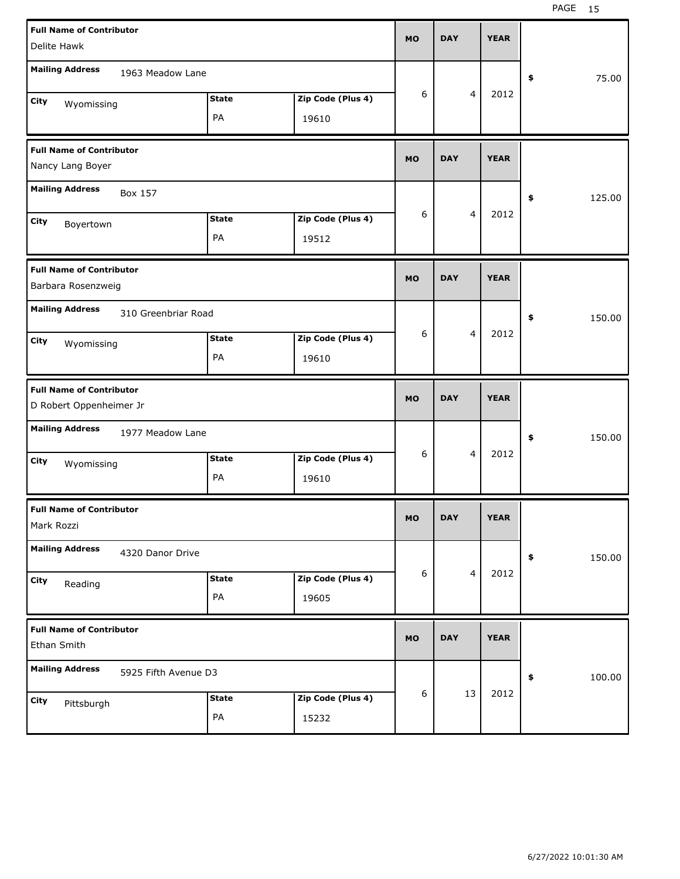| <b>Full Name of Contributor</b>                |                    |                            | <b>MO</b> | <b>DAY</b> |                         | <b>YEAR</b> |              |
|------------------------------------------------|--------------------|----------------------------|-----------|------------|-------------------------|-------------|--------------|
| Delite Hawk                                    |                    |                            |           |            |                         |             |              |
| <b>Mailing Address</b><br>1963 Meadow Lane     |                    |                            |           |            |                         |             | \$<br>75.00  |
| City                                           | <b>State</b>       | Zip Code (Plus 4)          | 6         |            | $\overline{4}$          | 2012        |              |
| Wyomissing                                     | PA                 | 19610                      |           |            |                         |             |              |
|                                                |                    |                            |           |            |                         |             |              |
| <b>Full Name of Contributor</b>                |                    |                            |           |            |                         |             |              |
| Nancy Lang Boyer                               |                    |                            | <b>MO</b> | <b>DAY</b> |                         | <b>YEAR</b> |              |
| <b>Mailing Address</b><br>Box 157              |                    |                            |           |            |                         |             | \$<br>125.00 |
| City                                           | <b>State</b>       | Zip Code (Plus 4)          | 6         |            | $\overline{4}$          | 2012        |              |
| Boyertown                                      | PA                 |                            |           |            |                         |             |              |
|                                                |                    | 19512                      |           |            |                         |             |              |
| <b>Full Name of Contributor</b>                |                    |                            |           |            |                         |             |              |
| Barbara Rosenzweig                             |                    |                            | <b>MO</b> | <b>DAY</b> |                         | <b>YEAR</b> |              |
| <b>Mailing Address</b><br>310 Greenbriar Road  |                    |                            |           |            |                         |             | \$<br>150.00 |
| City                                           | <b>State</b>       | Zip Code (Plus 4)          | 6         |            | 4                       | 2012        |              |
| Wyomissing                                     | PA                 | 19610                      |           |            |                         |             |              |
|                                                |                    |                            |           |            |                         |             |              |
|                                                |                    |                            |           |            |                         |             |              |
| <b>Full Name of Contributor</b>                |                    |                            |           |            |                         |             |              |
| D Robert Oppenheimer Jr                        |                    |                            | <b>MO</b> | <b>DAY</b> |                         | <b>YEAR</b> |              |
|                                                |                    |                            |           |            |                         |             |              |
| <b>Mailing Address</b><br>1977 Meadow Lane     |                    |                            |           |            |                         |             | \$<br>150.00 |
|                                                |                    |                            | 6         |            | $\overline{4}$          | 2012        |              |
| City<br>Wyomissing                             | <b>State</b>       | Zip Code (Plus 4)          |           |            |                         |             |              |
|                                                | PA                 | 19610                      |           |            |                         |             |              |
| <b>Full Name of Contributor</b>                |                    |                            |           |            |                         |             |              |
| Mark Rozzi                                     |                    |                            | <b>MO</b> | <b>DAY</b> |                         | <b>YEAR</b> |              |
|                                                |                    |                            |           |            |                         |             |              |
| <b>Mailing Address</b><br>4320 Danor Drive     |                    |                            |           |            |                         |             | \$<br>150.00 |
|                                                |                    |                            | 6         |            | $\overline{\mathbf{4}}$ | 2012        |              |
| City<br>Reading                                | <b>State</b>       | Zip Code (Plus 4)          |           |            |                         |             |              |
|                                                | PA                 | 19605                      |           |            |                         |             |              |
|                                                |                    |                            |           |            |                         |             |              |
| <b>Full Name of Contributor</b>                |                    |                            | <b>MO</b> | <b>DAY</b> |                         | <b>YEAR</b> |              |
| Ethan Smith                                    |                    |                            |           |            |                         |             |              |
| <b>Mailing Address</b><br>5925 Fifth Avenue D3 |                    |                            |           |            |                         |             | \$<br>100.00 |
|                                                |                    |                            | 6         |            | 13                      | 2012        |              |
| City<br>Pittsburgh                             | <b>State</b><br>PA | Zip Code (Plus 4)<br>15232 |           |            |                         |             |              |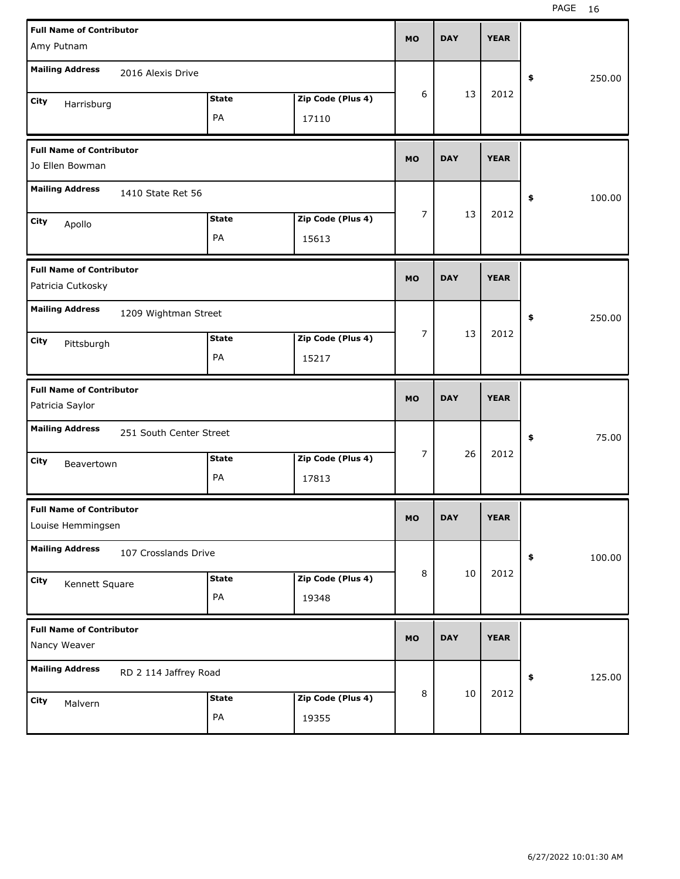| <b>Full Name of Contributor</b>                   |              |                   | <b>MO</b> | <b>DAY</b> | <b>YEAR</b> |              |       |
|---------------------------------------------------|--------------|-------------------|-----------|------------|-------------|--------------|-------|
| Amy Putnam                                        |              |                   |           |            |             |              |       |
| <b>Mailing Address</b><br>2016 Alexis Drive       |              |                   |           |            |             | 250.00<br>\$ |       |
| City<br>Harrisburg                                | <b>State</b> | Zip Code (Plus 4) | 6         | 13         | 2012        |              |       |
|                                                   | PA           | 17110             |           |            |             |              |       |
| <b>Full Name of Contributor</b>                   |              |                   | <b>MO</b> | <b>DAY</b> | <b>YEAR</b> |              |       |
| Jo Ellen Bowman                                   |              |                   |           |            |             |              |       |
| <b>Mailing Address</b><br>1410 State Ret 56       |              |                   |           |            |             | \$<br>100.00 |       |
| City<br>Apollo                                    | <b>State</b> | Zip Code (Plus 4) | 7         | 13         | 2012        |              |       |
|                                                   | PA           | 15613             |           |            |             |              |       |
| <b>Full Name of Contributor</b>                   |              |                   | <b>MO</b> | <b>DAY</b> | <b>YEAR</b> |              |       |
| Patricia Cutkosky                                 |              |                   |           |            |             |              |       |
| <b>Mailing Address</b><br>1209 Wightman Street    |              |                   |           |            |             | \$<br>250.00 |       |
| City<br>Pittsburgh                                | <b>State</b> | Zip Code (Plus 4) | 7         | 13         | 2012        |              |       |
|                                                   | PA           | 15217             |           |            |             |              |       |
|                                                   |              |                   |           |            |             |              |       |
| <b>Full Name of Contributor</b>                   |              |                   | <b>MO</b> | <b>DAY</b> | <b>YEAR</b> |              |       |
| Patricia Saylor                                   |              |                   |           |            |             |              |       |
| <b>Mailing Address</b><br>251 South Center Street |              |                   |           |            |             | \$           | 75.00 |
| City<br>Beavertown                                | <b>State</b> | Zip Code (Plus 4) | 7         | 26         | 2012        |              |       |
|                                                   | PA           | 17813             |           |            |             |              |       |
| <b>Full Name of Contributor</b>                   |              |                   | <b>MO</b> | <b>DAY</b> | <b>YEAR</b> |              |       |
| Louise Hemmingsen                                 |              |                   |           |            |             |              |       |
| <b>Mailing Address</b><br>107 Crosslands Drive    |              |                   |           |            |             | \$<br>100.00 |       |
| City<br>Kennett Square                            | <b>State</b> | Zip Code (Plus 4) | 8         | 10         | 2012        |              |       |
|                                                   | PA           | 19348             |           |            |             |              |       |
| <b>Full Name of Contributor</b>                   |              |                   |           |            |             |              |       |
| Nancy Weaver                                      |              |                   | <b>MO</b> | <b>DAY</b> | <b>YEAR</b> |              |       |
| <b>Mailing Address</b><br>RD 2 114 Jaffrey Road   |              |                   |           |            |             | 125.00<br>\$ |       |
| City<br>Malvern                                   | <b>State</b> | Zip Code (Plus 4) | 8         | $10\,$     | 2012        |              |       |
|                                                   | PA           | 19355             |           |            |             |              |       |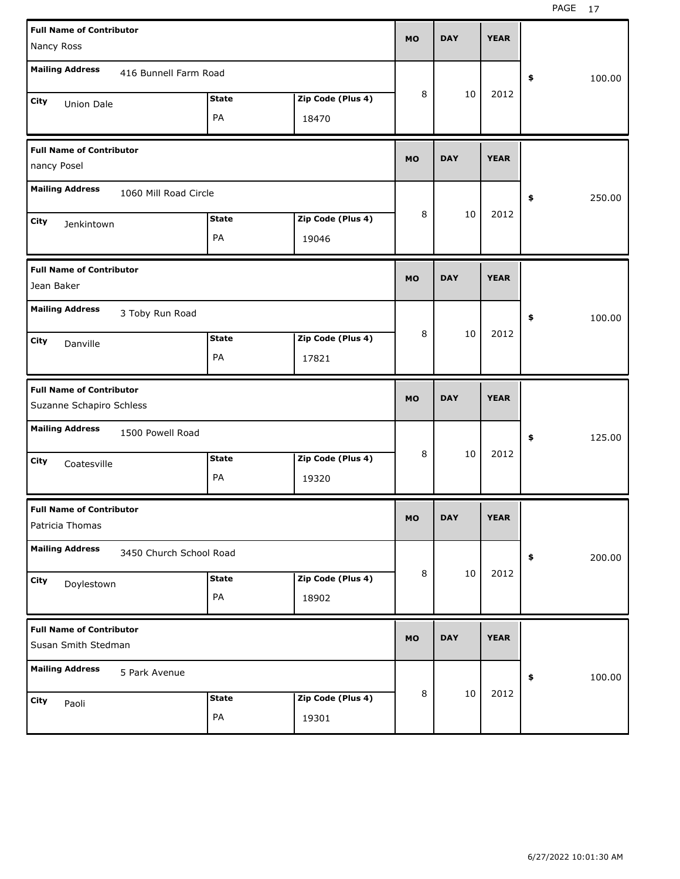| <b>Full Name of Contributor</b><br>Nancy Ross                                 | <b>MO</b> | <b>DAY</b> | <b>YEAR</b> |              |
|-------------------------------------------------------------------------------|-----------|------------|-------------|--------------|
| <b>Mailing Address</b><br>416 Bunnell Farm Road                               |           |            |             | \$<br>100.00 |
| Zip Code (Plus 4)<br><b>State</b><br>City<br><b>Union Dale</b><br>PA<br>18470 | 8         | 10         | 2012        |              |
| <b>Full Name of Contributor</b><br>nancy Posel                                | <b>MO</b> | <b>DAY</b> | <b>YEAR</b> |              |
| <b>Mailing Address</b><br>1060 Mill Road Circle                               |           |            |             | 250.00<br>\$ |
| Zip Code (Plus 4)<br><b>State</b><br>City<br>Jenkintown<br>PA<br>19046        | 8         | 10         | 2012        |              |
| <b>Full Name of Contributor</b><br>Jean Baker                                 | <b>MO</b> | <b>DAY</b> | <b>YEAR</b> |              |
| <b>Mailing Address</b><br>3 Toby Run Road                                     |           |            |             | \$<br>100.00 |
| <b>State</b><br>Zip Code (Plus 4)<br>City<br>Danville<br>PA<br>17821          | 8         | 10         | 2012        |              |
|                                                                               |           |            |             |              |
| <b>Full Name of Contributor</b><br>Suzanne Schapiro Schless                   | <b>MO</b> | <b>DAY</b> | <b>YEAR</b> |              |
| <b>Mailing Address</b><br>1500 Powell Road                                    |           |            |             | 125.00<br>\$ |
| Zip Code (Plus 4)<br><b>State</b><br>City<br>Coatesville<br>PA<br>19320       | 8         | 10         | 2012        |              |
| <b>Full Name of Contributor</b><br>Patricia Thomas                            | <b>MO</b> | <b>DAY</b> | <b>YEAR</b> |              |
| <b>Mailing Address</b><br>3450 Church School Road                             |           |            |             | \$<br>200.00 |
| Zip Code (Plus 4)<br><b>State</b><br>City<br>Doylestown<br>PA<br>18902        | 8         | $10\,$     | 2012        |              |
| <b>Full Name of Contributor</b><br>Susan Smith Stedman                        | <b>MO</b> | <b>DAY</b> | <b>YEAR</b> |              |
| <b>Mailing Address</b><br>5 Park Avenue                                       | 8         | $10\,$     | 2012        | \$<br>100.00 |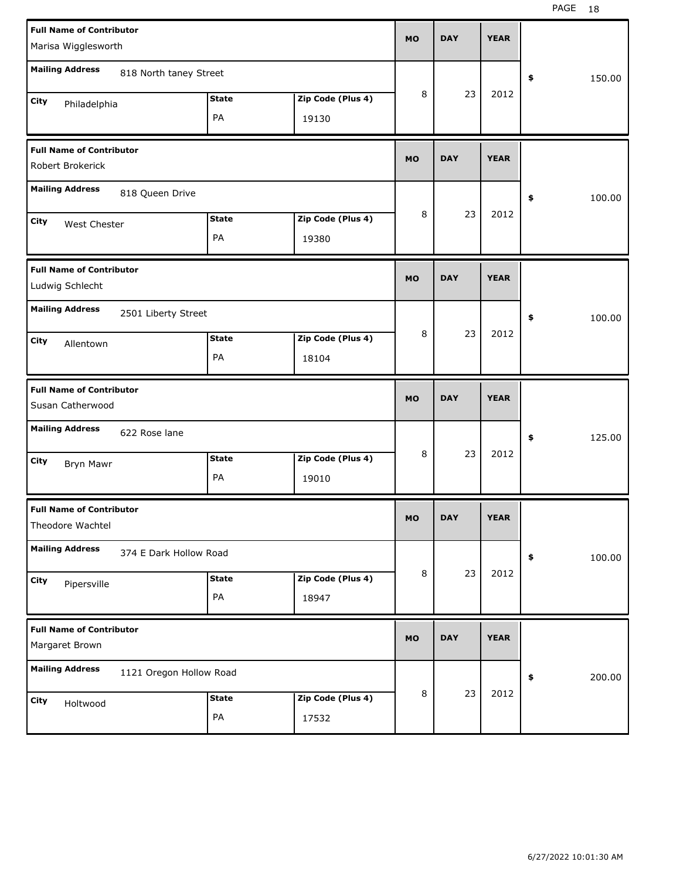| <b>Full Name of Contributor</b>                     |                   | <b>MO</b> | <b>DAY</b> | <b>YEAR</b> |              |
|-----------------------------------------------------|-------------------|-----------|------------|-------------|--------------|
| Marisa Wigglesworth                                 |                   |           |            |             |              |
| <b>Mailing Address</b><br>818 North taney Street    |                   |           |            |             | \$<br>150.00 |
| <b>State</b><br><b>City</b><br>Philadelphia         | Zip Code (Plus 4) | 8         | 23         | 2012        |              |
| PA                                                  | 19130             |           |            |             |              |
| <b>Full Name of Contributor</b><br>Robert Brokerick |                   | <b>MO</b> | <b>DAY</b> | <b>YEAR</b> |              |
| <b>Mailing Address</b><br>818 Queen Drive           |                   |           |            |             | 100.00<br>\$ |
| <b>State</b><br><b>City</b><br>West Chester         | Zip Code (Plus 4) | 8         | 23         | 2012        |              |
| PA                                                  | 19380             |           |            |             |              |
| <b>Full Name of Contributor</b><br>Ludwig Schlecht  |                   | <b>MO</b> | <b>DAY</b> | <b>YEAR</b> |              |
| <b>Mailing Address</b><br>2501 Liberty Street       |                   |           |            |             | \$<br>100.00 |
| <b>State</b><br><b>City</b><br>Allentown            | Zip Code (Plus 4) | 8         | 23         | 2012        |              |
| PA                                                  | 18104             |           |            |             |              |
|                                                     |                   |           |            |             |              |
| <b>Full Name of Contributor</b><br>Susan Catherwood |                   | <b>MO</b> | <b>DAY</b> | <b>YEAR</b> |              |
| <b>Mailing Address</b><br>622 Rose lane             |                   |           |            |             | 125.00<br>\$ |
| <b>State</b><br><b>City</b>                         | Zip Code (Plus 4) | 8         | 23         | 2012        |              |
| Bryn Mawr<br>PA                                     | 19010             |           |            |             |              |
| <b>Full Name of Contributor</b><br>Theodore Wachtel |                   | MU.       | DAY        | YEAR        |              |
| <b>Mailing Address</b><br>374 E Dark Hollow Road    |                   |           |            |             | 100.00<br>\$ |
| <b>State</b><br>City                                | Zip Code (Plus 4) | 8         | 23         | 2012        |              |
| Pipersville<br>PA                                   | 18947             |           |            |             |              |
| <b>Full Name of Contributor</b><br>Margaret Brown   |                   | <b>MO</b> | <b>DAY</b> | <b>YEAR</b> |              |
| <b>Mailing Address</b><br>1121 Oregon Hollow Road   |                   |           |            |             | \$<br>200.00 |
| <b>State</b><br>City<br>Holtwood                    | Zip Code (Plus 4) | 8         | 23         | 2012        |              |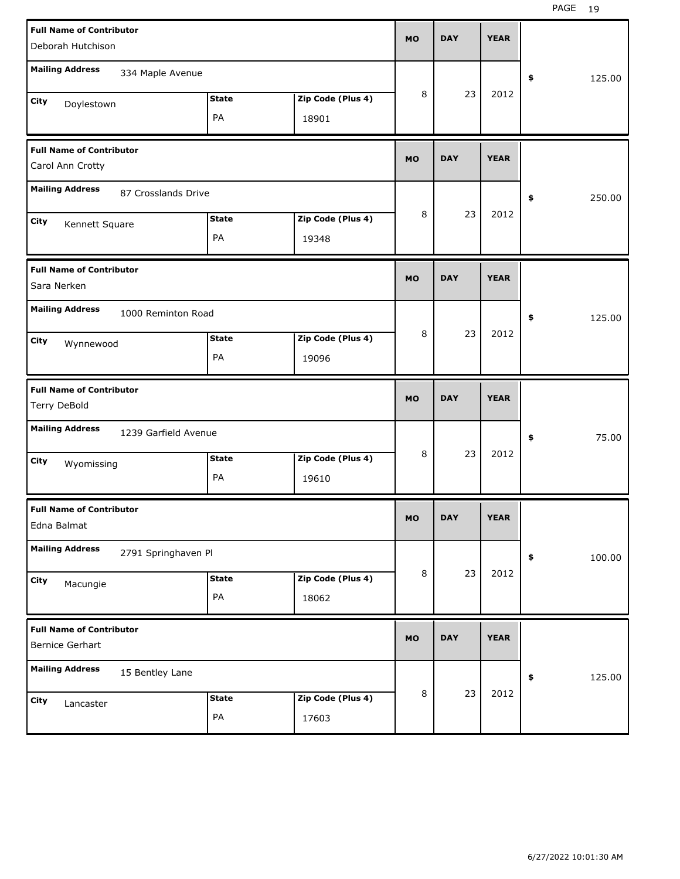| <b>Full Name of Contributor</b><br>Deborah Hutchison                       | <b>MO</b> | <b>DAY</b> | <b>YEAR</b> |              |
|----------------------------------------------------------------------------|-----------|------------|-------------|--------------|
| <b>Mailing Address</b><br>334 Maple Avenue                                 |           |            |             | \$<br>125.00 |
| Zip Code (Plus 4)<br><b>State</b><br>City<br>Doylestown<br>PA<br>18901     | 8         | 23         | 2012        |              |
| <b>Full Name of Contributor</b><br>Carol Ann Crotty                        | <b>MO</b> | <b>DAY</b> | <b>YEAR</b> |              |
| <b>Mailing Address</b><br>87 Crosslands Drive                              |           |            |             | \$<br>250.00 |
| Zip Code (Plus 4)<br><b>State</b><br>City<br>Kennett Square<br>PA<br>19348 | 8         | 23         | 2012        |              |
| <b>Full Name of Contributor</b><br>Sara Nerken                             | <b>MO</b> | <b>DAY</b> | <b>YEAR</b> |              |
| <b>Mailing Address</b><br>1000 Reminton Road                               |           |            |             | \$<br>125.00 |
| Zip Code (Plus 4)<br><b>State</b><br>City<br>Wynnewood<br>PA<br>19096      | 8         | 23         | 2012        |              |
|                                                                            |           |            |             |              |
| <b>Full Name of Contributor</b><br>Terry DeBold                            | <b>MO</b> | <b>DAY</b> | <b>YEAR</b> |              |
| <b>Mailing Address</b><br>1239 Garfield Avenue                             |           |            |             | \$<br>75.00  |
| Zip Code (Plus 4)<br><b>State</b><br>City<br>Wyomissing<br>PA<br>19610     | 8         | 23         | 2012        |              |
| <b>Full Name of Contributor</b><br>Edna Balmat                             | MO.       | DAY        | YEAK        |              |
| <b>Mailing Address</b><br>2791 Springhaven Pl                              |           |            |             | 100.00<br>\$ |
| Zip Code (Plus 4)<br><b>State</b><br>City<br>Macungie<br>PA<br>18062       | 8         | 23         | 2012        |              |
| <b>Full Name of Contributor</b><br><b>Bernice Gerhart</b>                  | <b>MO</b> | <b>DAY</b> | <b>YEAR</b> |              |
| <b>Mailing Address</b><br>15 Bentley Lane                                  |           |            |             | 125.00<br>\$ |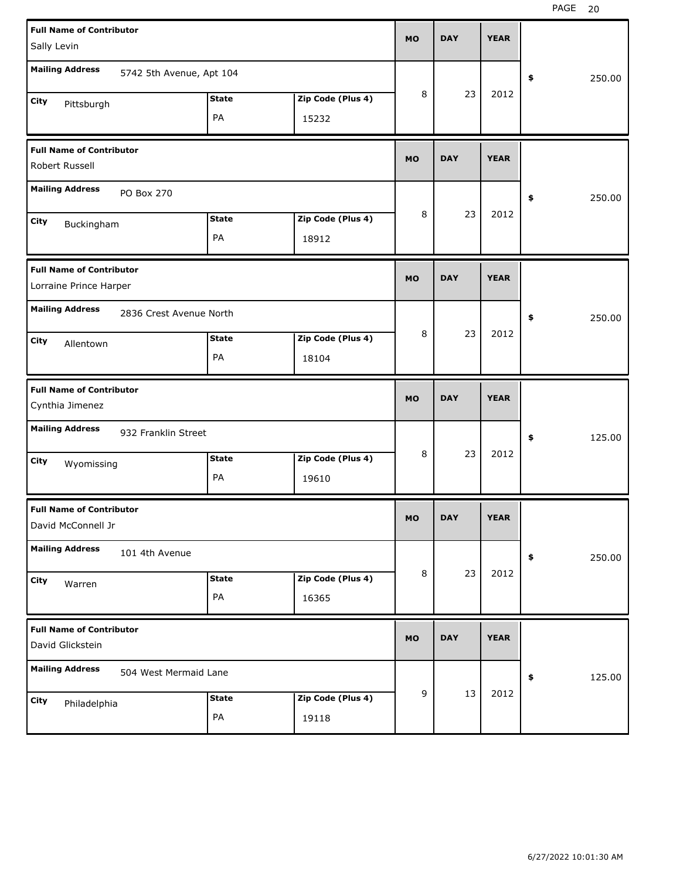| <b>Full Name of Contributor</b><br>Sally Levin                         | <b>MO</b> | <b>DAY</b> | <b>YEAR</b> |              |
|------------------------------------------------------------------------|-----------|------------|-------------|--------------|
| <b>Mailing Address</b><br>5742 5th Avenue, Apt 104                     |           |            |             | 250.00<br>\$ |
| <b>State</b><br>Zip Code (Plus 4)<br>City<br>Pittsburgh<br>PA<br>15232 | 8         | 23         | 2012        |              |
| <b>Full Name of Contributor</b><br>Robert Russell                      | <b>MO</b> | <b>DAY</b> | <b>YEAR</b> |              |
| <b>Mailing Address</b><br>PO Box 270                                   |           |            |             | 250.00<br>\$ |
| <b>State</b><br>Zip Code (Plus 4)<br>City<br>Buckingham<br>PA<br>18912 | 8         | 23         | 2012        |              |
| <b>Full Name of Contributor</b><br>Lorraine Prince Harper              | <b>MO</b> | <b>DAY</b> | <b>YEAR</b> |              |
| <b>Mailing Address</b><br>2836 Crest Avenue North                      |           |            |             | \$<br>250.00 |
| <b>State</b><br>Zip Code (Plus 4)<br>City<br>Allentown<br>PA<br>18104  | 8         | 23         | 2012        |              |
|                                                                        |           |            |             |              |
| <b>Full Name of Contributor</b><br>Cynthia Jimenez                     | <b>MO</b> | <b>DAY</b> | <b>YEAR</b> |              |
| <b>Mailing Address</b><br>932 Franklin Street                          |           |            |             | 125.00<br>\$ |
| <b>State</b><br>Zip Code (Plus 4)<br>City<br>Wyomissing<br>PA<br>19610 | 8         | 23         | 2012        |              |
| <b>Full Name of Contributor</b><br>David McConnell Jr                  | MO        | <b>DAY</b> | <b>YEAR</b> |              |
| <b>Mailing Address</b><br>101 4th Avenue                               |           |            |             | 250.00<br>\$ |
| Zip Code (Plus 4)<br><b>State</b><br>City<br>Warren<br>PA<br>16365     | 8         | 23         | 2012        |              |
| <b>Full Name of Contributor</b><br>David Glickstein                    | <b>MO</b> | <b>DAY</b> | <b>YEAR</b> |              |
| <b>Mailing Address</b><br>504 West Mermaid Lane                        |           |            | 2012        | 125.00<br>\$ |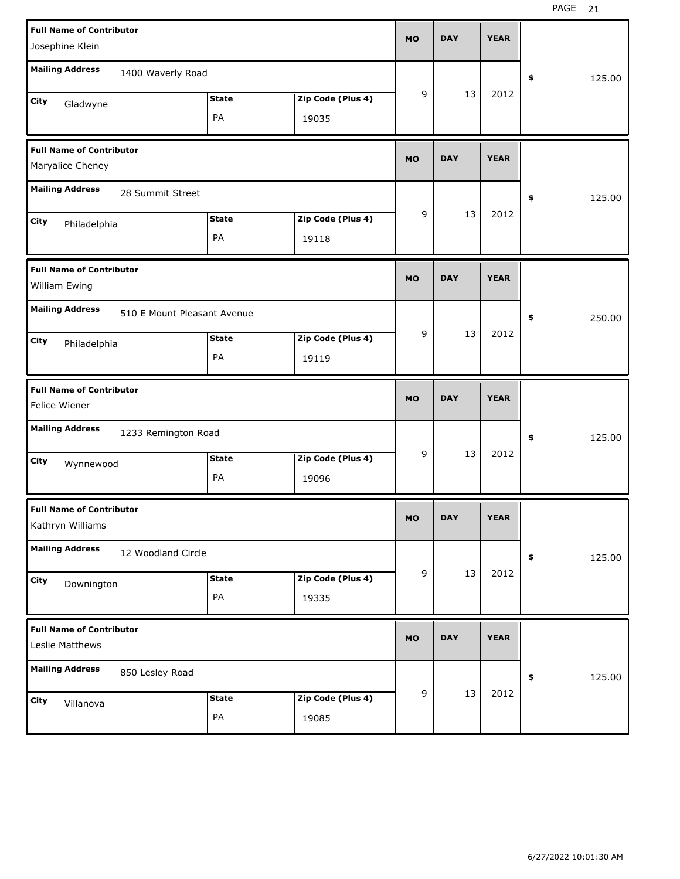| <b>Full Name of Contributor</b><br>Josephine Klein                       | <b>MO</b> | <b>DAY</b> | <b>YEAR</b> |              |
|--------------------------------------------------------------------------|-----------|------------|-------------|--------------|
| <b>Mailing Address</b><br>1400 Waverly Road                              |           |            |             | \$<br>125.00 |
| <b>State</b><br>Zip Code (Plus 4)<br>City<br>Gladwyne<br>PA<br>19035     | 9         | 13         | 2012        |              |
| <b>Full Name of Contributor</b><br>Maryalice Cheney                      | <b>MO</b> | <b>DAY</b> | <b>YEAR</b> |              |
| <b>Mailing Address</b><br>28 Summit Street                               |           |            |             | \$<br>125.00 |
| Zip Code (Plus 4)<br><b>State</b><br>City<br>Philadelphia<br>PA<br>19118 | 9         | 13         | 2012        |              |
| <b>Full Name of Contributor</b><br>William Ewing                         | <b>MO</b> | <b>DAY</b> | <b>YEAR</b> |              |
| <b>Mailing Address</b><br>510 E Mount Pleasant Avenue                    |           |            |             | \$<br>250.00 |
| Zip Code (Plus 4)<br><b>State</b><br>City<br>Philadelphia<br>PA<br>19119 | 9         | 13         | 2012        |              |
|                                                                          |           |            |             |              |
| <b>Full Name of Contributor</b><br>Felice Wiener                         | <b>MO</b> | <b>DAY</b> | <b>YEAR</b> |              |
| <b>Mailing Address</b><br>1233 Remington Road                            |           |            |             | \$<br>125.00 |
| <b>State</b><br>Zip Code (Plus 4)<br>City<br>Wynnewood<br>PA<br>19096    | 9         | 13         | 2012        |              |
| <b>Full Name of Contributor</b><br>Kathryn Williams                      | MO        | <b>DAY</b> | <b>YEAR</b> |              |
| <b>Mailing Address</b><br>12 Woodland Circle                             |           |            |             | 125.00<br>\$ |
| Zip Code (Plus 4)<br><b>State</b><br>City<br>Downington<br>PA<br>19335   | 9         | 13         | 2012        |              |
| <b>Full Name of Contributor</b><br>Leslie Matthews                       | <b>MO</b> | <b>DAY</b> | <b>YEAR</b> |              |
| <b>Mailing Address</b><br>850 Lesley Road                                | 9         | 13         | 2012        | 125.00<br>\$ |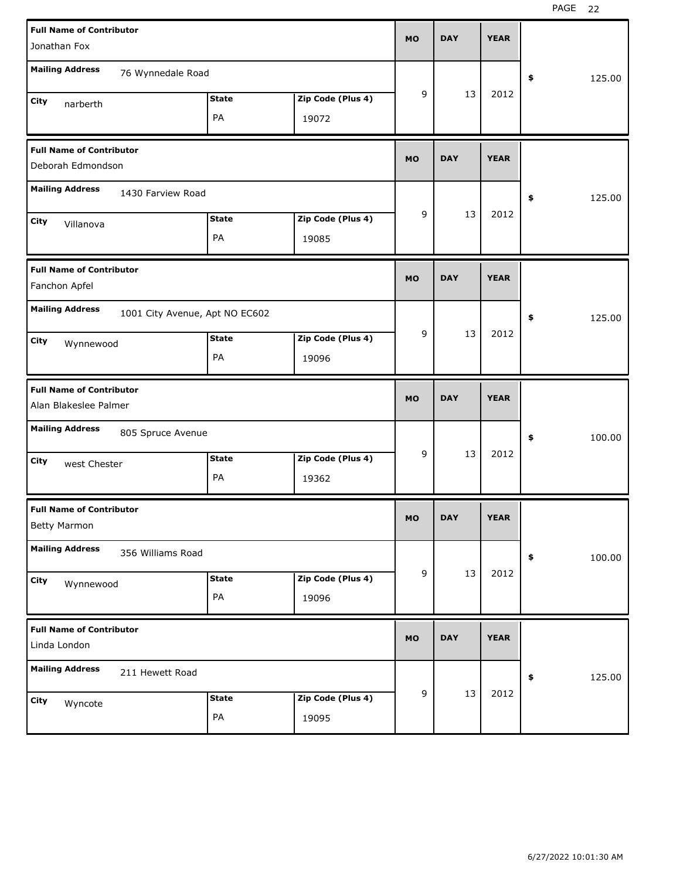| <b>Full Name of Contributor</b><br>Jonathan Fox                          | <b>MO</b> | <b>DAY</b> | <b>YEAR</b> |              |
|--------------------------------------------------------------------------|-----------|------------|-------------|--------------|
| <b>Mailing Address</b><br>76 Wynnedale Road                              |           |            |             | 125.00<br>\$ |
| <b>State</b><br>Zip Code (Plus 4)<br>City<br>narberth<br>PA<br>19072     | 9         | 13         | 2012        |              |
| <b>Full Name of Contributor</b><br>Deborah Edmondson                     | <b>MO</b> | <b>DAY</b> | <b>YEAR</b> |              |
| <b>Mailing Address</b><br>1430 Farview Road                              |           |            |             | 125.00<br>\$ |
| Zip Code (Plus 4)<br><b>State</b><br>City<br>Villanova<br>PA<br>19085    | 9         | 13         | 2012        |              |
| <b>Full Name of Contributor</b><br>Fanchon Apfel                         | <b>MO</b> | <b>DAY</b> | <b>YEAR</b> |              |
| <b>Mailing Address</b><br>1001 City Avenue, Apt NO EC602                 |           |            |             | 125.00<br>\$ |
| Zip Code (Plus 4)<br><b>State</b><br>City<br>Wynnewood<br>PA<br>19096    | 9         | 13         | 2012        |              |
|                                                                          |           |            |             |              |
| <b>Full Name of Contributor</b><br>Alan Blakeslee Palmer                 | <b>MO</b> | <b>DAY</b> | <b>YEAR</b> |              |
| <b>Mailing Address</b><br>805 Spruce Avenue                              |           |            |             | 100.00<br>\$ |
| Zip Code (Plus 4)<br><b>State</b><br>City<br>west Chester<br>PA<br>19362 | 9         | 13         | 2012        |              |
| <b>Full Name of Contributor</b><br><b>Betty Marmon</b>                   | <b>MO</b> | <b>DAY</b> | <b>YEAR</b> |              |
| <b>Mailing Address</b><br>356 Williams Road                              |           |            |             | 100.00<br>\$ |
| Zip Code (Plus 4)<br><b>State</b><br>City<br>Wynnewood<br>PA<br>19096    | 9         | 13         | 2012        |              |
| <b>Full Name of Contributor</b><br>Linda London                          | <b>MO</b> | <b>DAY</b> | <b>YEAR</b> |              |
| <b>Mailing Address</b><br>211 Hewett Road                                |           | 13         | 2012        | 125.00<br>\$ |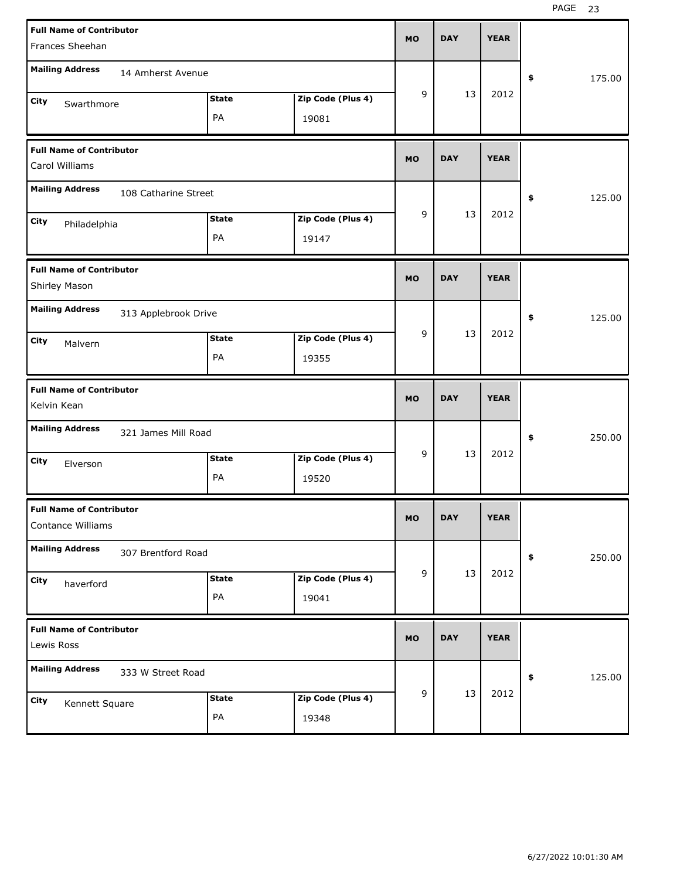| <b>Full Name of Contributor</b><br>Frances Sheehan                       | <b>MO</b> | <b>DAY</b> | <b>YEAR</b> |              |
|--------------------------------------------------------------------------|-----------|------------|-------------|--------------|
| <b>Mailing Address</b><br>14 Amherst Avenue                              |           |            |             | \$<br>175.00 |
| Zip Code (Plus 4)<br><b>State</b><br>City<br>Swarthmore<br>PA<br>19081   | 9         | 13         | 2012        |              |
| <b>Full Name of Contributor</b><br>Carol Williams                        | <b>MO</b> | <b>DAY</b> | <b>YEAR</b> |              |
| <b>Mailing Address</b><br>108 Catharine Street                           |           |            |             | \$<br>125.00 |
| Zip Code (Plus 4)<br><b>State</b><br>City<br>Philadelphia<br>PA<br>19147 | 9         | 13         | 2012        |              |
| <b>Full Name of Contributor</b><br>Shirley Mason                         | <b>MO</b> | <b>DAY</b> | <b>YEAR</b> |              |
| <b>Mailing Address</b><br>313 Applebrook Drive                           |           |            |             | \$<br>125.00 |
| Zip Code (Plus 4)<br><b>State</b><br>City<br>Malvern<br>PA<br>19355      | 9         | 13         | 2012        |              |
|                                                                          |           |            |             |              |
| <b>Full Name of Contributor</b><br>Kelvin Kean                           | <b>MO</b> | <b>DAY</b> | <b>YEAR</b> |              |
| <b>Mailing Address</b><br>321 James Mill Road                            |           |            |             | \$<br>250.00 |
| Zip Code (Plus 4)<br><b>State</b><br>City<br>Elverson<br>PA<br>19520     | 9         | 13         | 2012        |              |
| <b>Full Name of Contributor</b><br>Contance Williams                     | <b>MO</b> | <b>DAY</b> | <b>YEAR</b> |              |
| <b>Mailing Address</b><br>307 Brentford Road                             |           |            |             | 250.00<br>\$ |
| Zip Code (Plus 4)<br><b>State</b><br>City<br>haverford<br>PA<br>19041    | 9         | 13         | 2012        |              |
| <b>Full Name of Contributor</b><br>Lewis Ross                            | <b>MO</b> | <b>DAY</b> | <b>YEAR</b> |              |
| <b>Mailing Address</b><br>333 W Street Road                              | 9         | 13         | 2012        | 125.00<br>\$ |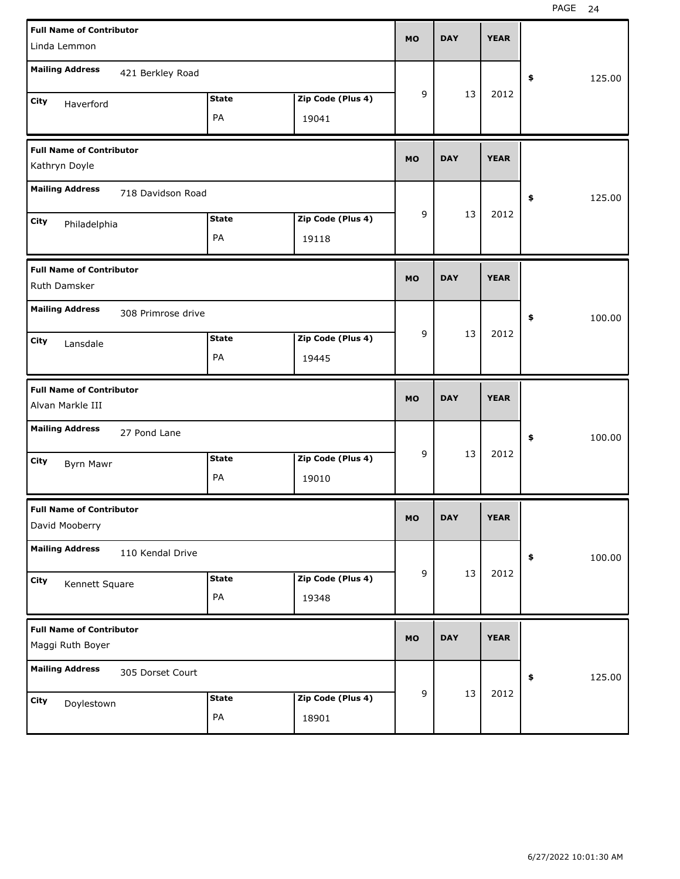| <b>Full Name of Contributor</b><br>Linda Lemmon |                   | <b>MO</b> | <b>DAY</b> | <b>YEAR</b> |              |        |
|-------------------------------------------------|-------------------|-----------|------------|-------------|--------------|--------|
| <b>Mailing Address</b>                          |                   |           |            |             |              |        |
| 421 Berkley Road                                |                   |           |            |             | \$           | 125.00 |
| <b>State</b><br>City<br>Haverford               | Zip Code (Plus 4) | 9         | 13         | 2012        |              |        |
| PA                                              | 19041             |           |            |             |              |        |
| <b>Full Name of Contributor</b>                 |                   | <b>MO</b> | <b>DAY</b> | <b>YEAR</b> |              |        |
| Kathryn Doyle                                   |                   |           |            |             |              |        |
| <b>Mailing Address</b><br>718 Davidson Road     |                   |           |            |             | \$           | 125.00 |
| <b>State</b><br>City<br>Philadelphia            | Zip Code (Plus 4) | 9         | 13         | 2012        |              |        |
| PA                                              | 19118             |           |            |             |              |        |
| <b>Full Name of Contributor</b>                 |                   | <b>MO</b> | <b>DAY</b> | <b>YEAR</b> |              |        |
| Ruth Damsker                                    |                   |           |            |             |              |        |
| <b>Mailing Address</b><br>308 Primrose drive    |                   |           |            |             | \$           | 100.00 |
| <b>State</b><br>City<br>Lansdale                | Zip Code (Plus 4) | 9         | 13         | 2012        |              |        |
| PA                                              | 19445             |           |            |             |              |        |
|                                                 |                   |           |            |             |              |        |
| <b>Full Name of Contributor</b>                 |                   | <b>MO</b> | <b>DAY</b> | <b>YEAR</b> |              |        |
| Alvan Markle III                                |                   |           |            |             |              |        |
| <b>Mailing Address</b><br>27 Pond Lane          |                   |           |            |             | \$           | 100.00 |
| <b>State</b><br>City<br><b>Byrn Mawr</b>        | Zip Code (Plus 4) | 9         | 13         | 2012        |              |        |
| PA                                              | 19010             |           |            |             |              |        |
| <b>Full Name of Contributor</b>                 |                   |           |            |             |              |        |
| David Mooberry                                  |                   | <b>MO</b> | <b>DAY</b> | <b>YEAR</b> |              |        |
| <b>Mailing Address</b><br>110 Kendal Drive      |                   |           |            |             | $\pmb{\ast}$ | 100.00 |
| <b>State</b><br>City<br>Kennett Square          | Zip Code (Plus 4) | 9         | 13         | 2012        |              |        |
| PA                                              | 19348             |           |            |             |              |        |
| <b>Full Name of Contributor</b>                 |                   |           |            |             |              |        |
| Maggi Ruth Boyer                                |                   | <b>MO</b> | <b>DAY</b> | <b>YEAR</b> |              |        |
| <b>Mailing Address</b><br>305 Dorset Court      |                   |           |            |             | \$           | 125.00 |
| <b>State</b><br>City<br>Doylestown              | Zip Code (Plus 4) | 9         | 13         | 2012        |              |        |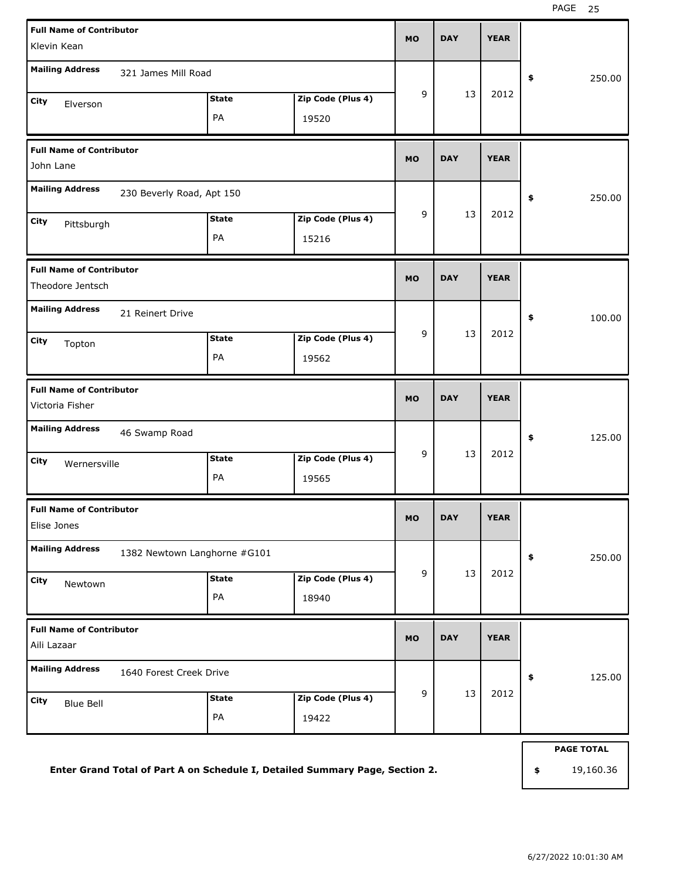| <b>Full Name of Contributor</b><br>Klevin Kean         |                    |                            | <b>MO</b>   | <b>DAY</b> | <b>YEAR</b> |                   |
|--------------------------------------------------------|--------------------|----------------------------|-------------|------------|-------------|-------------------|
| <b>Mailing Address</b><br>321 James Mill Road          |                    |                            |             |            |             |                   |
|                                                        |                    |                            | 9           | 13         | 2012        | 250.00<br>\$      |
| City<br>Elverson                                       | <b>State</b><br>PA | Zip Code (Plus 4)<br>19520 |             |            |             |                   |
|                                                        |                    |                            |             |            |             |                   |
| <b>Full Name of Contributor</b><br>John Lane           |                    |                            | <b>MO</b>   | <b>DAY</b> | <b>YEAR</b> |                   |
| <b>Mailing Address</b><br>230 Beverly Road, Apt 150    |                    |                            |             |            |             | 250.00<br>\$      |
| City<br>Pittsburgh                                     | <b>State</b>       | Zip Code (Plus 4)          | 9           | 13         | 2012        |                   |
|                                                        | PA                 | 15216                      |             |            |             |                   |
| <b>Full Name of Contributor</b><br>Theodore Jentsch    | <b>MO</b>          | <b>DAY</b>                 | <b>YEAR</b> |            |             |                   |
| <b>Mailing Address</b><br>21 Reinert Drive             |                    |                            |             |            |             | 100.00<br>\$      |
|                                                        | <b>State</b>       | Zip Code (Plus 4)          | 9           | 13         | 2012        |                   |
| City<br>Topton                                         | PA                 | 19562                      |             |            |             |                   |
| <b>Full Name of Contributor</b>                        |                    |                            | <b>MO</b>   | <b>DAY</b> | <b>YEAR</b> |                   |
| Victoria Fisher                                        |                    |                            |             |            |             |                   |
| <b>Mailing Address</b><br>46 Swamp Road                |                    |                            |             |            |             | 125.00<br>\$      |
| City<br>Wernersville                                   | <b>State</b>       | Zip Code (Plus 4)          | 9           | 13         | 2012        |                   |
|                                                        | PA                 | 19565                      |             |            |             |                   |
| <b>Full Name of Contributor</b>                        |                    |                            | MO          | <b>DAY</b> | <b>YEAR</b> |                   |
| Elise Jones                                            |                    |                            |             |            |             |                   |
| <b>Mailing Address</b><br>1382 Newtown Langhorne #G101 |                    |                            |             |            |             | 250.00<br>\$      |
| City<br>Newtown                                        | <b>State</b>       | Zip Code (Plus 4)          | 9           | 13         | 2012        |                   |
|                                                        | PA                 | 18940                      |             |            |             |                   |
| <b>Full Name of Contributor</b>                        |                    |                            | <b>MO</b>   | <b>DAY</b> | <b>YEAR</b> |                   |
| Aili Lazaar                                            |                    |                            |             |            |             |                   |
| <b>Mailing Address</b><br>1640 Forest Creek Drive      |                    |                            |             |            |             | 125.00<br>\$      |
| City<br><b>Blue Bell</b>                               | <b>State</b>       | Zip Code (Plus 4)          | 9           | 13         | 2012        |                   |
|                                                        | PA                 | 19422                      |             |            |             |                   |
|                                                        |                    |                            |             |            |             | <b>PAGE TOTAL</b> |

**Enter Grand Total of Part A on Schedule I, Detailed Summary Page, Section 2.**

6/27/2022 10:01:30 AM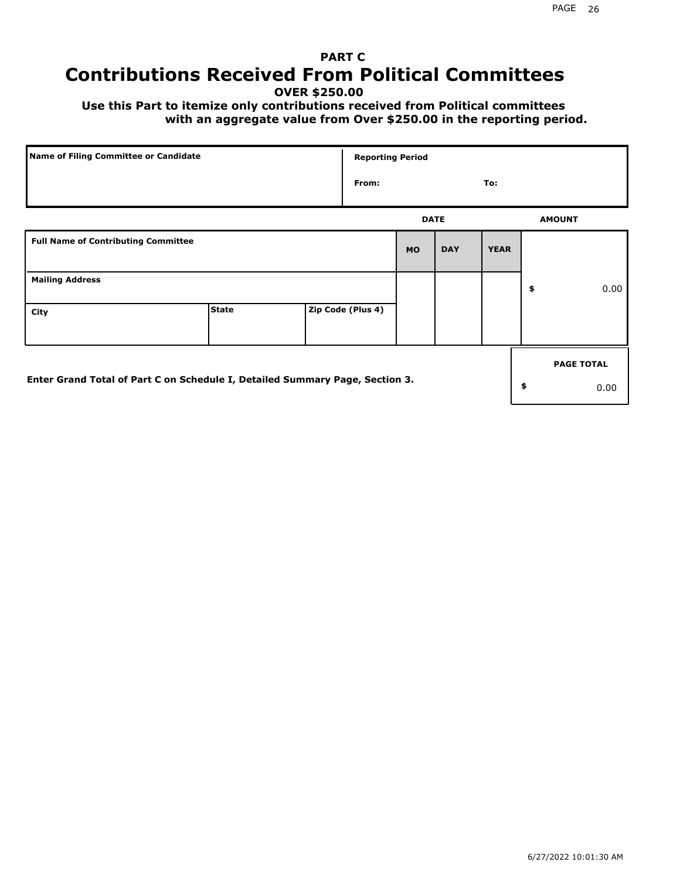## **PART C Contributions Received From Political Committees**

**OVER \$250.00**

 **Use this Part to itemize only contributions received from Political committees with an aggregate value from Over \$250.00 in the reporting period.**

|                                                                              | Name of Filing Committee or Candidate |  |                   | <b>Reporting Period</b> |            |             |    |                   |  |
|------------------------------------------------------------------------------|---------------------------------------|--|-------------------|-------------------------|------------|-------------|----|-------------------|--|
|                                                                              |                                       |  | From:             |                         |            | To:         |    |                   |  |
|                                                                              |                                       |  |                   | <b>DATE</b>             |            |             |    | <b>AMOUNT</b>     |  |
| <b>Full Name of Contributing Committee</b>                                   |                                       |  |                   | <b>MO</b>               | <b>DAY</b> | <b>YEAR</b> |    |                   |  |
| <b>Mailing Address</b>                                                       |                                       |  |                   |                         |            |             | \$ | 0.00              |  |
| City                                                                         | <b>State</b>                          |  | Zip Code (Plus 4) |                         |            |             |    |                   |  |
|                                                                              |                                       |  |                   |                         |            |             |    | <b>PAGE TOTAL</b> |  |
| Enter Grand Total of Part C on Schedule I, Detailed Summary Page, Section 3. |                                       |  |                   |                         |            |             | \$ | 0.00              |  |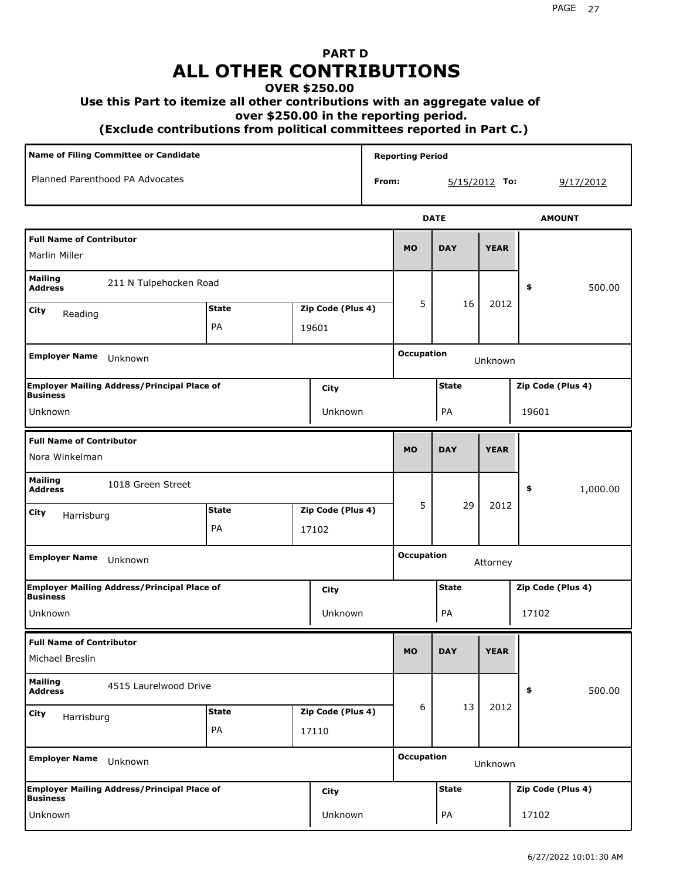# **PART D ALL OTHER CONTRIBUTIONS**

#### **OVER \$250.00**

#### **Use this Part to itemize all other contributions with an aggregate value of**

 **over \$250.00 in the reporting period.**

 **(Exclude contributions from political committees reported in Part C.)** 

| Name of Filing Committee or Candidate                                  |                                   |       |                   |                              | <b>Reporting Period</b>           |                                   |             |           |                   |
|------------------------------------------------------------------------|-----------------------------------|-------|-------------------|------------------------------|-----------------------------------|-----------------------------------|-------------|-----------|-------------------|
| Planned Parenthood PA Advocates                                        |                                   |       |                   | From:                        |                                   | $5/15/2012$ To:                   |             | 9/17/2012 |                   |
|                                                                        |                                   |       |                   |                              |                                   | <b>DATE</b>                       |             |           | <b>AMOUNT</b>     |
| <b>Full Name of Contributor</b><br>Marlin Miller                       |                                   |       |                   |                              | <b>MO</b>                         | <b>DAY</b>                        | <b>YEAR</b> |           |                   |
| <b>Mailing</b><br>211 N Tulpehocken Road<br><b>Address</b>             |                                   |       |                   |                              |                                   |                                   | \$          | 500.00    |                   |
| City<br>Reading                                                        | <b>State</b><br>Zip Code (Plus 4) |       |                   | 5                            | 16                                | 2012                              |             |           |                   |
|                                                                        | PA                                | 19601 |                   |                              |                                   |                                   |             |           |                   |
| <b>Employer Name</b><br>Unknown                                        |                                   |       |                   |                              |                                   | <b>Occupation</b>                 | Unknown     |           |                   |
| <b>Employer Mailing Address/Principal Place of</b><br>City             |                                   |       |                   |                              |                                   | <b>State</b>                      |             |           | Zip Code (Plus 4) |
| <b>Business</b><br>Unknown<br>Unknown                                  |                                   |       |                   |                              | PA                                |                                   | 19601       |           |                   |
| <b>Full Name of Contributor</b><br>Nora Winkelman                      |                                   |       |                   |                              | <b>MO</b>                         | <b>DAY</b>                        | <b>YEAR</b> |           |                   |
| <b>Mailing</b><br>1018 Green Street<br><b>Address</b>                  |                                   |       |                   |                              |                                   |                                   |             | \$        | 1,000.00          |
| City<br>Harrisburg                                                     | <b>State</b>                      |       | Zip Code (Plus 4) |                              | 5                                 | 29                                | 2012        |           |                   |
|                                                                        | PA                                |       | 17102             |                              |                                   |                                   |             |           |                   |
| <b>Employer Name</b><br>Unknown                                        |                                   |       |                   |                              | <b>Occupation</b><br>Attorney     |                                   |             |           |                   |
| <b>Employer Mailing Address/Principal Place of</b><br><b>Business</b>  |                                   |       | City              |                              |                                   | <b>State</b><br>Zip Code (Plus 4) |             |           |                   |
| Unknown                                                                |                                   |       | Unknown           |                              |                                   | PA                                |             | 17102     |                   |
| <b>Full Name of Contributor</b><br>Michael Breslin                     |                                   |       |                   |                              | <b>MO</b>                         | <b>DAY</b>                        | <b>YEAR</b> |           |                   |
| <b>Mailing</b><br>4515 Laurelwood Drive<br><b>Address</b>              |                                   |       |                   |                              |                                   |                                   |             | \$        | 500.00            |
| City<br>Harrisburg                                                     | <b>State</b>                      |       | Zip Code (Plus 4) |                              | 6                                 | 13                                | 2012        |           |                   |
|                                                                        | PA                                |       | 17110             |                              |                                   |                                   |             |           |                   |
| <b>Employer Name</b><br>Unknown                                        |                                   |       |                   | <b>Occupation</b><br>Unknown |                                   |                                   |             |           |                   |
| Employer Mailing Address/Principal Place of<br>City<br><b>Business</b> |                                   |       |                   |                              | <b>State</b><br>Zip Code (Plus 4) |                                   |             |           |                   |
| Unknown                                                                |                                   |       | Unknown           |                              |                                   | PA                                |             | 17102     |                   |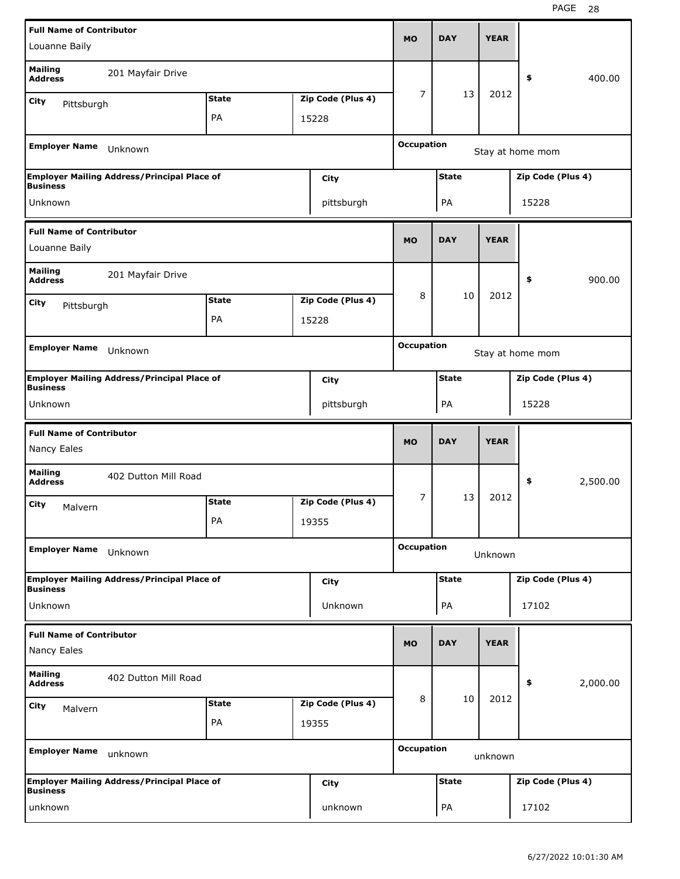| <b>Full Name of Contributor</b>                       |                                                    |              |  |                   |                   | <b>DAY</b>                        | <b>YEAR</b> |                   |          |  |
|-------------------------------------------------------|----------------------------------------------------|--------------|--|-------------------|-------------------|-----------------------------------|-------------|-------------------|----------|--|
| Louanne Baily                                         |                                                    |              |  |                   | <b>MO</b>         |                                   |             |                   |          |  |
| <b>Mailing</b><br><b>Address</b>                      | 201 Mayfair Drive                                  |              |  |                   |                   |                                   |             | \$                | 400.00   |  |
| City<br>Pittsburgh                                    |                                                    | <b>State</b> |  | Zip Code (Plus 4) | 7                 | 13                                | 2012        |                   |          |  |
|                                                       |                                                    | PA           |  | 15228             |                   |                                   |             |                   |          |  |
| <b>Employer Name</b>                                  | Unknown                                            |              |  |                   | <b>Occupation</b> |                                   |             |                   |          |  |
|                                                       |                                                    |              |  |                   |                   | Stay at home mom                  |             |                   |          |  |
| <b>Business</b>                                       | <b>Employer Mailing Address/Principal Place of</b> |              |  | City              |                   | <b>State</b><br>Zip Code (Plus 4) |             |                   |          |  |
| Unknown                                               |                                                    |              |  | pittsburgh        |                   | PA                                |             | 15228             |          |  |
| <b>Full Name of Contributor</b>                       |                                                    |              |  |                   |                   |                                   |             |                   |          |  |
| Louanne Baily                                         |                                                    |              |  |                   | <b>MO</b>         | <b>DAY</b>                        | <b>YEAR</b> |                   |          |  |
| <b>Mailing</b><br>201 Mayfair Drive<br><b>Address</b> |                                                    |              |  |                   |                   |                                   |             | \$                | 900.00   |  |
| City                                                  | <b>State</b><br>Zip Code (Plus 4)<br>Pittsburgh    |              |  |                   | 8                 | 10                                | 2012        |                   |          |  |
|                                                       | PA<br>15228                                        |              |  |                   |                   |                                   |             |                   |          |  |
|                                                       |                                                    |              |  |                   | <b>Occupation</b> |                                   |             |                   |          |  |
| <b>Employer Name</b>                                  | Unknown                                            |              |  |                   |                   |                                   |             | Stay at home mom  |          |  |
| <b>Business</b>                                       | <b>Employer Mailing Address/Principal Place of</b> |              |  | City              |                   | <b>State</b>                      |             | Zip Code (Plus 4) |          |  |
| Unknown                                               |                                                    |              |  | pittsburgh        |                   | PA<br>15228                       |             |                   |          |  |
| <b>Full Name of Contributor</b>                       |                                                    |              |  |                   |                   |                                   |             |                   |          |  |
|                                                       |                                                    |              |  |                   | <b>MO</b>         | <b>DAY</b>                        | <b>YEAR</b> |                   |          |  |
| Nancy Eales                                           |                                                    |              |  |                   |                   |                                   |             |                   |          |  |
| <b>Mailing</b><br><b>Address</b>                      | 402 Dutton Mill Road                               |              |  |                   |                   |                                   |             | \$                | 2,500.00 |  |
| City<br>Malvern                                       |                                                    | <b>State</b> |  | Zip Code (Plus 4) | 7                 | 13                                | 2012        |                   |          |  |
|                                                       |                                                    | PA           |  | 19355             |                   |                                   |             |                   |          |  |
| <b>Employer Name</b>                                  | Unknown                                            |              |  |                   | <b>Occupation</b> |                                   | Unknown     |                   |          |  |
|                                                       | <b>Employer Mailing Address/Principal Place of</b> |              |  | City              |                   | <b>State</b>                      |             | Zip Code (Plus 4) |          |  |
| Business<br>Unknown                                   |                                                    |              |  | Unknown           |                   | PA                                |             | 17102             |          |  |
|                                                       |                                                    |              |  |                   |                   |                                   |             |                   |          |  |
| <b>Full Name of Contributor</b><br>Nancy Eales        |                                                    |              |  |                   | <b>MO</b>         | <b>DAY</b>                        | <b>YEAR</b> |                   |          |  |
| <b>Mailing</b><br><b>Address</b>                      | 402 Dutton Mill Road                               |              |  |                   |                   |                                   |             | \$                | 2,000.00 |  |
| City<br>Malvern                                       |                                                    | <b>State</b> |  | Zip Code (Plus 4) | 8                 | 10                                | 2012        |                   |          |  |
|                                                       |                                                    | PA           |  | 19355             |                   |                                   |             |                   |          |  |
| <b>Employer Name</b>                                  | unknown                                            |              |  |                   | <b>Occupation</b> |                                   | unknown     |                   |          |  |
| <b>Business</b>                                       | <b>Employer Mailing Address/Principal Place of</b> |              |  | City              |                   | <b>State</b>                      |             | Zip Code (Plus 4) |          |  |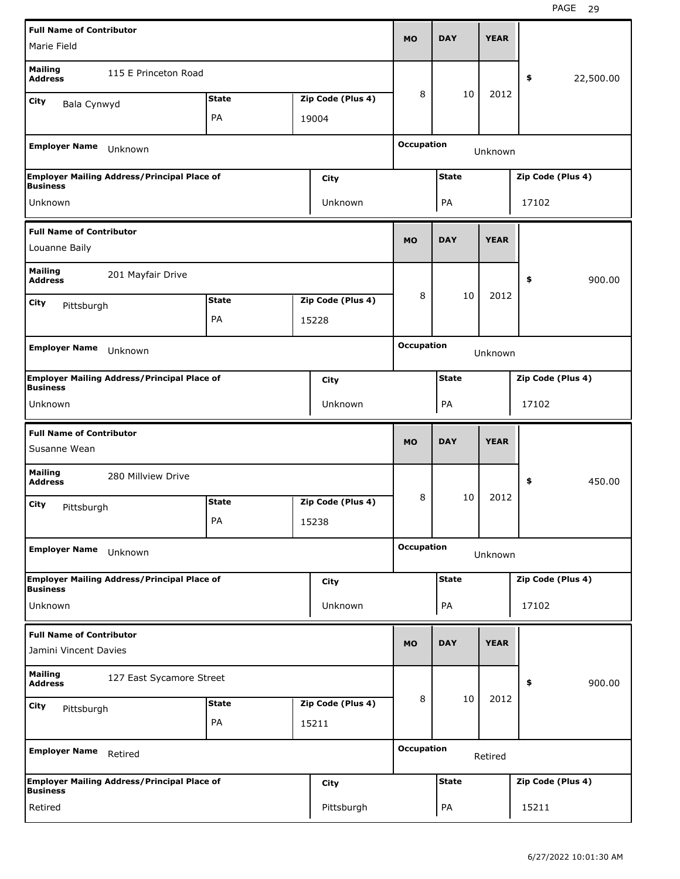|                                                          | <b>Full Name of Contributor</b>                    |              |  |                   |                              |                                   |             |                   |           |  |
|----------------------------------------------------------|----------------------------------------------------|--------------|--|-------------------|------------------------------|-----------------------------------|-------------|-------------------|-----------|--|
| Marie Field                                              |                                                    |              |  |                   | <b>MO</b>                    | <b>DAY</b>                        | <b>YEAR</b> |                   |           |  |
| <b>Mailing</b><br><b>Address</b>                         | 115 E Princeton Road                               |              |  |                   |                              |                                   |             | \$                | 22,500.00 |  |
| <b>City</b><br>Bala Cynwyd                               |                                                    | <b>State</b> |  | Zip Code (Plus 4) | 8                            | 10                                | 2012        |                   |           |  |
|                                                          |                                                    | PA           |  | 19004             |                              |                                   |             |                   |           |  |
| <b>Employer Name</b>                                     | Unknown                                            |              |  |                   | <b>Occupation</b><br>Unknown |                                   |             |                   |           |  |
| <b>Business</b>                                          | <b>Employer Mailing Address/Principal Place of</b> |              |  | City              |                              | <b>State</b><br>Zip Code (Plus 4) |             |                   |           |  |
| Unknown                                                  |                                                    |              |  | Unknown           |                              | PA                                |             | 17102             |           |  |
| <b>Full Name of Contributor</b><br>Louanne Baily         |                                                    |              |  |                   | <b>MO</b>                    | <b>DAY</b>                        | <b>YEAR</b> |                   |           |  |
| <b>Mailing</b><br>201 Mayfair Drive<br><b>Address</b>    |                                                    |              |  |                   |                              |                                   |             | \$                | 900.00    |  |
|                                                          | <b>State</b><br>Zip Code (Plus 4)                  |              |  |                   | 8                            | 10                                | 2012        |                   |           |  |
| <b>City</b>                                              | Pittsburgh                                         |              |  |                   |                              |                                   |             |                   |           |  |
|                                                          | PA<br>15228                                        |              |  |                   |                              |                                   |             |                   |           |  |
| <b>Employer Name</b>                                     | Unknown                                            |              |  |                   | <b>Occupation</b>            |                                   | Unknown     |                   |           |  |
| <b>Business</b>                                          | <b>Employer Mailing Address/Principal Place of</b> |              |  | City              |                              | <b>State</b><br>Zip Code (Plus 4) |             |                   |           |  |
| Unknown                                                  |                                                    |              |  | Unknown           |                              | PA<br>17102                       |             |                   |           |  |
| <b>Full Name of Contributor</b>                          |                                                    |              |  |                   |                              |                                   |             |                   |           |  |
| Susanne Wean                                             |                                                    |              |  |                   | <b>MO</b>                    | <b>DAY</b>                        | <b>YEAR</b> |                   |           |  |
| <b>Mailing</b><br><b>Address</b>                         | 280 Millview Drive                                 |              |  |                   |                              |                                   |             | \$                | 450.00    |  |
| City                                                     |                                                    | <b>State</b> |  | Zip Code (Plus 4) | 8                            | 10                                | 2012        |                   |           |  |
| Pittsburgh                                               |                                                    | PA           |  | 15238             |                              |                                   |             |                   |           |  |
| <b>Employer Name</b>                                     | Unknown                                            |              |  |                   | <b>Occupation</b>            |                                   | Unknown     |                   |           |  |
|                                                          | <b>Employer Mailing Address/Principal Place of</b> |              |  | <b>City</b>       |                              | <b>State</b>                      |             | Zip Code (Plus 4) |           |  |
| <b>Business</b><br>Unknown                               |                                                    |              |  | Unknown           |                              | PA                                |             | 17102             |           |  |
| <b>Full Name of Contributor</b><br>Jamini Vincent Davies |                                                    |              |  |                   | <b>MO</b>                    | <b>DAY</b>                        | <b>YEAR</b> |                   |           |  |
| <b>Mailing</b><br><b>Address</b>                         | 127 East Sycamore Street                           |              |  |                   |                              |                                   |             | \$                | 900.00    |  |
| City                                                     |                                                    | <b>State</b> |  | Zip Code (Plus 4) | 8                            | 10                                | 2012        |                   |           |  |
| Pittsburgh                                               |                                                    | PA           |  | 15211             |                              |                                   |             |                   |           |  |
| <b>Employer Name</b>                                     | Retired                                            |              |  |                   | <b>Occupation</b>            |                                   | Retired     |                   |           |  |
| <b>Business</b>                                          | <b>Employer Mailing Address/Principal Place of</b> |              |  | <b>City</b>       |                              | <b>State</b>                      |             | Zip Code (Plus 4) |           |  |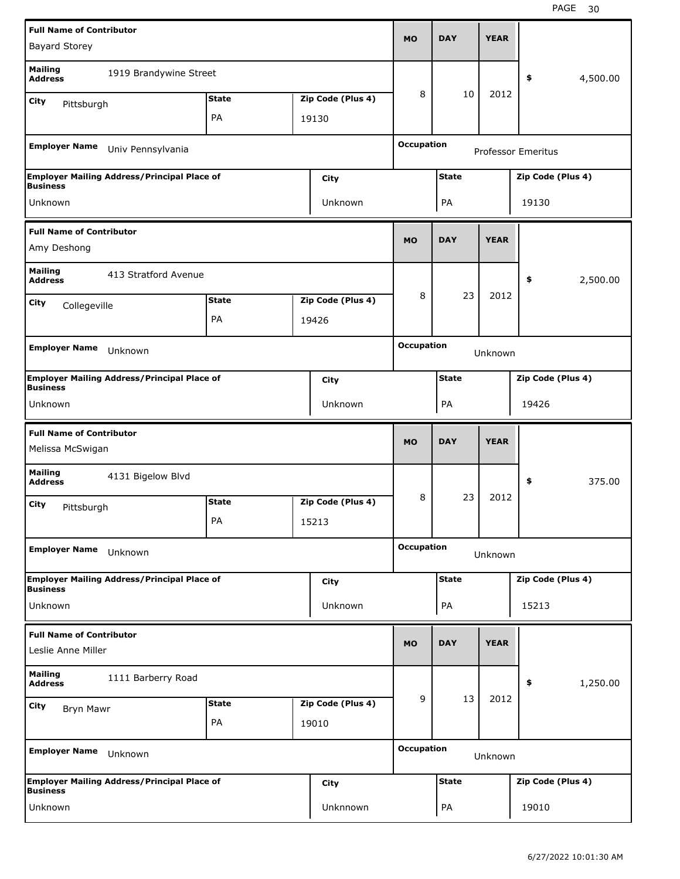|                                                          | <b>Full Name of Contributor</b>                    |              |  |                   |                                                |                                   |             |                   |          |  |
|----------------------------------------------------------|----------------------------------------------------|--------------|--|-------------------|------------------------------------------------|-----------------------------------|-------------|-------------------|----------|--|
| <b>Bayard Storey</b>                                     |                                                    |              |  |                   | <b>MO</b>                                      | <b>DAY</b>                        | <b>YEAR</b> |                   |          |  |
| <b>Mailing</b><br><b>Address</b>                         | 1919 Brandywine Street                             |              |  |                   |                                                |                                   |             | \$                | 4,500.00 |  |
| City<br>Pittsburgh                                       |                                                    | <b>State</b> |  | Zip Code (Plus 4) | 8                                              | 10                                | 2012        |                   |          |  |
|                                                          |                                                    | PA           |  | 19130             |                                                |                                   |             |                   |          |  |
| <b>Employer Name</b>                                     | Univ Pennsylvania                                  |              |  |                   | <b>Occupation</b><br><b>Professor Emeritus</b> |                                   |             |                   |          |  |
|                                                          | <b>Employer Mailing Address/Principal Place of</b> |              |  | City              |                                                | <b>State</b><br>Zip Code (Plus 4) |             |                   |          |  |
| <b>Business</b><br>Unknown                               |                                                    |              |  | Unknown           |                                                | PA                                |             | 19130             |          |  |
|                                                          |                                                    |              |  |                   |                                                |                                   |             |                   |          |  |
| <b>Full Name of Contributor</b><br>Amy Deshong           |                                                    |              |  |                   | <b>MO</b>                                      | <b>DAY</b>                        | <b>YEAR</b> |                   |          |  |
| <b>Mailing</b><br>413 Stratford Avenue<br><b>Address</b> |                                                    |              |  |                   |                                                |                                   |             | \$                | 2,500.00 |  |
|                                                          | <b>State</b><br>Zip Code (Plus 4)<br>City          |              |  |                   | 8                                              | 23                                | 2012        |                   |          |  |
|                                                          | Collegeville<br>PA                                 |              |  |                   |                                                |                                   |             |                   |          |  |
|                                                          | 19426                                              |              |  |                   |                                                |                                   |             |                   |          |  |
| <b>Employer Name</b>                                     | Unknown                                            |              |  |                   | <b>Occupation</b>                              |                                   | Unknown     |                   |          |  |
| <b>Business</b>                                          | <b>Employer Mailing Address/Principal Place of</b> |              |  | City              |                                                | <b>State</b><br>Zip Code (Plus 4) |             |                   |          |  |
| Unknown                                                  |                                                    |              |  | Unknown           |                                                | PA<br>19426                       |             |                   |          |  |
| <b>Full Name of Contributor</b>                          |                                                    |              |  |                   |                                                |                                   |             |                   |          |  |
| Melissa McSwigan                                         |                                                    |              |  |                   | <b>MO</b>                                      | <b>DAY</b>                        | <b>YEAR</b> |                   |          |  |
| <b>Mailing</b><br><b>Address</b>                         | 4131 Bigelow Blvd                                  |              |  |                   |                                                |                                   |             | \$                | 375.00   |  |
| City                                                     |                                                    | <b>State</b> |  | Zip Code (Plus 4) | 8                                              | 23                                | 2012        |                   |          |  |
| Pittsburgh                                               |                                                    | PA           |  | 15213             |                                                |                                   |             |                   |          |  |
| <b>Employer Name</b>                                     | Unknown                                            |              |  |                   | <b>Occupation</b>                              |                                   | Unknown     |                   |          |  |
|                                                          | <b>Employer Mailing Address/Principal Place of</b> |              |  | City              |                                                | <b>State</b>                      |             | Zip Code (Plus 4) |          |  |
| <b>Business</b><br>Unknown                               |                                                    |              |  | Unknown           |                                                | PA                                |             | 15213             |          |  |
| <b>Full Name of Contributor</b><br>Leslie Anne Miller    |                                                    |              |  |                   | <b>MO</b>                                      | <b>DAY</b>                        | <b>YEAR</b> |                   |          |  |
| <b>Mailing</b><br><b>Address</b>                         | 1111 Barberry Road                                 |              |  |                   |                                                |                                   |             | \$                | 1,250.00 |  |
| City                                                     |                                                    | <b>State</b> |  | Zip Code (Plus 4) | 9                                              | 13                                | 2012        |                   |          |  |
| Bryn Mawr                                                |                                                    | PA           |  | 19010             |                                                |                                   |             |                   |          |  |
| <b>Employer Name</b>                                     | Unknown                                            |              |  |                   | <b>Occupation</b>                              |                                   | Unknown     |                   |          |  |
| <b>Business</b>                                          | <b>Employer Mailing Address/Principal Place of</b> |              |  | City              |                                                | <b>State</b>                      |             | Zip Code (Plus 4) |          |  |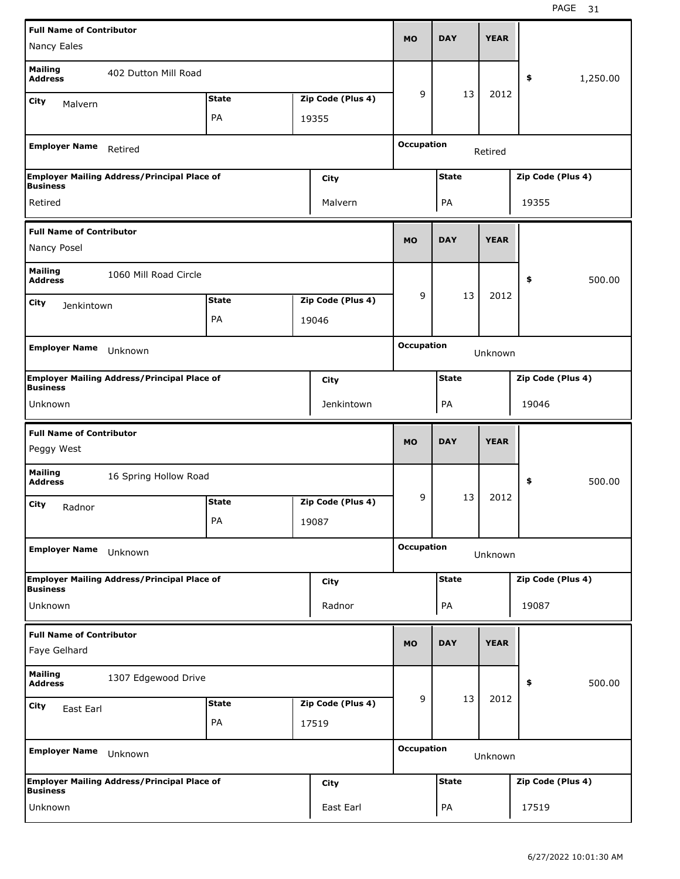|                                                           | <b>Full Name of Contributor</b>                    |              |  |                   |                              | <b>DAY</b>                        | <b>YEAR</b> |       |                   |  |
|-----------------------------------------------------------|----------------------------------------------------|--------------|--|-------------------|------------------------------|-----------------------------------|-------------|-------|-------------------|--|
| Nancy Eales                                               |                                                    |              |  |                   | <b>MO</b>                    |                                   |             |       |                   |  |
| <b>Mailing</b><br><b>Address</b>                          | 402 Dutton Mill Road                               |              |  |                   |                              |                                   |             | \$    | 1,250.00          |  |
| City<br>Malvern                                           |                                                    | <b>State</b> |  | Zip Code (Plus 4) | 9                            | 13                                | 2012        |       |                   |  |
|                                                           |                                                    | PA           |  | 19355             |                              |                                   |             |       |                   |  |
| <b>Employer Name</b>                                      | Retired                                            |              |  |                   | <b>Occupation</b><br>Retired |                                   |             |       |                   |  |
| <b>Business</b>                                           | <b>Employer Mailing Address/Principal Place of</b> |              |  | City              |                              | <b>State</b><br>Zip Code (Plus 4) |             |       |                   |  |
| Retired                                                   |                                                    |              |  | Malvern           |                              | PA                                |             | 19355 |                   |  |
| <b>Full Name of Contributor</b>                           |                                                    |              |  |                   | <b>MO</b>                    | <b>DAY</b>                        | <b>YEAR</b> |       |                   |  |
| Nancy Posel                                               |                                                    |              |  |                   |                              |                                   |             |       |                   |  |
| <b>Mailing</b><br>1060 Mill Road Circle<br><b>Address</b> |                                                    |              |  |                   |                              |                                   |             | \$    | 500.00            |  |
| City                                                      | <b>State</b><br>Zip Code (Plus 4)<br>Jenkintown    |              |  |                   | 9                            | 13                                | 2012        |       |                   |  |
|                                                           | PA<br>19046                                        |              |  |                   |                              |                                   |             |       |                   |  |
| <b>Employer Name</b>                                      | Unknown                                            |              |  |                   |                              | <b>Occupation</b>                 | Unknown     |       |                   |  |
| <b>Business</b>                                           | <b>Employer Mailing Address/Principal Place of</b> |              |  | City              |                              | <b>State</b><br>Zip Code (Plus 4) |             |       |                   |  |
| Unknown                                                   |                                                    |              |  | Jenkintown        |                              | PA<br>19046                       |             |       |                   |  |
| <b>Full Name of Contributor</b>                           |                                                    |              |  |                   |                              |                                   |             |       |                   |  |
| Peggy West                                                |                                                    |              |  |                   | <b>MO</b>                    | <b>DAY</b>                        | <b>YEAR</b> |       |                   |  |
| <b>Mailing</b><br><b>Address</b>                          | 16 Spring Hollow Road                              |              |  |                   |                              |                                   |             | \$    | 500.00            |  |
| City                                                      |                                                    | <b>State</b> |  | Zip Code (Plus 4) | 9                            | 13                                | 2012        |       |                   |  |
| Radnor                                                    |                                                    | PA           |  | 19087             |                              |                                   |             |       |                   |  |
| <b>Employer Name</b>                                      | Unknown                                            |              |  |                   | <b>Occupation</b>            |                                   | Unknown     |       |                   |  |
|                                                           | <b>Employer Mailing Address/Principal Place of</b> |              |  | City              |                              | <b>State</b>                      |             |       | Zip Code (Plus 4) |  |
| <b>Business</b><br>Unknown                                |                                                    |              |  | Radnor            |                              | PA                                |             | 19087 |                   |  |
| <b>Full Name of Contributor</b><br>Faye Gelhard           |                                                    |              |  |                   | <b>MO</b>                    | <b>DAY</b>                        | <b>YEAR</b> |       |                   |  |
| <b>Mailing</b><br><b>Address</b>                          | 1307 Edgewood Drive                                |              |  |                   |                              |                                   |             | \$    | 500.00            |  |
|                                                           |                                                    | <b>State</b> |  | Zip Code (Plus 4) | 9                            | 13                                | 2012        |       |                   |  |
| City<br>East Earl                                         |                                                    | PA           |  | 17519             |                              |                                   |             |       |                   |  |
| <b>Employer Name</b>                                      | Unknown                                            |              |  |                   | <b>Occupation</b>            |                                   | Unknown     |       |                   |  |
| <b>Business</b>                                           | <b>Employer Mailing Address/Principal Place of</b> |              |  | City              |                              | <b>State</b>                      |             |       | Zip Code (Plus 4) |  |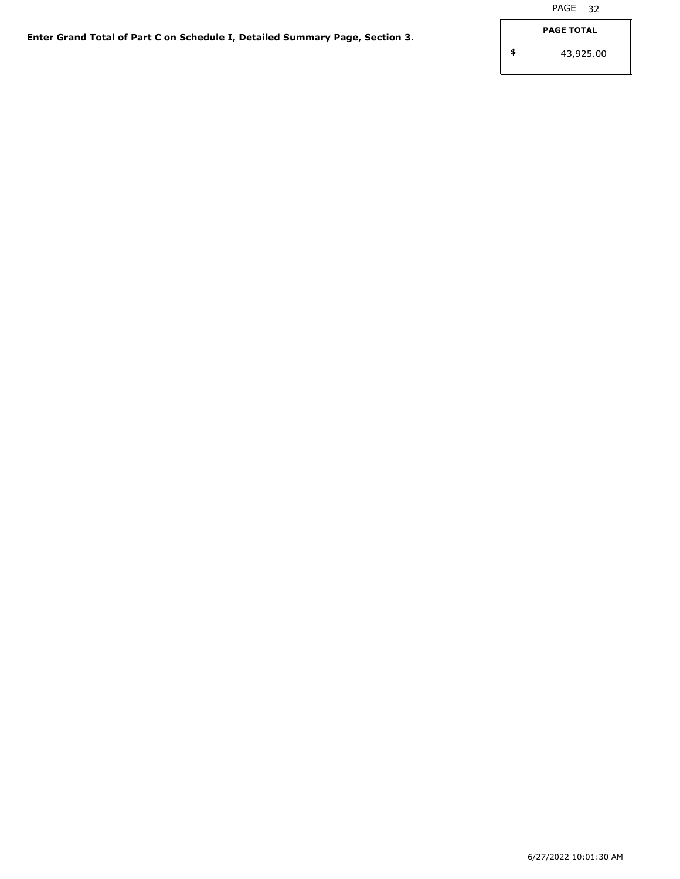**\$**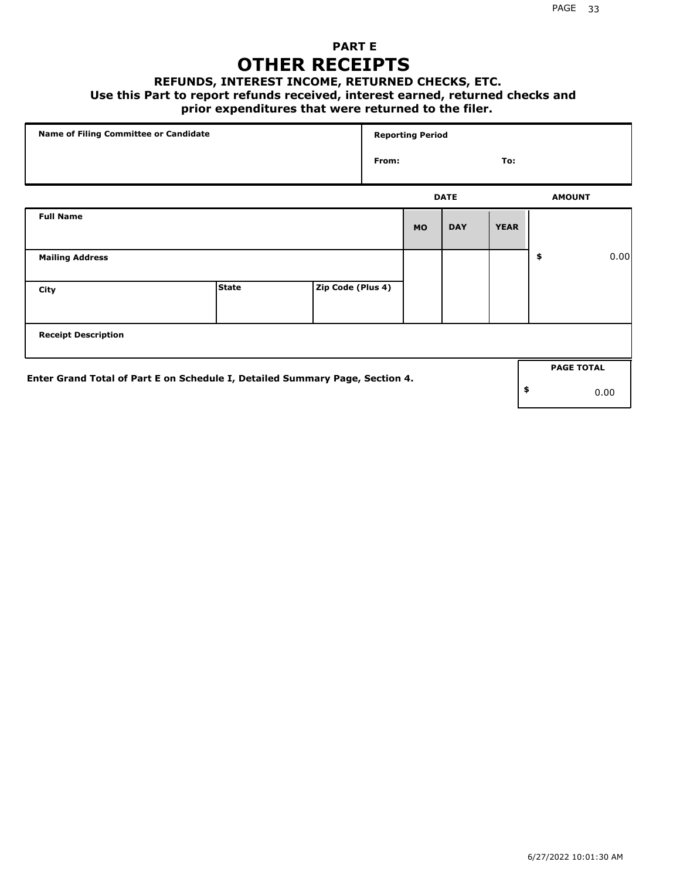## **PART E OTHER RECEIPTS**

#### **REFUNDS, INTEREST INCOME, RETURNED CHECKS, ETC.**

#### **Use this Part to report refunds received, interest earned, returned checks and**

## **prior expenditures that were returned to the filer.**

|                            | Name of Filing Committee or Candidate                                        |                   |       |           | <b>Reporting Period</b> |             |                   |      |
|----------------------------|------------------------------------------------------------------------------|-------------------|-------|-----------|-------------------------|-------------|-------------------|------|
|                            |                                                                              |                   | From: |           |                         | To:         |                   |      |
|                            |                                                                              |                   |       |           | <b>DATE</b>             |             | <b>AMOUNT</b>     |      |
| <b>Full Name</b>           |                                                                              |                   |       | <b>MO</b> | <b>DAY</b>              | <b>YEAR</b> |                   |      |
| <b>Mailing Address</b>     |                                                                              |                   |       |           |                         |             | \$                | 0.00 |
| City                       | <b>State</b>                                                                 | Zip Code (Plus 4) |       |           |                         |             |                   |      |
| <b>Receipt Description</b> |                                                                              |                   |       |           |                         |             |                   |      |
|                            |                                                                              |                   |       |           |                         |             | <b>PAGE TOTAL</b> |      |
|                            | Enter Grand Total of Part E on Schedule I, Detailed Summary Page, Section 4. |                   |       |           |                         |             | \$                | 0.00 |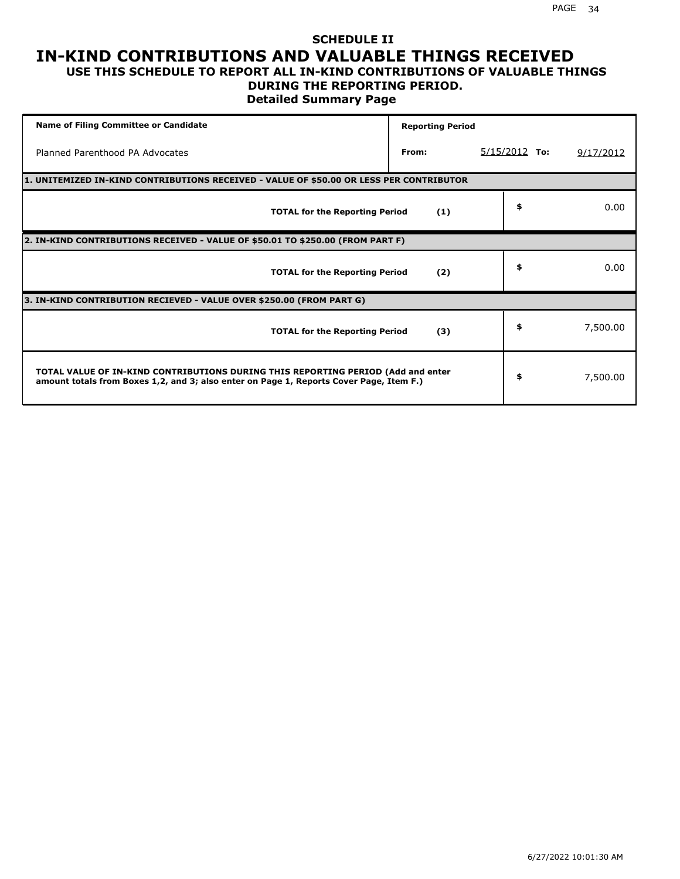### **SCHEDULE II IN-KIND CONTRIBUTIONS AND VALUABLE THINGS RECEIVED USE THIS SCHEDULE TO REPORT ALL IN-KIND CONTRIBUTIONS OF VALUABLE THINGS**

## **DURING THE REPORTING PERIOD.**

**Detailed Summary Page**

| <b>Name of Filing Committee or Candidate</b>                                                                                                                                | <b>Reporting Period</b> |                 |           |
|-----------------------------------------------------------------------------------------------------------------------------------------------------------------------------|-------------------------|-----------------|-----------|
| Planned Parenthood PA Advocates                                                                                                                                             | From:                   | $5/15/2012$ To: | 9/17/2012 |
| 1. UNITEMIZED IN-KIND CONTRIBUTIONS RECEIVED - VALUE OF \$50.00 OR LESS PER CONTRIBUTOR                                                                                     |                         |                 |           |
| <b>TOTAL for the Reporting Period</b>                                                                                                                                       | (1)                     | \$              | 0.00      |
| 2. IN-KIND CONTRIBUTIONS RECEIVED - VALUE OF \$50.01 TO \$250.00 (FROM PART F)                                                                                              |                         |                 |           |
| <b>TOTAL for the Reporting Period</b>                                                                                                                                       | (2)                     | \$              | 0.00      |
| 3. IN-KIND CONTRIBUTION RECIEVED - VALUE OVER \$250.00 (FROM PART G)                                                                                                        |                         |                 |           |
| <b>TOTAL for the Reporting Period</b>                                                                                                                                       | (3)                     | \$              | 7,500.00  |
| TOTAL VALUE OF IN-KIND CONTRIBUTIONS DURING THIS REPORTING PERIOD (Add and enter<br>amount totals from Boxes 1,2, and 3; also enter on Page 1, Reports Cover Page, Item F.) |                         | \$              | 7,500.00  |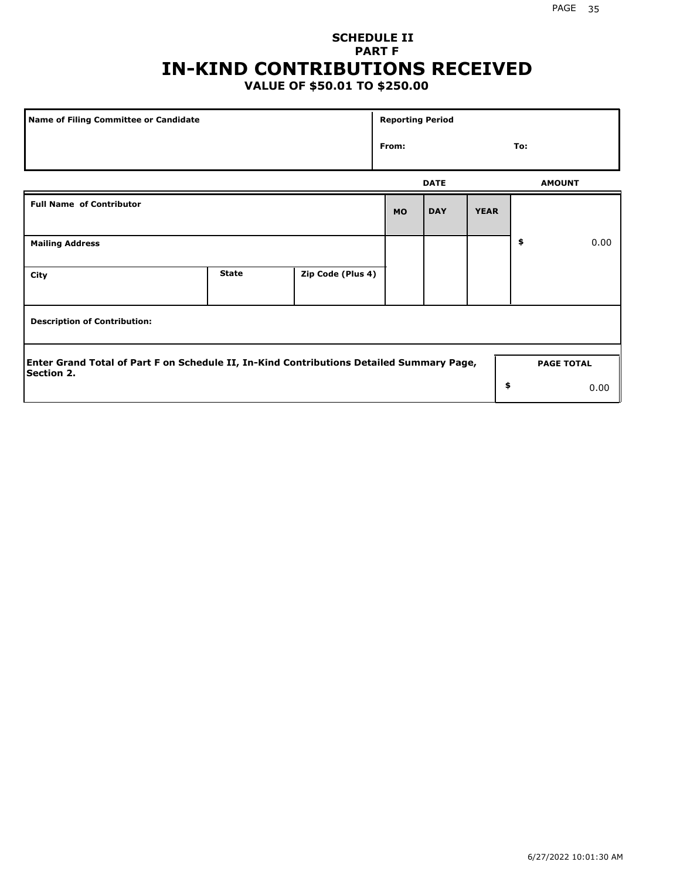## **SCHEDULE II PART F IN-KIND CONTRIBUTIONS RECEIVED**

## **VALUE OF \$50.01 TO \$250.00**

| <b>Name of Filing Committee or Candidate</b>                                                                  |              |                   |           |                   | <b>Reporting Period</b> |     |      |  |  |
|---------------------------------------------------------------------------------------------------------------|--------------|-------------------|-----------|-------------------|-------------------------|-----|------|--|--|
|                                                                                                               |              |                   |           |                   |                         | To: |      |  |  |
|                                                                                                               |              | <b>DATE</b>       |           | <b>AMOUNT</b>     |                         |     |      |  |  |
| <b>Full Name of Contributor</b>                                                                               |              |                   | <b>MO</b> | <b>DAY</b>        | <b>YEAR</b>             |     |      |  |  |
| <b>Mailing Address</b>                                                                                        |              |                   |           |                   |                         | \$  | 0.00 |  |  |
| City                                                                                                          | <b>State</b> | Zip Code (Plus 4) |           |                   |                         |     |      |  |  |
| <b>Description of Contribution:</b>                                                                           |              |                   |           |                   |                         |     |      |  |  |
| Enter Grand Total of Part F on Schedule II, In-Kind Contributions Detailed Summary Page,<br><b>Section 2.</b> |              |                   |           | <b>PAGE TOTAL</b> |                         |     |      |  |  |
|                                                                                                               |              |                   |           |                   | \$                      |     | 0.00 |  |  |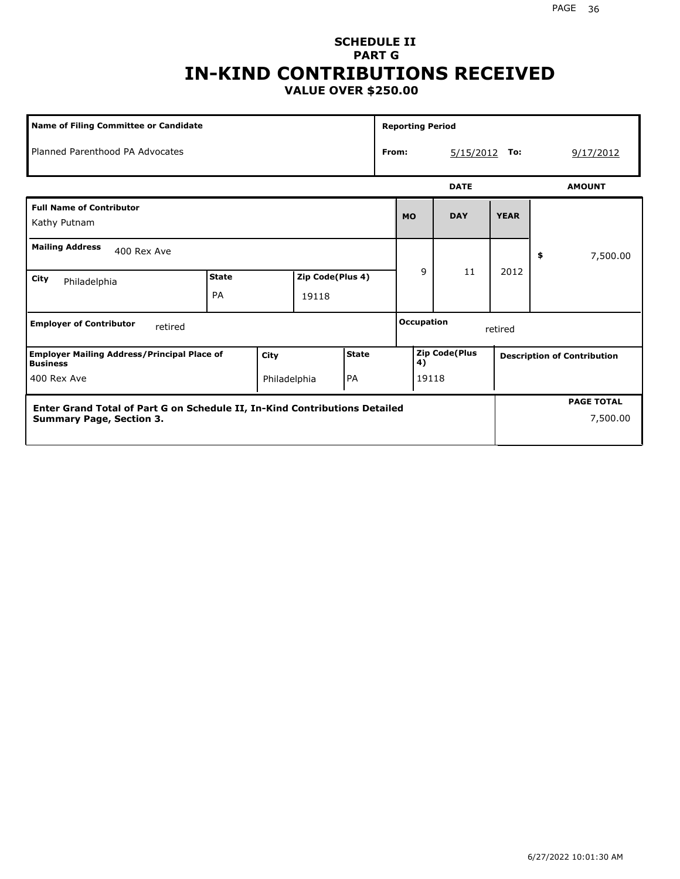## **SCHEDULE II PART G IN-KIND CONTRIBUTIONS RECEIVED VALUE OVER \$250.00**

| <b>Name of Filing Committee or Candidate</b>                               |                           |              |                           |       |                    | <b>Reporting Period</b>      |             |             |           |                                    |
|----------------------------------------------------------------------------|---------------------------|--------------|---------------------------|-------|--------------------|------------------------------|-------------|-------------|-----------|------------------------------------|
| Planned Parenthood PA Advocates                                            |                           |              |                           |       | From:<br>5/15/2012 |                              |             | To:         | 9/17/2012 |                                    |
|                                                                            |                           |              |                           |       |                    |                              | <b>DATE</b> |             |           | <b>AMOUNT</b>                      |
| <b>Full Name of Contributor</b><br>Kathy Putnam                            |                           |              |                           |       |                    | <b>MO</b>                    | <b>DAY</b>  | <b>YEAR</b> |           |                                    |
| <b>Mailing Address</b><br>400 Rex Ave                                      |                           |              |                           |       |                    |                              |             |             | \$        | 7,500.00                           |
| City<br>Philadelphia                                                       | <b>State</b><br><b>PA</b> |              | Zip Code(Plus 4)<br>19118 |       |                    | 9                            | 11          | 2012        |           |                                    |
| <b>Employer of Contributor</b><br>retired                                  |                           |              |                           |       |                    | <b>Occupation</b><br>retired |             |             |           |                                    |
| <b>Employer Mailing Address/Principal Place of</b><br><b>Business</b>      |                           | City         |                           | State |                    | <b>Zip Code(Plus</b><br>4)   |             |             |           | <b>Description of Contribution</b> |
| 400 Rex Ave                                                                |                           | Philadelphia |                           | PA    | 19118              |                              |             |             |           |                                    |
| Enter Grand Total of Part G on Schedule II, In-Kind Contributions Detailed |                           |              |                           |       |                    |                              |             |             |           | <b>PAGE TOTAL</b>                  |
| <b>Summary Page, Section 3.</b>                                            |                           |              |                           |       |                    |                              |             |             |           | 7,500.00                           |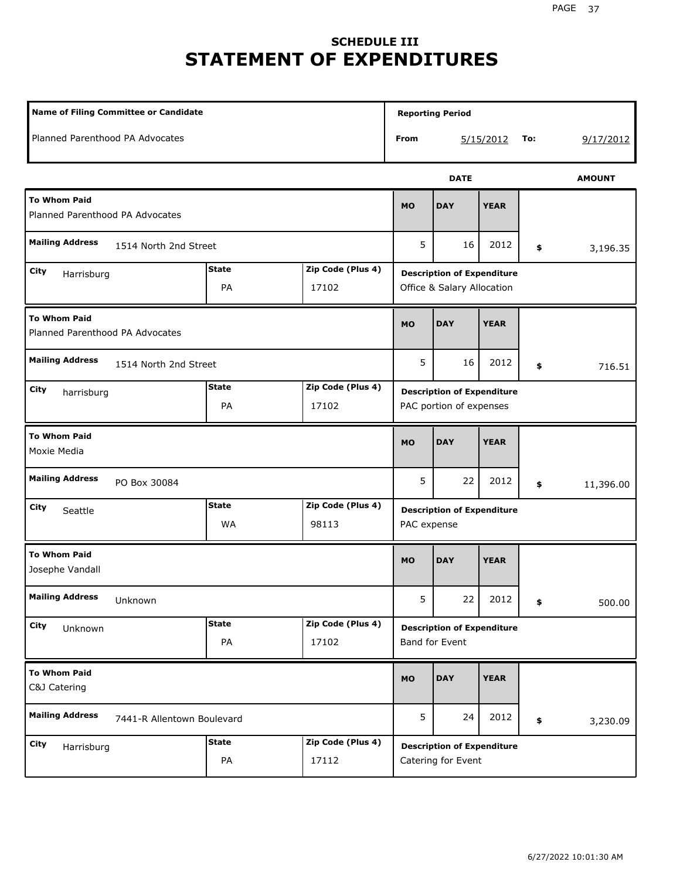# **SCHEDULE III STATEMENT OF EXPENDITURES**

| Name of Filing Committee or Candidate                                  |                            |                            |             |                                                                 |             |     |               |  |
|------------------------------------------------------------------------|----------------------------|----------------------------|-------------|-----------------------------------------------------------------|-------------|-----|---------------|--|
| Planned Parenthood PA Advocates                                        |                            |                            | From        |                                                                 | 5/15/2012   | To: | 9/17/2012     |  |
|                                                                        |                            |                            |             | <b>DATE</b>                                                     |             |     | <b>AMOUNT</b> |  |
| <b>To Whom Paid</b><br>Planned Parenthood PA Advocates                 |                            |                            | <b>MO</b>   | <b>DAY</b>                                                      | <b>YEAR</b> |     |               |  |
| <b>Mailing Address</b><br>1514 North 2nd Street                        |                            |                            | 5           | 16                                                              | 2012        | \$  | 3,196.35      |  |
| <b>State</b><br>Zip Code (Plus 4)<br>City<br>Harrisburg<br>PA<br>17102 |                            |                            |             | <b>Description of Expenditure</b><br>Office & Salary Allocation |             |     |               |  |
| <b>To Whom Paid</b><br>Planned Parenthood PA Advocates                 |                            |                            | <b>MO</b>   | <b>DAY</b>                                                      | <b>YEAR</b> |     |               |  |
| <b>Mailing Address</b><br>1514 North 2nd Street                        |                            |                            | 5           | 16                                                              | 2012        | \$  | 716.51        |  |
| City<br>harrisburg                                                     | <b>State</b><br>PA         | Zip Code (Plus 4)<br>17102 |             | <b>Description of Expenditure</b><br>PAC portion of expenses    |             |     |               |  |
| <b>To Whom Paid</b><br>Moxie Media                                     |                            |                            | <b>MO</b>   | <b>DAY</b>                                                      | <b>YEAR</b> |     |               |  |
| <b>Mailing Address</b><br>PO Box 30084                                 |                            |                            | 5           | 22                                                              | 2012        | \$  | 11,396.00     |  |
| City<br>Seattle                                                        | <b>State</b><br>WA         | Zip Code (Plus 4)<br>98113 | PAC expense | <b>Description of Expenditure</b>                               |             |     |               |  |
| <b>To Whom Paid</b><br>Josephe Vandall                                 |                            |                            | <b>MO</b>   | <b>DAY</b>                                                      | <b>YEAR</b> |     |               |  |
| <b>Mailing Address</b><br>Unknown                                      |                            |                            | 5           | 22                                                              | 2012        | \$  | 500.00        |  |
| City<br>Unknown                                                        | <b>State</b><br>PA         | Zip Code (Plus 4)<br>17102 |             | <b>Description of Expenditure</b><br>Band for Event             |             |     |               |  |
| <b>To Whom Paid</b><br>C&J Catering                                    | <b>MO</b>                  | <b>DAY</b>                 | <b>YEAR</b> |                                                                 |             |     |               |  |
| <b>Mailing Address</b>                                                 | 7441-R Allentown Boulevard |                            |             |                                                                 | 2012        | \$  | 3,230.09      |  |
| City<br>Harrisburg                                                     | <b>State</b><br>PA         | Zip Code (Plus 4)<br>17112 |             | <b>Description of Expenditure</b><br>Catering for Event         |             |     |               |  |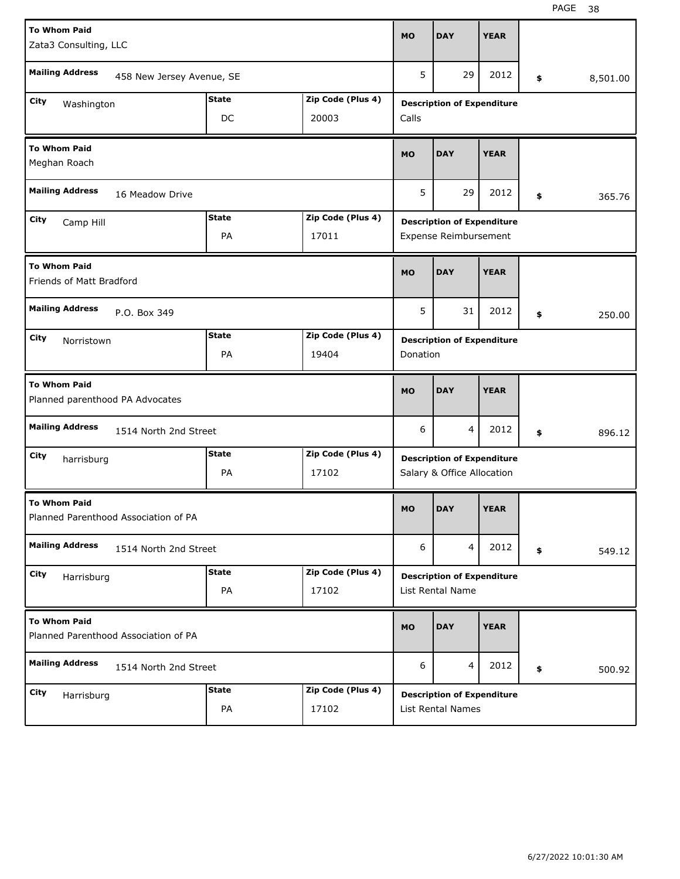| <b>To Whom Paid</b><br>Zata3 Consulting, LLC    |                                      |              |                   | <b>MO</b>             | <b>DAY</b>                                                      | <b>YEAR</b> |                |
|-------------------------------------------------|--------------------------------------|--------------|-------------------|-----------------------|-----------------------------------------------------------------|-------------|----------------|
| <b>Mailing Address</b>                          | 458 New Jersey Avenue, SE            |              |                   | 5                     | 29                                                              | 2012        | \$<br>8,501.00 |
| City                                            |                                      | <b>State</b> | Zip Code (Plus 4) |                       | <b>Description of Expenditure</b>                               |             |                |
| Washington                                      |                                      | DC           | 20003             | Calls                 |                                                                 |             |                |
| <b>To Whom Paid</b><br>Meghan Roach             |                                      |              |                   | <b>MO</b>             | <b>DAY</b>                                                      | <b>YEAR</b> |                |
| <b>Mailing Address</b>                          | 16 Meadow Drive                      |              |                   | 5                     | 29                                                              | 2012        | \$<br>365.76   |
| City<br>Camp Hill                               |                                      | <b>State</b> | Zip Code (Plus 4) |                       | <b>Description of Expenditure</b>                               |             |                |
|                                                 |                                      | 17011        |                   | Expense Reimbursement |                                                                 |             |                |
| <b>To Whom Paid</b><br>Friends of Matt Bradford |                                      |              |                   | <b>MO</b>             | <b>DAY</b>                                                      | <b>YEAR</b> |                |
| <b>Mailing Address</b>                          | P.O. Box 349                         |              |                   | 5                     | 31                                                              | 2012        | \$<br>250.00   |
| City<br>Norristown                              |                                      | <b>State</b> | Zip Code (Plus 4) |                       | <b>Description of Expenditure</b>                               |             |                |
|                                                 |                                      | PA           | 19404             | Donation              |                                                                 |             |                |
|                                                 |                                      |              |                   |                       |                                                                 |             |                |
| <b>To Whom Paid</b>                             | Planned parenthood PA Advocates      |              |                   | <b>MO</b>             | <b>DAY</b>                                                      | <b>YEAR</b> |                |
| <b>Mailing Address</b>                          | 1514 North 2nd Street                |              |                   | 6                     | 4                                                               | 2012        | \$<br>896.12   |
| City                                            |                                      | <b>State</b> | Zip Code (Plus 4) |                       |                                                                 |             |                |
| harrisburg                                      |                                      | PA           | 17102             |                       | <b>Description of Expenditure</b><br>Salary & Office Allocation |             |                |
| <b>To Whom Paid</b>                             | Planned Parenthood Association of PA |              |                   | MO                    | <b>DAY</b>                                                      | <b>YEAR</b> |                |
| <b>Mailing Address</b>                          | 1514 North 2nd Street                |              |                   | 6                     | 4                                                               | 2012        | \$<br>549.12   |
| City                                            |                                      | <b>State</b> | Zip Code (Plus 4) |                       | <b>Description of Expenditure</b>                               |             |                |
| Harrisburg                                      |                                      | PA           | 17102             |                       | List Rental Name                                                |             |                |
| <b>To Whom Paid</b>                             | Planned Parenthood Association of PA |              |                   | <b>MO</b>             | <b>DAY</b>                                                      | <b>YEAR</b> |                |
| <b>Mailing Address</b>                          | 1514 North 2nd Street                |              |                   | 6                     | $\overline{4}$                                                  | 2012        | \$<br>500.92   |
| City<br>Harrisburg                              |                                      | <b>State</b> | Zip Code (Plus 4) |                       | <b>Description of Expenditure</b>                               |             |                |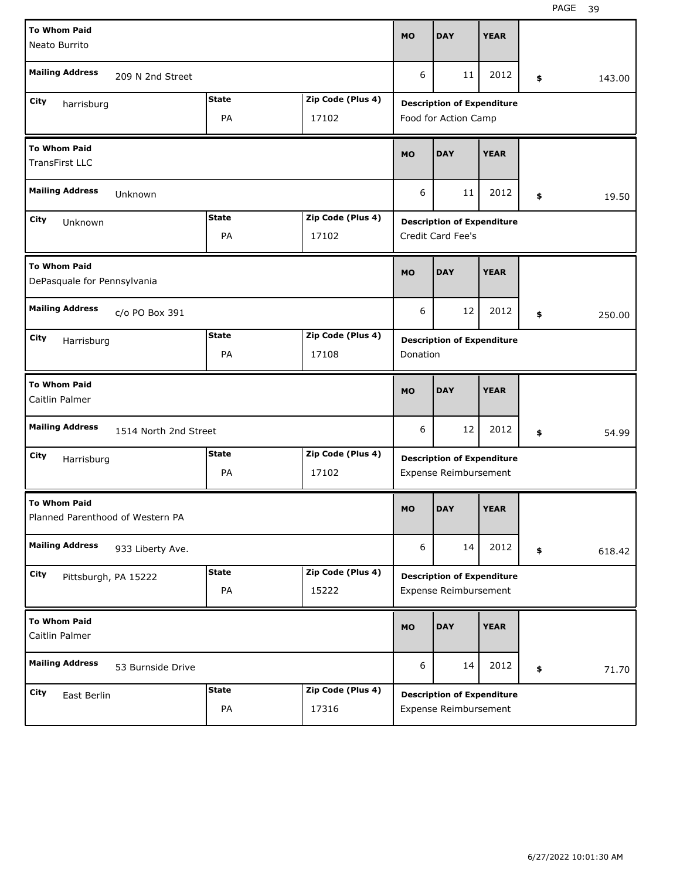| <b>To Whom Paid</b><br>Neato Burrito                    |                       |              |                   | <b>MO</b> | <b>DAY</b>                                                 | <b>YEAR</b> |    |        |
|---------------------------------------------------------|-----------------------|--------------|-------------------|-----------|------------------------------------------------------------|-------------|----|--------|
| <b>Mailing Address</b>                                  | 209 N 2nd Street      |              |                   | 6         | 11                                                         | 2012        | \$ | 143.00 |
| City<br>harrisburg                                      |                       | <b>State</b> | Zip Code (Plus 4) |           | <b>Description of Expenditure</b>                          |             |    |        |
|                                                         |                       | PA           | 17102             |           | Food for Action Camp                                       |             |    |        |
| <b>To Whom Paid</b><br><b>TransFirst LLC</b>            |                       |              |                   | <b>MO</b> | <b>DAY</b>                                                 | <b>YEAR</b> |    |        |
| <b>Mailing Address</b>                                  | Unknown               |              |                   | 6         | 19.50                                                      |             |    |        |
| City<br>Unknown                                         |                       | <b>State</b> | Zip Code (Plus 4) |           | <b>Description of Expenditure</b>                          |             |    |        |
|                                                         |                       |              | Credit Card Fee's |           |                                                            |             |    |        |
| <b>To Whom Paid</b><br>DePasquale for Pennsylvania      |                       |              |                   | <b>MO</b> | <b>DAY</b>                                                 | <b>YEAR</b> |    |        |
| <b>Mailing Address</b>                                  | c/o PO Box 391        |              |                   | 6         | 12                                                         | 2012        | \$ | 250.00 |
| City<br>Harrisburg                                      |                       | <b>State</b> | Zip Code (Plus 4) |           | <b>Description of Expenditure</b>                          |             |    |        |
|                                                         |                       | PA           | 17108             | Donation  |                                                            |             |    |        |
| <b>To Whom Paid</b>                                     |                       |              |                   |           |                                                            |             |    |        |
| Caitlin Palmer                                          |                       |              |                   | <b>MO</b> | <b>DAY</b>                                                 | <b>YEAR</b> |    |        |
| <b>Mailing Address</b>                                  | 1514 North 2nd Street |              |                   | 6         | 12                                                         | 2012        | \$ | 54.99  |
| City                                                    |                       | <b>State</b> | Zip Code (Plus 4) |           |                                                            |             |    |        |
| Harrisburg                                              |                       | PA           | 17102             |           | <b>Description of Expenditure</b><br>Expense Reimbursement |             |    |        |
| <b>To Whom Paid</b><br>Planned Parenthood of Western PA |                       |              |                   | <b>MO</b> | <b>DAY</b>                                                 | <b>YEAR</b> |    |        |
| <b>Mailing Address</b>                                  | 933 Liberty Ave.      |              |                   | 6         | 14                                                         | 2012        | \$ | 618.42 |
| City                                                    |                       | <b>State</b> | Zip Code (Plus 4) |           | <b>Description of Expenditure</b>                          |             |    |        |
|                                                         | Pittsburgh, PA 15222  | PA           | 15222             |           | Expense Reimbursement                                      |             |    |        |
| <b>To Whom Paid</b><br>Caitlin Palmer                   |                       |              |                   | <b>MO</b> | <b>DAY</b>                                                 | <b>YEAR</b> |    |        |
| <b>Mailing Address</b>                                  | 53 Burnside Drive     |              |                   | 6         | 14                                                         | 2012        | \$ | 71.70  |
| <b>City</b><br>East Berlin                              |                       | <b>State</b> | Zip Code (Plus 4) |           | <b>Description of Expenditure</b>                          |             |    |        |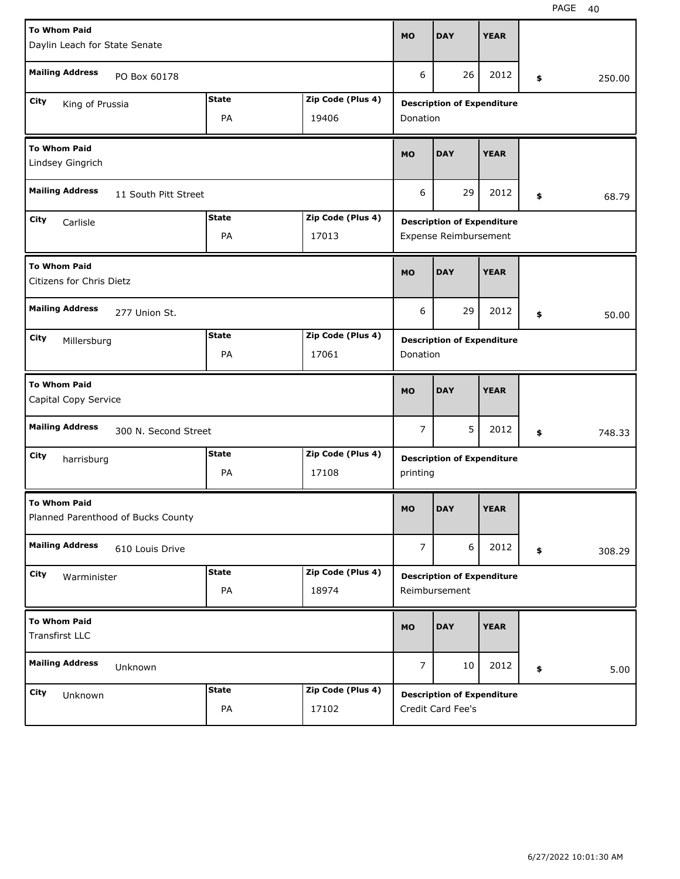| <b>To Whom Paid</b>                                       |                      |                       | <b>MO</b>      | <b>DAY</b>                        | <b>YEAR</b> |              |
|-----------------------------------------------------------|----------------------|-----------------------|----------------|-----------------------------------|-------------|--------------|
| Daylin Leach for State Senate                             |                      |                       |                |                                   |             |              |
| <b>Mailing Address</b><br>PO Box 60178                    |                      |                       | 6              | 26                                | 2012        | \$<br>250.00 |
| City<br>King of Prussia                                   | <b>State</b>         | Zip Code (Plus 4)     |                | <b>Description of Expenditure</b> |             |              |
|                                                           | PA                   | 19406                 | Donation       |                                   |             |              |
| <b>To Whom Paid</b><br>Lindsey Gingrich                   |                      |                       | <b>MO</b>      | <b>DAY</b>                        | <b>YEAR</b> |              |
| <b>Mailing Address</b><br>11 South Pitt Street            |                      |                       | 6              | 29                                | 2012        | \$<br>68.79  |
| City<br>Carlisle                                          | <b>State</b>         | Zip Code (Plus 4)     |                | <b>Description of Expenditure</b> |             |              |
|                                                           |                      | Expense Reimbursement |                |                                   |             |              |
| <b>To Whom Paid</b><br>Citizens for Chris Dietz           |                      |                       | <b>MO</b>      | <b>DAY</b>                        | <b>YEAR</b> |              |
| <b>Mailing Address</b><br>277 Union St.                   |                      |                       | 6              | 29                                | 2012        | \$<br>50.00  |
| City<br>Millersburg                                       | <b>State</b>         | Zip Code (Plus 4)     |                | <b>Description of Expenditure</b> |             |              |
|                                                           | PA                   | 17061                 | Donation       |                                   |             |              |
|                                                           |                      |                       |                |                                   |             |              |
| <b>To Whom Paid</b><br>Capital Copy Service               |                      |                       | <b>MO</b>      | <b>DAY</b>                        | <b>YEAR</b> |              |
| <b>Mailing Address</b>                                    | 300 N. Second Street |                       | 7              | 5                                 | 2012        | \$<br>748.33 |
| City<br>harrisburg                                        | <b>State</b>         | Zip Code (Plus 4)     |                | <b>Description of Expenditure</b> |             |              |
|                                                           | PA                   | 17108                 | printing       |                                   |             |              |
| <b>To Whom Paid</b><br>Planned Parenthood of Bucks County |                      |                       | <b>MO</b>      | <b>DAY</b>                        | <b>YEAR</b> |              |
| <b>Mailing Address</b><br>610 Louis Drive                 |                      |                       | $\overline{7}$ | 6                                 | 2012        | \$<br>308.29 |
| City<br>Warminister                                       | <b>State</b>         | Zip Code (Plus 4)     |                | <b>Description of Expenditure</b> |             |              |
|                                                           | PA                   | 18974                 |                | Reimbursement                     |             |              |
| <b>To Whom Paid</b><br>Transfirst LLC                     |                      |                       | <b>MO</b>      | <b>DAY</b>                        | <b>YEAR</b> |              |
| <b>Mailing Address</b><br>Unknown                         |                      |                       | $\overline{7}$ | 10                                | 2012        | \$<br>5.00   |
| City<br>Unknown                                           | <b>State</b>         | Zip Code (Plus 4)     |                | <b>Description of Expenditure</b> |             |              |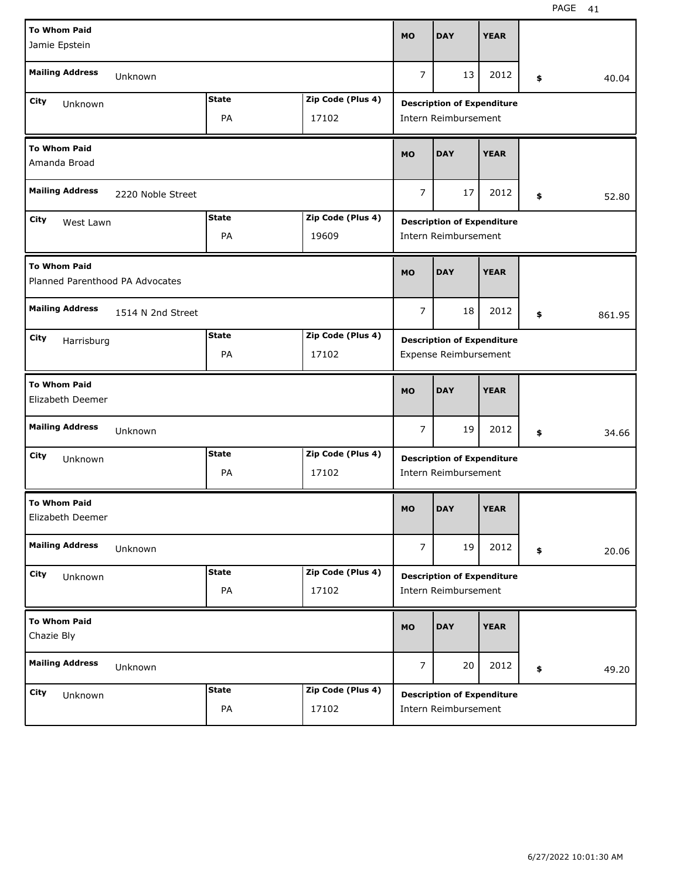| <b>To Whom Paid</b>                                    |                   |              |                   | <b>MO</b>            | <b>DAY</b>                        | <b>YEAR</b> |    |        |
|--------------------------------------------------------|-------------------|--------------|-------------------|----------------------|-----------------------------------|-------------|----|--------|
| Jamie Epstein                                          |                   |              |                   |                      |                                   |             |    |        |
| <b>Mailing Address</b>                                 | Unknown           |              |                   | $\overline{7}$       | 13                                | 2012        | \$ | 40.04  |
| City<br>Unknown                                        |                   | <b>State</b> | Zip Code (Plus 4) |                      | <b>Description of Expenditure</b> |             |    |        |
|                                                        |                   | PA           | 17102             |                      | Intern Reimbursement              |             |    |        |
| <b>To Whom Paid</b><br>Amanda Broad                    |                   |              |                   | <b>MO</b>            | <b>DAY</b>                        | <b>YEAR</b> |    |        |
| <b>Mailing Address</b>                                 | 2220 Noble Street |              |                   | $\overline{7}$       | 52.80                             |             |    |        |
| City<br>West Lawn                                      |                   | <b>State</b> | Zip Code (Plus 4) |                      | <b>Description of Expenditure</b> |             |    |        |
|                                                        |                   | 19609        |                   | Intern Reimbursement |                                   |             |    |        |
| <b>To Whom Paid</b><br>Planned Parenthood PA Advocates |                   |              |                   | <b>MO</b>            | <b>DAY</b>                        | <b>YEAR</b> |    |        |
| <b>Mailing Address</b>                                 | 1514 N 2nd Street |              |                   | 7                    | 18                                | 2012        | \$ | 861.95 |
| City<br>Harrisburg                                     |                   | <b>State</b> | Zip Code (Plus 4) |                      | <b>Description of Expenditure</b> |             |    |        |
|                                                        |                   | PA           | 17102             |                      | Expense Reimbursement             |             |    |        |
| <b>To Whom Paid</b>                                    |                   |              |                   |                      |                                   |             |    |        |
| Elizabeth Deemer                                       |                   |              |                   | <b>MO</b>            | <b>DAY</b>                        | <b>YEAR</b> |    |        |
| <b>Mailing Address</b>                                 | Unknown           |              |                   | 7                    | 19                                | 2012        | \$ | 34.66  |
| City<br>Unknown                                        |                   | <b>State</b> | Zip Code (Plus 4) |                      | <b>Description of Expenditure</b> |             |    |        |
|                                                        |                   | PA           | 17102             |                      | Intern Reimbursement              |             |    |        |
| <b>To Whom Paid</b><br>Elizabeth Deemer                |                   |              |                   | <b>MO</b>            | <b>DAY</b>                        | <b>YEAR</b> |    |        |
| <b>Mailing Address</b>                                 | Unknown           |              |                   | $\overline{7}$       | 19                                | 2012        | \$ | 20.06  |
| City                                                   |                   | <b>State</b> | Zip Code (Plus 4) |                      | <b>Description of Expenditure</b> |             |    |        |
| Unknown                                                |                   | PA           | 17102             |                      | Intern Reimbursement              |             |    |        |
| <b>To Whom Paid</b><br>Chazie Bly                      |                   |              |                   | <b>MO</b>            | <b>DAY</b>                        | <b>YEAR</b> |    |        |
| <b>Mailing Address</b>                                 | Unknown           |              |                   | $\overline{7}$       | 20                                | 2012        | \$ | 49.20  |
| City<br>Unknown                                        |                   | <b>State</b> | Zip Code (Plus 4) |                      | <b>Description of Expenditure</b> |             |    |        |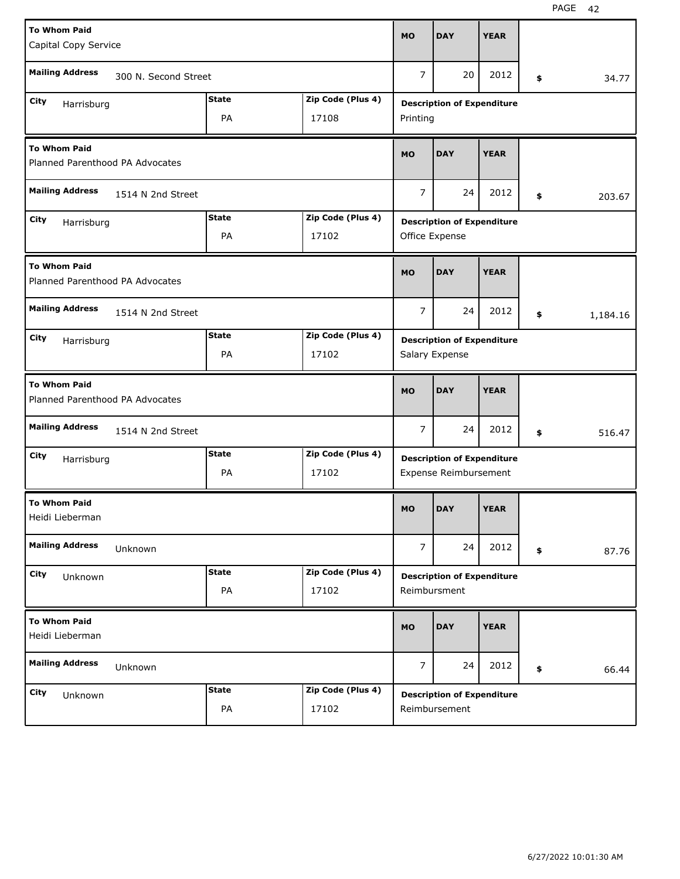| <b>To Whom Paid</b><br>Capital Copy Service            |                      |              |                   | <b>MO</b>      | <b>DAY</b>                                                 | <b>YEAR</b> |                |
|--------------------------------------------------------|----------------------|--------------|-------------------|----------------|------------------------------------------------------------|-------------|----------------|
| <b>Mailing Address</b>                                 | 300 N. Second Street |              |                   | $\overline{7}$ | 20                                                         | 2012        | \$<br>34.77    |
| City                                                   |                      | <b>State</b> | Zip Code (Plus 4) |                |                                                            |             |                |
| Harrisburg                                             |                      | PA           | 17108             | Printing       | <b>Description of Expenditure</b>                          |             |                |
| <b>To Whom Paid</b><br>Planned Parenthood PA Advocates |                      |              |                   | <b>MO</b>      | <b>DAY</b>                                                 | <b>YEAR</b> |                |
| <b>Mailing Address</b>                                 | 1514 N 2nd Street    |              |                   | 7              | 24                                                         | 2012        | \$<br>203.67   |
| City<br>Harrisburg                                     |                      | <b>State</b> | Zip Code (Plus 4) |                | <b>Description of Expenditure</b>                          |             |                |
|                                                        |                      | PA           | 17102             |                | Office Expense                                             |             |                |
| <b>To Whom Paid</b><br>Planned Parenthood PA Advocates |                      |              |                   | <b>MO</b>      | <b>DAY</b>                                                 | <b>YEAR</b> |                |
| <b>Mailing Address</b>                                 | 1514 N 2nd Street    |              |                   | $\overline{7}$ | 24                                                         | 2012        | \$<br>1,184.16 |
| City<br>Harrisburg                                     |                      | <b>State</b> | Zip Code (Plus 4) |                | <b>Description of Expenditure</b>                          |             |                |
|                                                        |                      | PA           | 17102             |                | Salary Expense                                             |             |                |
|                                                        |                      |              |                   |                |                                                            |             |                |
| <b>To Whom Paid</b><br>Planned Parenthood PA Advocates |                      |              |                   | <b>MO</b>      | <b>DAY</b>                                                 | <b>YEAR</b> |                |
| <b>Mailing Address</b>                                 | 1514 N 2nd Street    |              |                   | 7              | 24                                                         | 2012        | \$<br>516.47   |
| City                                                   |                      | <b>State</b> | Zip Code (Plus 4) |                |                                                            |             |                |
| Harrisburg                                             |                      | PA           | 17102             |                | <b>Description of Expenditure</b><br>Expense Reimbursement |             |                |
| <b>To Whom Paid</b><br>Heidi Lieberman                 |                      |              |                   | MO             | <b>DAY</b>                                                 | <b>YEAR</b> |                |
| <b>Mailing Address</b>                                 | Unknown              |              |                   | $\overline{7}$ | 24                                                         | 2012        | \$<br>87.76    |
| City                                                   |                      | <b>State</b> | Zip Code (Plus 4) |                |                                                            |             |                |
| Unknown                                                |                      | PA           | 17102             |                | <b>Description of Expenditure</b><br>Reimbursment          |             |                |
| <b>To Whom Paid</b><br>Heidi Lieberman                 |                      |              |                   | MO             | <b>DAY</b>                                                 | <b>YEAR</b> |                |
| <b>Mailing Address</b>                                 | Unknown              |              |                   | $\overline{7}$ | 24                                                         | 2012        | \$<br>66.44    |
| City<br>Unknown                                        |                      | <b>State</b> | Zip Code (Plus 4) |                | <b>Description of Expenditure</b>                          |             |                |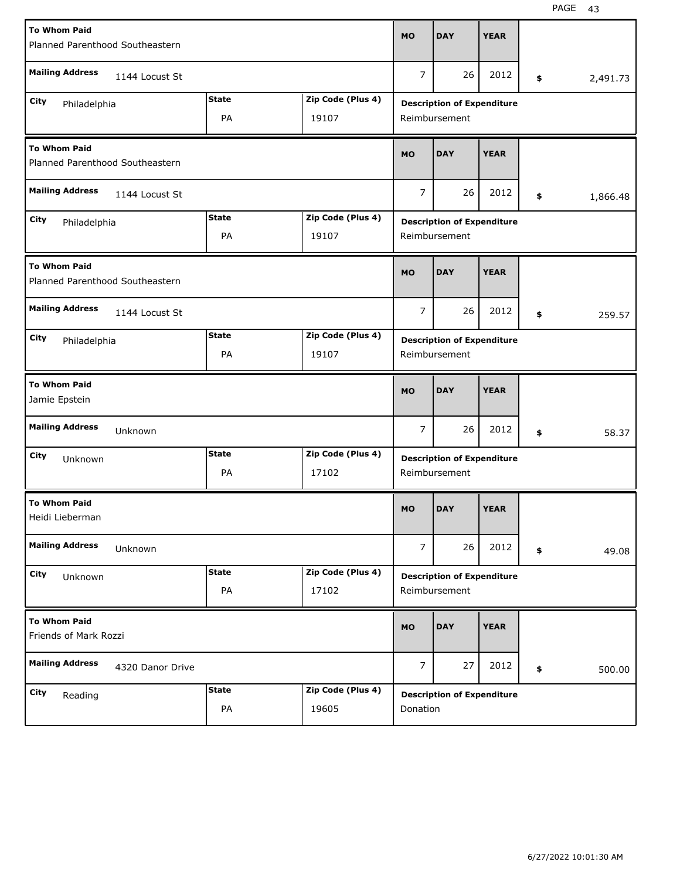| <b>To Whom Paid</b>                                    |                  |              |                   |                |                                   |             |                |
|--------------------------------------------------------|------------------|--------------|-------------------|----------------|-----------------------------------|-------------|----------------|
| Planned Parenthood Southeastern                        |                  |              |                   | <b>MO</b>      | <b>DAY</b>                        | <b>YEAR</b> |                |
| <b>Mailing Address</b>                                 | 1144 Locust St   |              |                   | 7              | 26                                | 2012        | \$<br>2,491.73 |
| City<br>Philadelphia                                   |                  | <b>State</b> | Zip Code (Plus 4) |                | <b>Description of Expenditure</b> |             |                |
|                                                        |                  | PA           | 19107             |                | Reimbursement                     |             |                |
| <b>To Whom Paid</b><br>Planned Parenthood Southeastern |                  |              |                   | <b>MO</b>      | <b>DAY</b>                        | <b>YEAR</b> |                |
| <b>Mailing Address</b>                                 | 1144 Locust St   |              |                   | $\overline{7}$ | 26                                | 2012        | \$<br>1,866.48 |
| City<br>Philadelphia                                   |                  | <b>State</b> | Zip Code (Plus 4) |                | <b>Description of Expenditure</b> |             |                |
| PA<br>19107                                            |                  |              |                   |                | Reimbursement                     |             |                |
| <b>To Whom Paid</b><br>Planned Parenthood Southeastern |                  |              |                   | <b>MO</b>      | <b>DAY</b>                        | <b>YEAR</b> |                |
| <b>Mailing Address</b>                                 | 1144 Locust St   |              |                   | 7              | 26                                | 2012        | \$<br>259.57   |
| City<br>Philadelphia                                   |                  | <b>State</b> | Zip Code (Plus 4) |                | <b>Description of Expenditure</b> |             |                |
|                                                        |                  | PA           | 19107             |                | Reimbursement                     |             |                |
|                                                        |                  |              |                   |                |                                   |             |                |
| <b>To Whom Paid</b><br>Jamie Epstein                   |                  |              |                   | <b>MO</b>      | <b>DAY</b>                        | <b>YEAR</b> |                |
| <b>Mailing Address</b>                                 | Unknown          |              |                   | $\overline{7}$ | 26                                | 2012        | \$<br>58.37    |
| City<br>Unknown                                        |                  | <b>State</b> | Zip Code (Plus 4) |                | <b>Description of Expenditure</b> |             |                |
|                                                        |                  | PA           | 17102             |                | Reimbursement                     |             |                |
| <b>To Whom Paid</b><br>Heidi Lieberman                 |                  |              |                   | <b>MO</b>      | <b>DAY</b>                        | <b>YEAR</b> |                |
| <b>Mailing Address</b>                                 | Unknown          |              |                   | $\overline{7}$ | 26                                | 2012        | \$<br>49.08    |
| City<br>Unknown                                        |                  | <b>State</b> | Zip Code (Plus 4) |                | <b>Description of Expenditure</b> |             |                |
|                                                        |                  | PA           | 17102             |                | Reimbursement                     |             |                |
| <b>To Whom Paid</b><br>Friends of Mark Rozzi           |                  |              |                   | <b>MO</b>      | <b>DAY</b>                        | <b>YEAR</b> |                |
| <b>Mailing Address</b>                                 | 4320 Danor Drive |              |                   | $\overline{7}$ | 27                                | 2012        | \$<br>500.00   |
| City<br>Reading                                        |                  | <b>State</b> | Zip Code (Plus 4) |                | <b>Description of Expenditure</b> |             |                |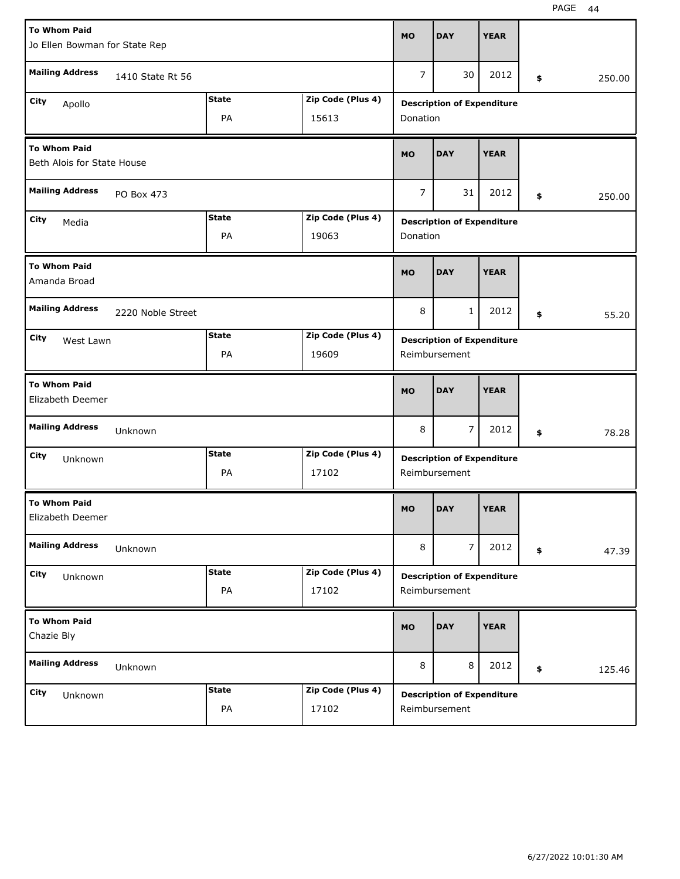| <b>To Whom Paid</b>                               |                   |              |                   | <b>MO</b>      | <b>DAY</b>                        | <b>YEAR</b> |              |
|---------------------------------------------------|-------------------|--------------|-------------------|----------------|-----------------------------------|-------------|--------------|
| Jo Ellen Bowman for State Rep                     |                   |              |                   |                |                                   |             |              |
| <b>Mailing Address</b>                            | 1410 State Rt 56  |              |                   | $\overline{7}$ | 30                                | 2012        | \$<br>250.00 |
| City<br>Apollo                                    |                   | <b>State</b> | Zip Code (Plus 4) |                | <b>Description of Expenditure</b> |             |              |
|                                                   |                   | PA           | 15613             | Donation       |                                   |             |              |
| <b>To Whom Paid</b><br>Beth Alois for State House |                   |              |                   | <b>MO</b>      | <b>DAY</b>                        | <b>YEAR</b> |              |
| <b>Mailing Address</b>                            | PO Box 473        |              |                   | $\overline{7}$ | 31                                | 2012        | \$<br>250.00 |
| City<br>Media                                     |                   | <b>State</b> | Zip Code (Plus 4) |                | <b>Description of Expenditure</b> |             |              |
|                                                   |                   | 19063        | Donation          |                |                                   |             |              |
| <b>To Whom Paid</b><br>Amanda Broad               |                   |              |                   | <b>MO</b>      | <b>DAY</b>                        | <b>YEAR</b> |              |
| <b>Mailing Address</b>                            | 2220 Noble Street |              |                   | 8              | $\mathbf{1}$                      | 2012        | \$<br>55.20  |
| City<br>West Lawn                                 |                   | <b>State</b> | Zip Code (Plus 4) |                | <b>Description of Expenditure</b> |             |              |
|                                                   |                   | PA           | 19609             |                | Reimbursement                     |             |              |
|                                                   |                   |              |                   |                |                                   |             |              |
| <b>To Whom Paid</b><br>Elizabeth Deemer           |                   |              |                   | <b>MO</b>      | <b>DAY</b>                        | <b>YEAR</b> |              |
| <b>Mailing Address</b>                            | Unknown           |              |                   | 8              | $\overline{7}$                    | 2012        | \$<br>78.28  |
| City<br>Unknown                                   |                   | <b>State</b> | Zip Code (Plus 4) |                | <b>Description of Expenditure</b> |             |              |
|                                                   |                   | PA           | 17102             |                | Reimbursement                     |             |              |
| <b>To Whom Paid</b><br>Elizabeth Deemer           |                   |              |                   | <b>MO</b>      | <b>DAY</b>                        | <b>YEAR</b> |              |
| <b>Mailing Address</b>                            | Unknown           |              |                   | 8              | $\overline{7}$                    | 2012        | \$<br>47.39  |
| City<br>Unknown                                   |                   | <b>State</b> | Zip Code (Plus 4) |                | <b>Description of Expenditure</b> |             |              |
|                                                   |                   | PA           | 17102             |                | Reimbursement                     |             |              |
| <b>To Whom Paid</b><br>Chazie Bly                 |                   |              |                   | <b>MO</b>      | <b>DAY</b>                        | <b>YEAR</b> |              |
| <b>Mailing Address</b>                            | Unknown           |              |                   | 8              | 8                                 | 2012        | \$<br>125.46 |
| City<br>Unknown                                   |                   | <b>State</b> | Zip Code (Plus 4) |                | <b>Description of Expenditure</b> |             |              |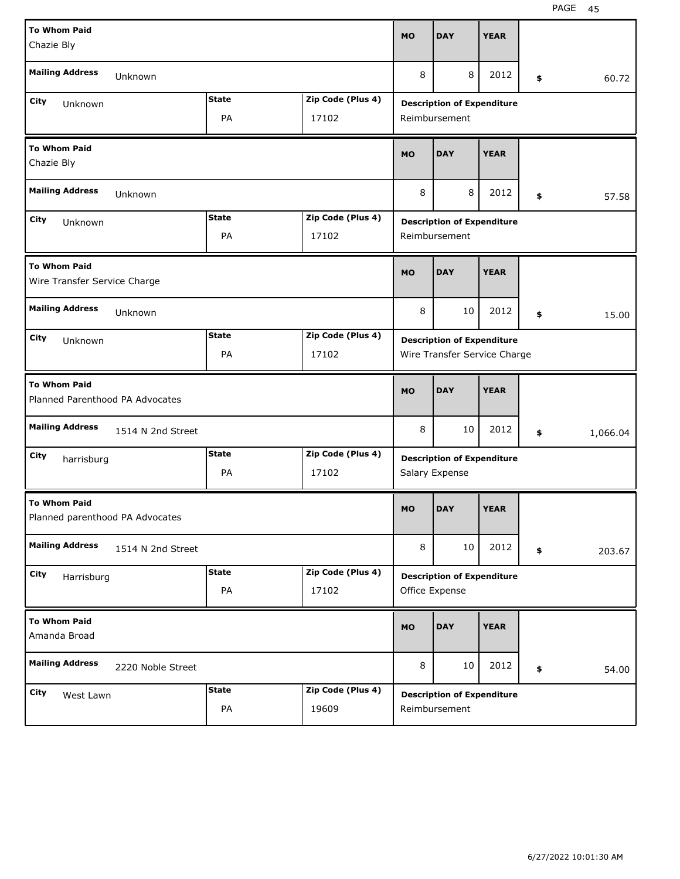| <b>To Whom Paid</b><br>Chazie Bly                      |              |                   | <b>MO</b>     | <b>DAY</b>                                          | <b>YEAR</b> |    |          |
|--------------------------------------------------------|--------------|-------------------|---------------|-----------------------------------------------------|-------------|----|----------|
| <b>Mailing Address</b><br>Unknown                      |              |                   | 8             | 8                                                   | 2012        | \$ | 60.72    |
| City                                                   | <b>State</b> | Zip Code (Plus 4) |               | <b>Description of Expenditure</b>                   |             |    |          |
| Unknown                                                | PA           | 17102             |               | Reimbursement                                       |             |    |          |
| <b>To Whom Paid</b><br>Chazie Bly                      |              |                   | <b>MO</b>     | <b>DAY</b>                                          | <b>YEAR</b> |    |          |
| <b>Mailing Address</b><br>Unknown                      |              |                   | 8             | 57.58                                               |             |    |          |
| City<br>Unknown                                        | <b>State</b> | Zip Code (Plus 4) |               | <b>Description of Expenditure</b>                   |             |    |          |
|                                                        | 17102        |                   | Reimbursement |                                                     |             |    |          |
| <b>To Whom Paid</b><br>Wire Transfer Service Charge    |              |                   | <b>MO</b>     | <b>DAY</b>                                          | <b>YEAR</b> |    |          |
| <b>Mailing Address</b><br>Unknown                      |              |                   | 8             | 10                                                  | 2012        | \$ | 15.00    |
| City<br>Unknown                                        | <b>State</b> | Zip Code (Plus 4) |               | <b>Description of Expenditure</b>                   |             |    |          |
|                                                        | PA           | 17102             |               | Wire Transfer Service Charge                        |             |    |          |
|                                                        |              |                   |               |                                                     |             |    |          |
| <b>To Whom Paid</b><br>Planned Parenthood PA Advocates |              |                   | <b>MO</b>     | <b>DAY</b>                                          | <b>YEAR</b> |    |          |
| <b>Mailing Address</b><br>1514 N 2nd Street            |              |                   | 8             | 10                                                  | 2012        | \$ | 1,066.04 |
| City                                                   | <b>State</b> | Zip Code (Plus 4) |               |                                                     |             |    |          |
| harrisburg                                             | PA           | 17102             |               | <b>Description of Expenditure</b><br>Salary Expense |             |    |          |
| <b>To Whom Paid</b><br>Planned parenthood PA Advocates |              |                   | <b>MO</b>     | <b>DAY</b>                                          | <b>YEAR</b> |    |          |
| <b>Mailing Address</b><br>1514 N 2nd Street            |              |                   | 8             | 10                                                  | 2012        | \$ | 203.67   |
| City                                                   | <b>State</b> | Zip Code (Plus 4) |               |                                                     |             |    |          |
| Harrisburg                                             | PA           | 17102             |               | <b>Description of Expenditure</b><br>Office Expense |             |    |          |
| <b>To Whom Paid</b><br>Amanda Broad                    |              |                   | <b>MO</b>     | <b>DAY</b>                                          | <b>YEAR</b> |    |          |
| <b>Mailing Address</b><br>2220 Noble Street            |              |                   | 8             | 10                                                  | 2012        | \$ | 54.00    |
| City<br>West Lawn                                      | <b>State</b> | Zip Code (Plus 4) |               | <b>Description of Expenditure</b>                   |             |    |          |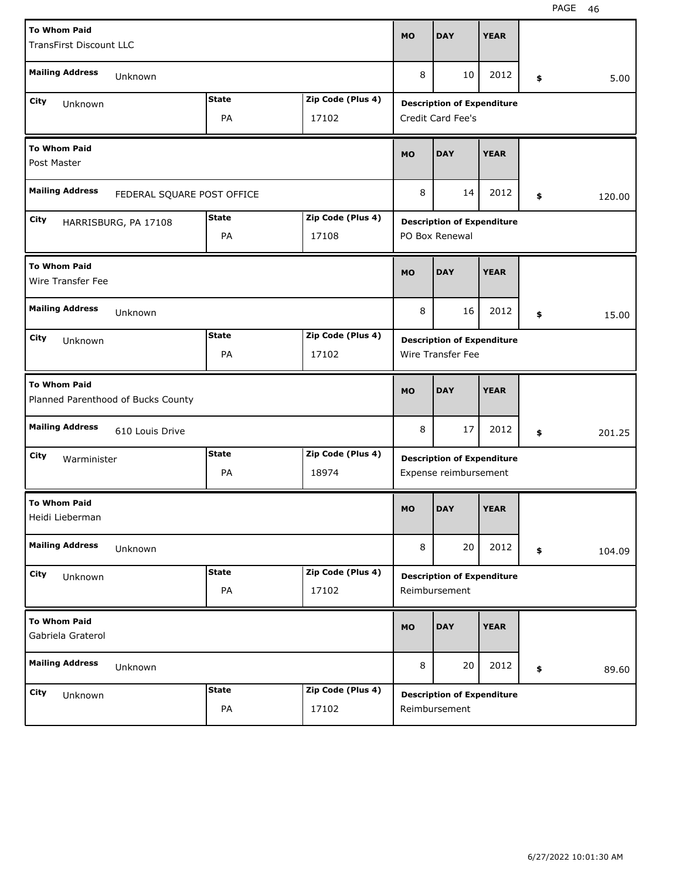| <b>To Whom Paid</b><br><b>TransFirst Discount LLC</b> |                                    |                |                   | <b>MO</b> | <b>DAY</b>                                                 | <b>YEAR</b> |              |
|-------------------------------------------------------|------------------------------------|----------------|-------------------|-----------|------------------------------------------------------------|-------------|--------------|
| <b>Mailing Address</b>                                | Unknown                            |                |                   | 8         | 10                                                         | 2012        | \$<br>5.00   |
| City                                                  |                                    | <b>State</b>   | Zip Code (Plus 4) |           | <b>Description of Expenditure</b>                          |             |              |
| Unknown                                               |                                    | PA             | 17102             |           | Credit Card Fee's                                          |             |              |
| <b>To Whom Paid</b><br>Post Master                    |                                    |                |                   | <b>MO</b> | <b>DAY</b>                                                 | <b>YEAR</b> |              |
| <b>Mailing Address</b>                                | FEDERAL SQUARE POST OFFICE         |                |                   | 8         | 14                                                         | 2012        | \$<br>120.00 |
| City                                                  | HARRISBURG, PA 17108               | <b>State</b>   | Zip Code (Plus 4) |           | <b>Description of Expenditure</b>                          |             |              |
|                                                       |                                    | PO Box Renewal |                   |           |                                                            |             |              |
| <b>To Whom Paid</b><br>Wire Transfer Fee              |                                    |                |                   | <b>MO</b> | <b>DAY</b>                                                 | <b>YEAR</b> |              |
| <b>Mailing Address</b>                                | Unknown                            |                |                   | 8         | 16                                                         | 2012        | \$<br>15.00  |
| City<br>Unknown                                       |                                    | <b>State</b>   | Zip Code (Plus 4) |           | <b>Description of Expenditure</b>                          |             |              |
|                                                       |                                    | PA             | 17102             |           | Wire Transfer Fee                                          |             |              |
|                                                       |                                    |                |                   |           |                                                            |             |              |
| <b>To Whom Paid</b>                                   | Planned Parenthood of Bucks County |                |                   | <b>MO</b> | <b>DAY</b>                                                 | <b>YEAR</b> |              |
| <b>Mailing Address</b>                                | 610 Louis Drive                    |                |                   | 8         | 17                                                         | 2012        | \$<br>201.25 |
| City                                                  |                                    | <b>State</b>   | Zip Code (Plus 4) |           |                                                            |             |              |
| Warminister                                           |                                    | PA             | 18974             |           | <b>Description of Expenditure</b><br>Expense reimbursement |             |              |
| <b>To Whom Paid</b><br>Heidi Lieberman                |                                    |                |                   | <b>MO</b> | <b>DAY</b>                                                 | <b>YEAR</b> |              |
| <b>Mailing Address</b>                                | Unknown                            |                |                   | 8         | 20                                                         | 2012        | \$<br>104.09 |
| City                                                  |                                    | <b>State</b>   | Zip Code (Plus 4) |           |                                                            |             |              |
| Unknown                                               |                                    | PA             | 17102             |           | <b>Description of Expenditure</b><br>Reimbursement         |             |              |
| <b>To Whom Paid</b><br>Gabriela Graterol              |                                    |                |                   | <b>MO</b> | <b>DAY</b>                                                 | <b>YEAR</b> |              |
| <b>Mailing Address</b>                                | Unknown                            |                |                   | 8         | 20                                                         | 2012        | \$<br>89.60  |
| City<br>Unknown                                       |                                    | <b>State</b>   | Zip Code (Plus 4) |           | <b>Description of Expenditure</b>                          |             |              |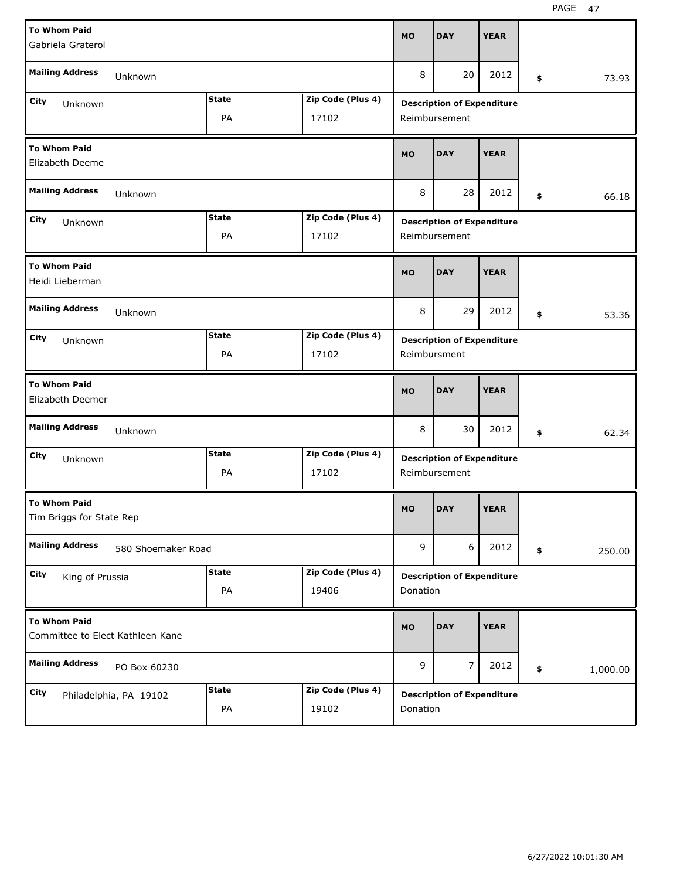| <b>To Whom Paid</b><br>Gabriela Graterol                |              |                   | <b>MO</b>             | <b>DAY</b>                        | <b>YEAR</b> |    |          |
|---------------------------------------------------------|--------------|-------------------|-----------------------|-----------------------------------|-------------|----|----------|
| <b>Mailing Address</b><br>Unknown                       |              |                   | 8                     | 20                                | 2012        | \$ | 73.93    |
| City<br>Unknown                                         | <b>State</b> | Zip Code (Plus 4) |                       | <b>Description of Expenditure</b> |             |    |          |
|                                                         | PA           | 17102             |                       | Reimbursement                     |             |    |          |
| <b>To Whom Paid</b><br>Elizabeth Deeme                  |              |                   | <b>MO</b>             | <b>DAY</b>                        | <b>YEAR</b> |    |          |
| <b>Mailing Address</b><br>Unknown                       |              |                   | 8<br>28<br>2012<br>\$ |                                   |             |    |          |
| City<br>Unknown                                         | <b>State</b> | Zip Code (Plus 4) |                       | <b>Description of Expenditure</b> |             |    |          |
|                                                         |              | Reimbursement     |                       |                                   |             |    |          |
| <b>To Whom Paid</b><br>Heidi Lieberman                  |              |                   | <b>MO</b>             | <b>DAY</b>                        | <b>YEAR</b> |    |          |
| <b>Mailing Address</b><br>Unknown                       |              |                   | 8                     | 29                                | 2012        | \$ | 53.36    |
| City<br>Unknown                                         | <b>State</b> | Zip Code (Plus 4) |                       | <b>Description of Expenditure</b> |             |    |          |
|                                                         | PA           | 17102             |                       | Reimbursment                      |             |    |          |
|                                                         |              |                   |                       |                                   |             |    |          |
| <b>To Whom Paid</b><br>Elizabeth Deemer                 |              |                   | <b>MO</b>             | <b>DAY</b>                        | <b>YEAR</b> |    |          |
| <b>Mailing Address</b><br>Unknown                       |              |                   | 8                     | 30                                | 2012        | \$ | 62.34    |
| City<br>Unknown                                         | State        | Zip Code (Plus 4) |                       | <b>Description of Expenditure</b> |             |    |          |
|                                                         | PA           | 17102             |                       | Reimbursement                     |             |    |          |
| <b>To Whom Paid</b><br>Tim Briggs for State Rep         |              |                   | <b>MO</b>             | <b>DAY</b>                        | <b>YEAR</b> |    |          |
| <b>Mailing Address</b><br>580 Shoemaker Road            |              |                   | 9                     | 6                                 | 2012        | \$ | 250.00   |
| City<br>King of Prussia                                 | <b>State</b> | Zip Code (Plus 4) |                       | <b>Description of Expenditure</b> |             |    |          |
|                                                         | PA           | 19406             | Donation              |                                   |             |    |          |
| <b>To Whom Paid</b><br>Committee to Elect Kathleen Kane |              |                   | <b>MO</b>             | <b>DAY</b>                        | <b>YEAR</b> |    |          |
| <b>Mailing Address</b><br>PO Box 60230                  |              |                   | 9                     | $\overline{7}$                    | 2012        | \$ | 1,000.00 |
| City<br>Philadelphia, PA 19102                          | <b>State</b> | Zip Code (Plus 4) |                       | <b>Description of Expenditure</b> |             |    |          |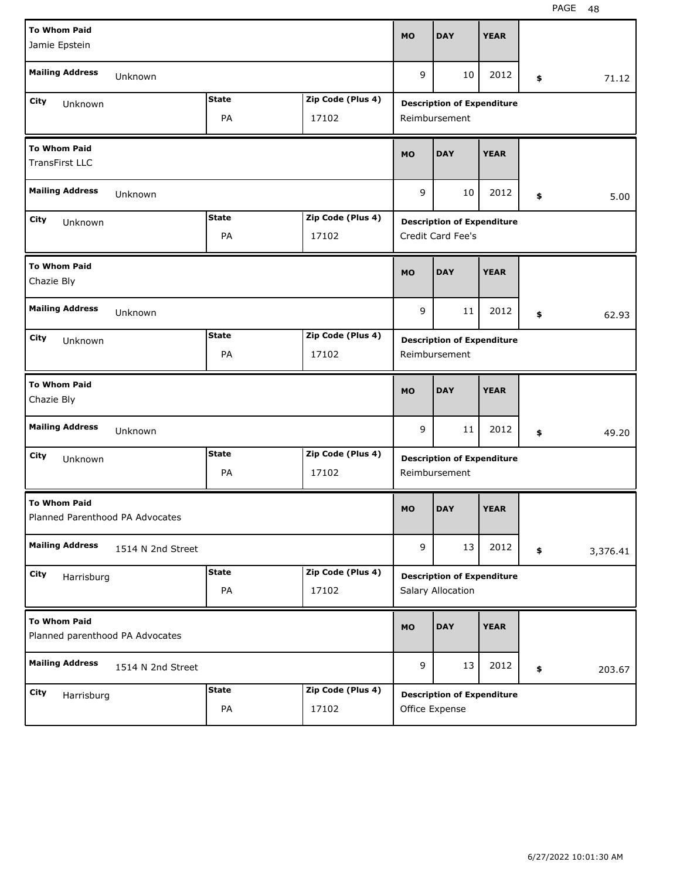| <b>To Whom Paid</b><br>Jamie Epstein                   |                   |              |                   | <b>MO</b> | <b>DAY</b>                                         | <b>YEAR</b> |    |          |
|--------------------------------------------------------|-------------------|--------------|-------------------|-----------|----------------------------------------------------|-------------|----|----------|
| <b>Mailing Address</b>                                 | Unknown           |              |                   | 9         | 10                                                 | 2012        | \$ | 71.12    |
| <b>City</b><br>Unknown                                 |                   | <b>State</b> | Zip Code (Plus 4) |           | <b>Description of Expenditure</b>                  |             |    |          |
|                                                        |                   | PA           | 17102             |           | Reimbursement                                      |             |    |          |
| <b>To Whom Paid</b><br><b>TransFirst LLC</b>           |                   |              |                   | <b>MO</b> | <b>DAY</b>                                         | <b>YEAR</b> |    |          |
| <b>Mailing Address</b>                                 | Unknown           |              |                   | 9         | 10                                                 | 2012        | \$ | 5.00     |
| <b>City</b><br>Unknown                                 |                   | <b>State</b> | Zip Code (Plus 4) |           | <b>Description of Expenditure</b>                  |             |    |          |
|                                                        | 17102             |              | Credit Card Fee's |           |                                                    |             |    |          |
| <b>To Whom Paid</b><br>Chazie Bly                      |                   |              |                   | <b>MO</b> | <b>DAY</b>                                         | <b>YEAR</b> |    |          |
| <b>Mailing Address</b>                                 | Unknown           |              |                   | 9         | 11                                                 | 2012        | \$ | 62.93    |
| City<br>Unknown                                        |                   | <b>State</b> | Zip Code (Plus 4) |           | <b>Description of Expenditure</b>                  |             |    |          |
|                                                        |                   | PA           | 17102             |           | Reimbursement                                      |             |    |          |
| <b>To Whom Paid</b><br>Chazie Bly                      |                   |              |                   | <b>MO</b> | <b>DAY</b>                                         | <b>YEAR</b> |    |          |
|                                                        |                   |              |                   |           |                                                    |             |    |          |
| <b>Mailing Address</b>                                 | Unknown           |              |                   | 9         | 11                                                 | 2012        | \$ | 49.20    |
| City                                                   |                   | <b>State</b> | Zip Code (Plus 4) |           |                                                    |             |    |          |
| Unknown                                                |                   | PA           | 17102             |           | <b>Description of Expenditure</b><br>Reimbursement |             |    |          |
| <b>To Whom Paid</b><br>Planned Parenthood PA Advocates |                   |              |                   | <b>MO</b> | <b>DAY</b>                                         | <b>YEAR</b> |    |          |
| <b>Mailing Address</b>                                 | 1514 N 2nd Street |              |                   | 9         | 13                                                 | 2012        | \$ | 3,376.41 |
| <b>City</b>                                            |                   | <b>State</b> | Zip Code (Plus 4) |           | <b>Description of Expenditure</b>                  |             |    |          |
| Harrisburg                                             |                   | PA           | 17102             |           | Salary Allocation                                  |             |    |          |
| <b>To Whom Paid</b><br>Planned parenthood PA Advocates |                   |              |                   | <b>MO</b> | <b>DAY</b>                                         | <b>YEAR</b> |    |          |
| <b>Mailing Address</b>                                 | 1514 N 2nd Street |              |                   | 9         | 13                                                 | 2012        | \$ | 203.67   |
| City<br>Harrisburg                                     |                   | <b>State</b> | Zip Code (Plus 4) |           | <b>Description of Expenditure</b>                  |             |    |          |